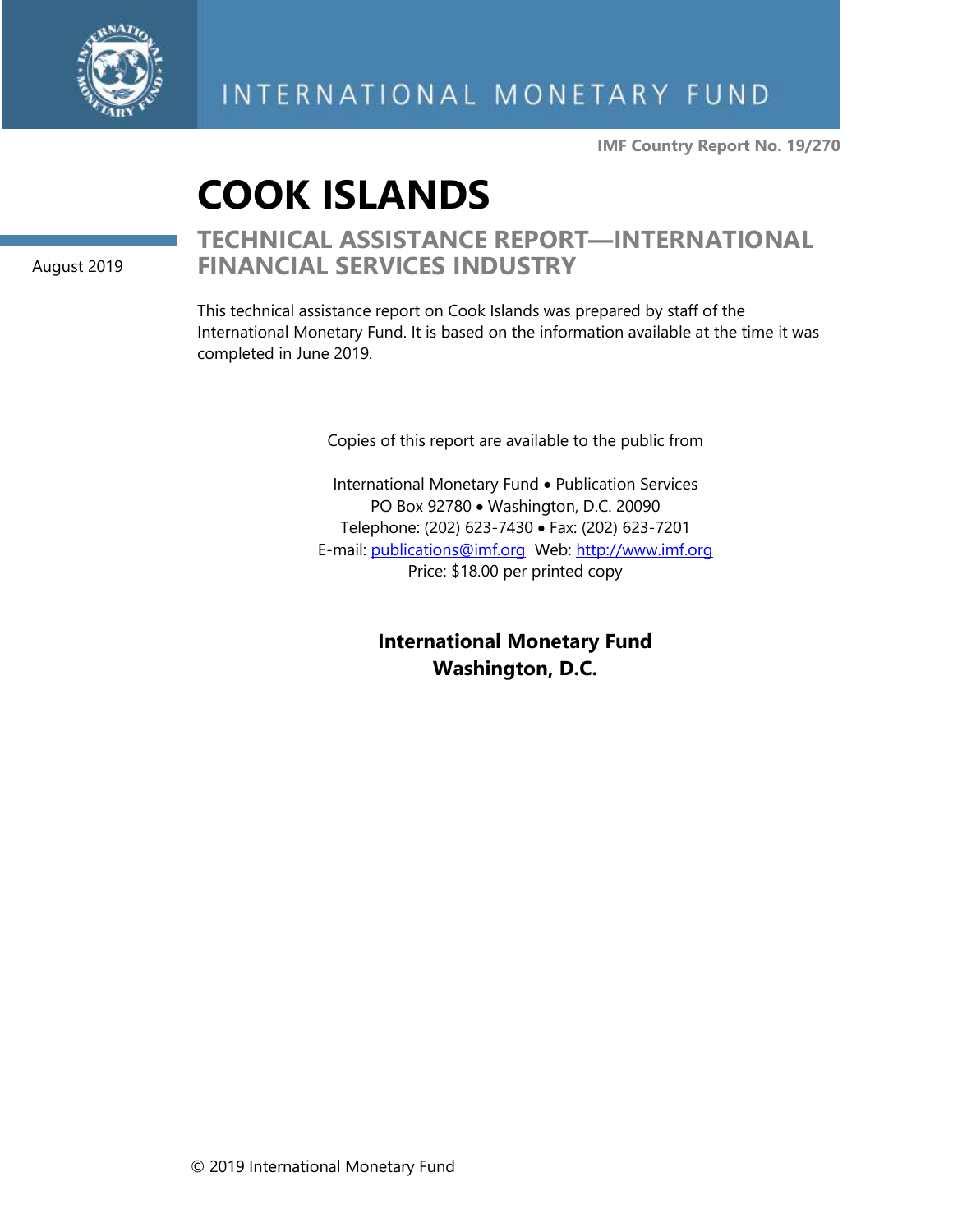

**IMF Country Report No. 19/270**

# **COOK ISLANDS**

August 2019

### **TECHNICAL ASSISTANCE REPORT—INTERNATIONAL FINANCIAL SERVICES INDUSTRY**

This technical assistance report on Cook Islands was prepared by staff of the International Monetary Fund. It is based on the information available at the time it was completed in June 2019.

Copies of this report are available to the public from

International Monetary Fund • Publication Services PO Box 92780 • Washington, D.C. 20090 Telephone: (202) 623-7430 • Fax: (202) 623-7201 E-mail: [publications@imf.org](mailto:publications@imf.org) Web: [http://www.imf.org](http://www.imf.org/) Price: \$18.00 per printed copy

> **International Monetary Fund Washington, D.C.**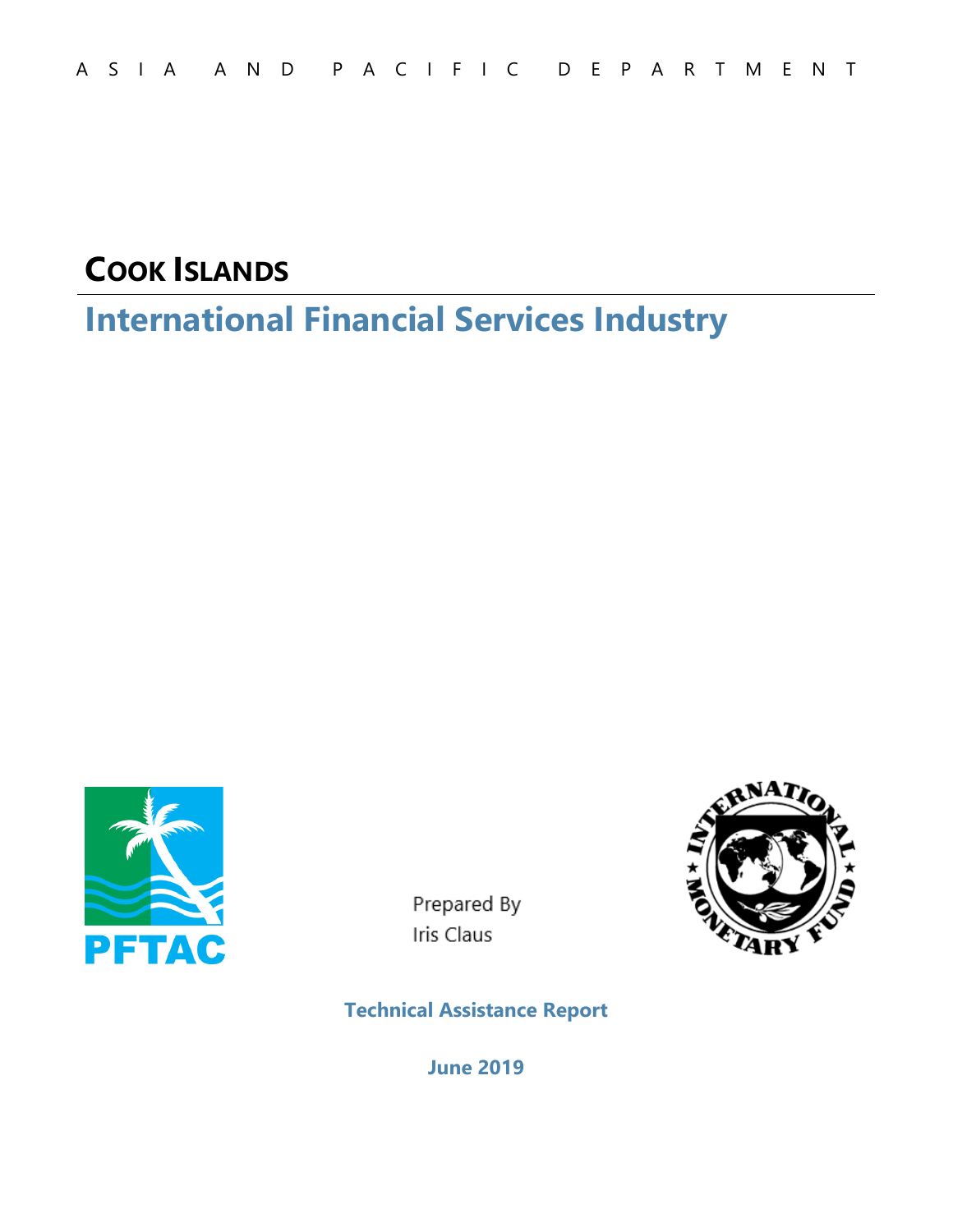# **COOK ISLANDS**

# **International Financial Services Industry**



Prepared By Iris Claus



**Technical Assistance Report** 

**June 2019**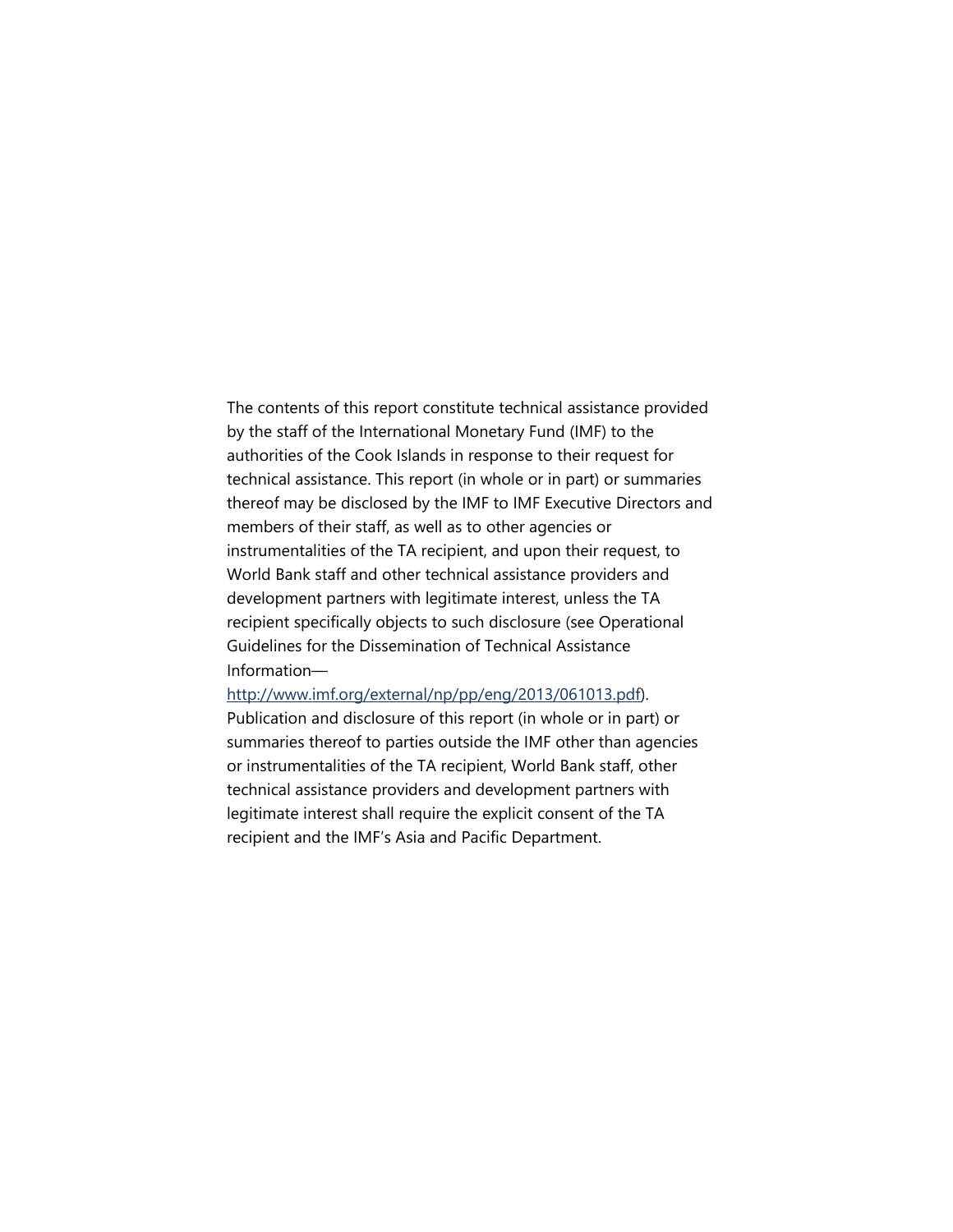The contents of this report constitute technical assistance provided by the staff of the International Monetary Fund (IMF) to the authorities of the Cook Islands in response to their request for technical assistance. This report (in whole or in part) or summaries thereof may be disclosed by the IMF to IMF Executive Directors and members of their staff, as well as to other agencies or instrumentalities of the TA recipient, and upon their request, to World Bank staff and other technical assistance providers and development partners with legitimate interest, unless the TA recipient specifically objects to such disclosure (see Operational Guidelines for the Dissemination of Technical Assistance Information—

#### http://www.imf.org/external/np/pp/eng/2013/061013.pdf).

Publication and disclosure of this report (in whole or in part) or summaries thereof to parties outside the IMF other than agencies or instrumentalities of the TA recipient, World Bank staff, other technical assistance providers and development partners with legitimate interest shall require the explicit consent of the TA recipient and the IMF's Asia and Pacific Department.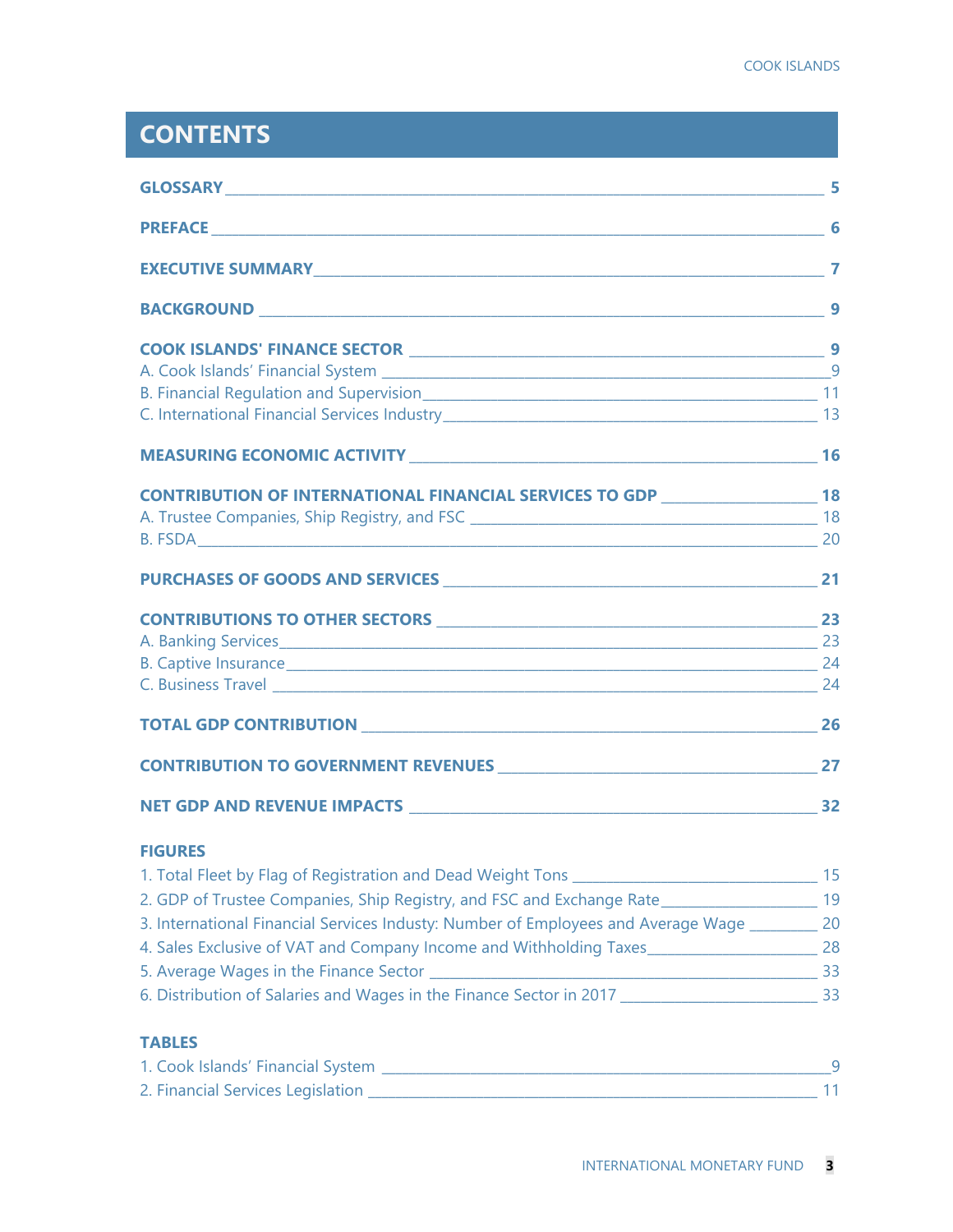## **CONTENTS**

|                                                                                                                       | 9 |
|-----------------------------------------------------------------------------------------------------------------------|---|
|                                                                                                                       |   |
|                                                                                                                       |   |
|                                                                                                                       |   |
|                                                                                                                       |   |
|                                                                                                                       |   |
| CONTRIBUTION OF INTERNATIONAL FINANCIAL SERVICES TO GDP ________________________ 18                                   |   |
|                                                                                                                       |   |
|                                                                                                                       |   |
|                                                                                                                       |   |
|                                                                                                                       |   |
|                                                                                                                       |   |
| B. Captive Insurance 24                                                                                               |   |
| C. Business Travel 24                                                                                                 |   |
| <b>TOTAL GDP CONTRIBUTION 26 PROPERTY AND RESIDENT ASSAULT AND RESIDENT ASSAULT AND RESIDENT ASSAULT AND RESIDENT</b> |   |
|                                                                                                                       |   |
|                                                                                                                       |   |
| <b>FIGURES</b>                                                                                                        |   |
|                                                                                                                       |   |
| 2. GDP of Trustee Companies, Ship Registry, and FSC and Exchange Rate_______________________________ 19               |   |
| 3. International Financial Services Industy: Number of Employees and Average Wage _________ 20                        |   |
| 4. Sales Exclusive of VAT and Company Income and Withholding Taxes__________________________________ 28               |   |
|                                                                                                                       |   |
|                                                                                                                       |   |
| <b>TABLES</b>                                                                                                         |   |

| 1. Cook Islands' Financial System |  |
|-----------------------------------|--|
| 2. Financial Services Legislation |  |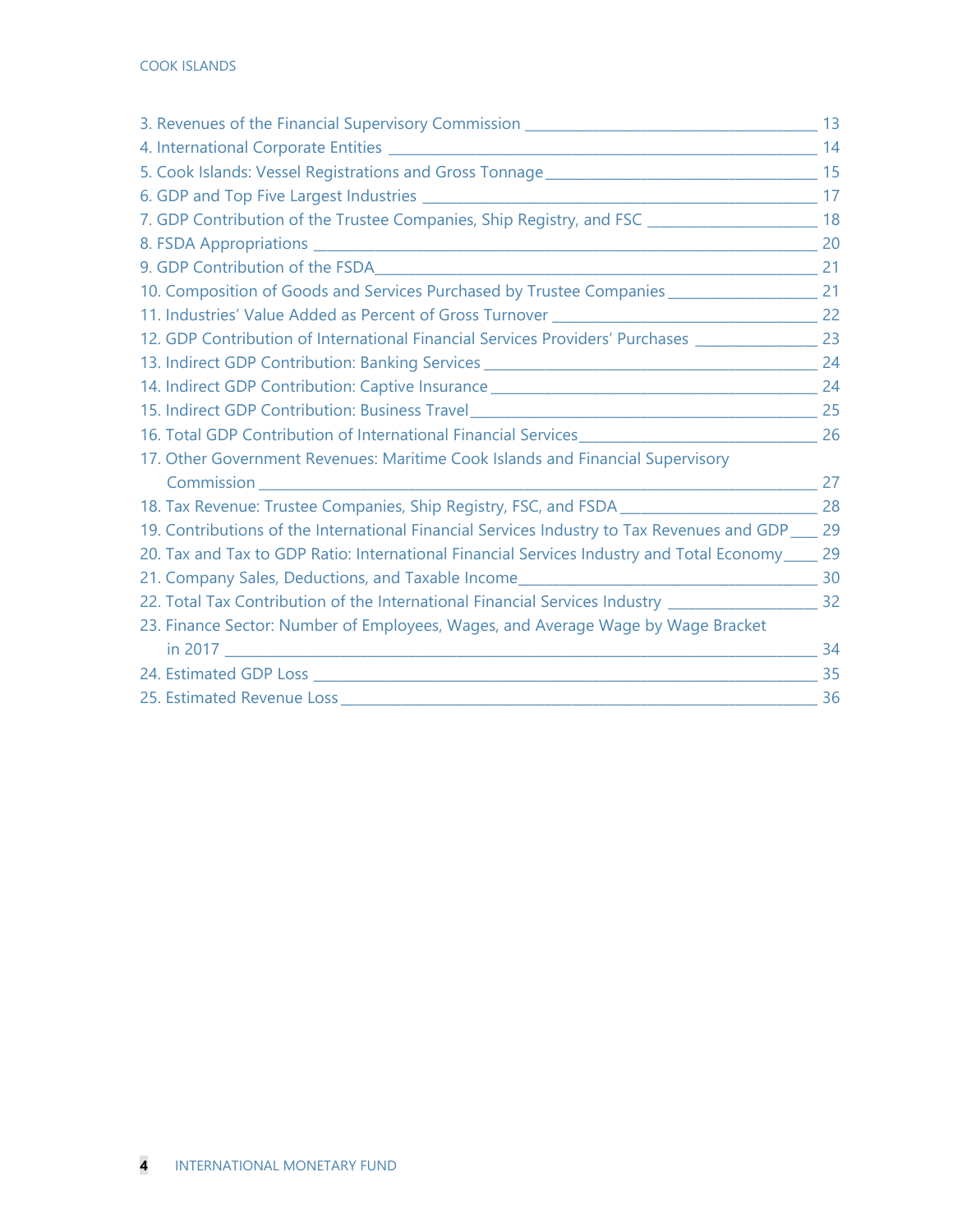| 7. GDP Contribution of the Trustee Companies, Ship Registry, and FSC ______________________________ 18                                                                                                                         |  |
|--------------------------------------------------------------------------------------------------------------------------------------------------------------------------------------------------------------------------------|--|
|                                                                                                                                                                                                                                |  |
|                                                                                                                                                                                                                                |  |
| 10. Composition of Goods and Services Purchased by Trustee Companies _________________________ 21                                                                                                                              |  |
|                                                                                                                                                                                                                                |  |
| 12. GDP Contribution of International Financial Services Providers' Purchases ________________ 23                                                                                                                              |  |
|                                                                                                                                                                                                                                |  |
|                                                                                                                                                                                                                                |  |
|                                                                                                                                                                                                                                |  |
|                                                                                                                                                                                                                                |  |
| 17. Other Government Revenues: Maritime Cook Islands and Financial Supervisory                                                                                                                                                 |  |
|                                                                                                                                                                                                                                |  |
| 18. Tax Revenue: Trustee Companies, Ship Registry, FSC, and FSDA _______________________________28                                                                                                                             |  |
| 19. Contributions of the International Financial Services Industry to Tax Revenues and GDP ____ 29                                                                                                                             |  |
| 20. Tax and Tax to GDP Ratio: International Financial Services Industry and Total Economy_____ 29                                                                                                                              |  |
|                                                                                                                                                                                                                                |  |
| 22. Total Tax Contribution of the International Financial Services Industry ________________________ 32                                                                                                                        |  |
| 23. Finance Sector: Number of Employees, Wages, and Average Wage by Wage Bracket                                                                                                                                               |  |
|                                                                                                                                                                                                                                |  |
|                                                                                                                                                                                                                                |  |
| 25. Estimated Revenue Loss 25 and 25 and 26 and 26 and 26 and 26 and 26 and 26 and 26 and 26 and 26 and 26 and 26 and 26 and 26 and 26 and 26 and 26 and 26 and 26 and 26 and 26 and 26 and 26 and 26 and 26 and 26 and 26 and |  |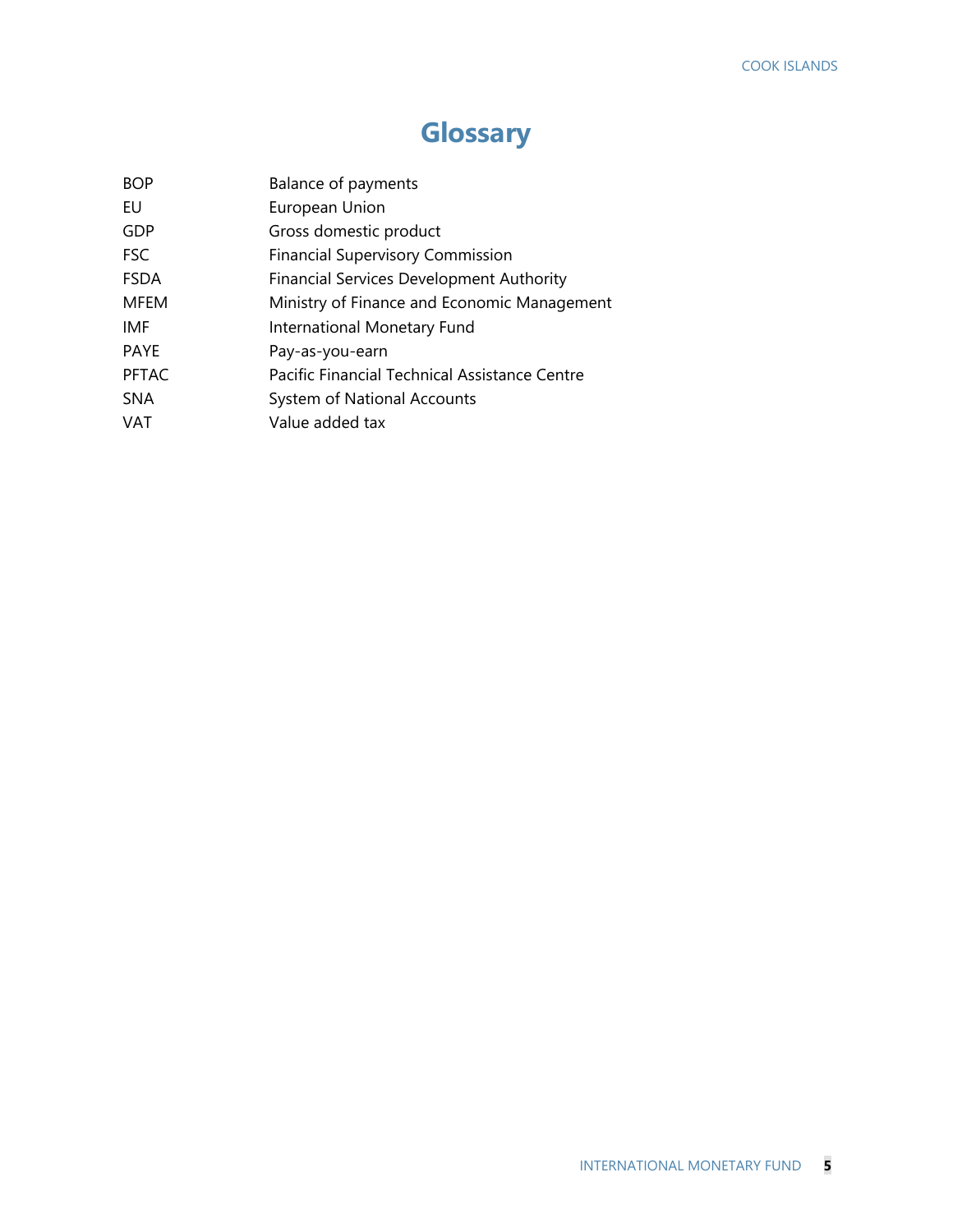# **Glossary**

| Balance of payments                             |
|-------------------------------------------------|
| European Union                                  |
| Gross domestic product                          |
| <b>Financial Supervisory Commission</b>         |
| <b>Financial Services Development Authority</b> |
| Ministry of Finance and Economic Management     |
| International Monetary Fund                     |
| Pay-as-you-earn                                 |
| Pacific Financial Technical Assistance Centre   |
| System of National Accounts                     |
| Value added tax                                 |
|                                                 |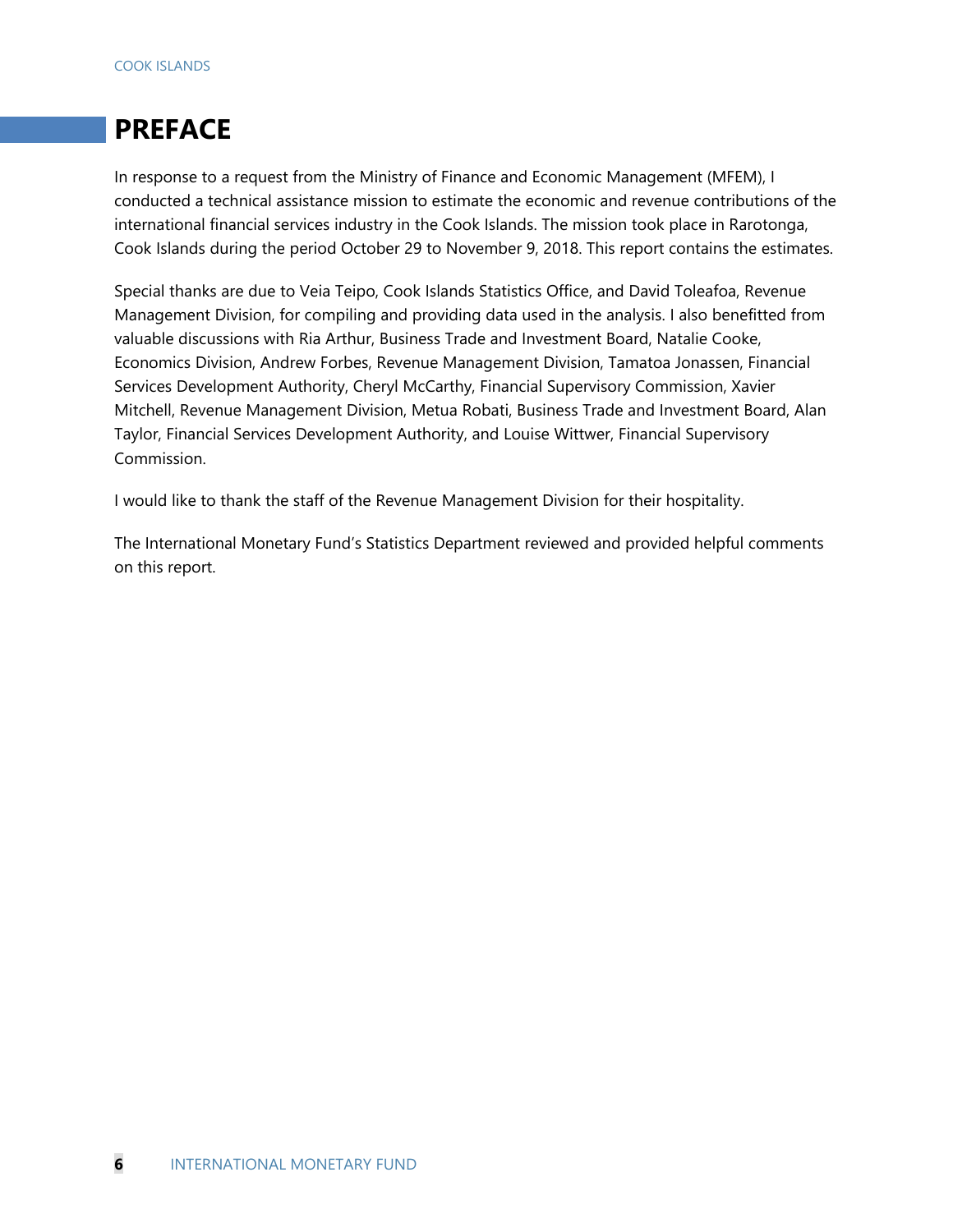# **PREFACE**

In response to a request from the Ministry of Finance and Economic Management (MFEM), I conducted a technical assistance mission to estimate the economic and revenue contributions of the international financial services industry in the Cook Islands. The mission took place in Rarotonga, Cook Islands during the period October 29 to November 9, 2018. This report contains the estimates.

Special thanks are due to Veia Teipo, Cook Islands Statistics Office, and David Toleafoa, Revenue Management Division, for compiling and providing data used in the analysis. I also benefitted from valuable discussions with Ria Arthur, Business Trade and Investment Board, Natalie Cooke, Economics Division, Andrew Forbes, Revenue Management Division, Tamatoa Jonassen, Financial Services Development Authority, Cheryl McCarthy, Financial Supervisory Commission, Xavier Mitchell, Revenue Management Division, Metua Robati, Business Trade and Investment Board, Alan Taylor, Financial Services Development Authority, and Louise Wittwer, Financial Supervisory Commission.

I would like to thank the staff of the Revenue Management Division for their hospitality.

The International Monetary Fund's Statistics Department reviewed and provided helpful comments on this report.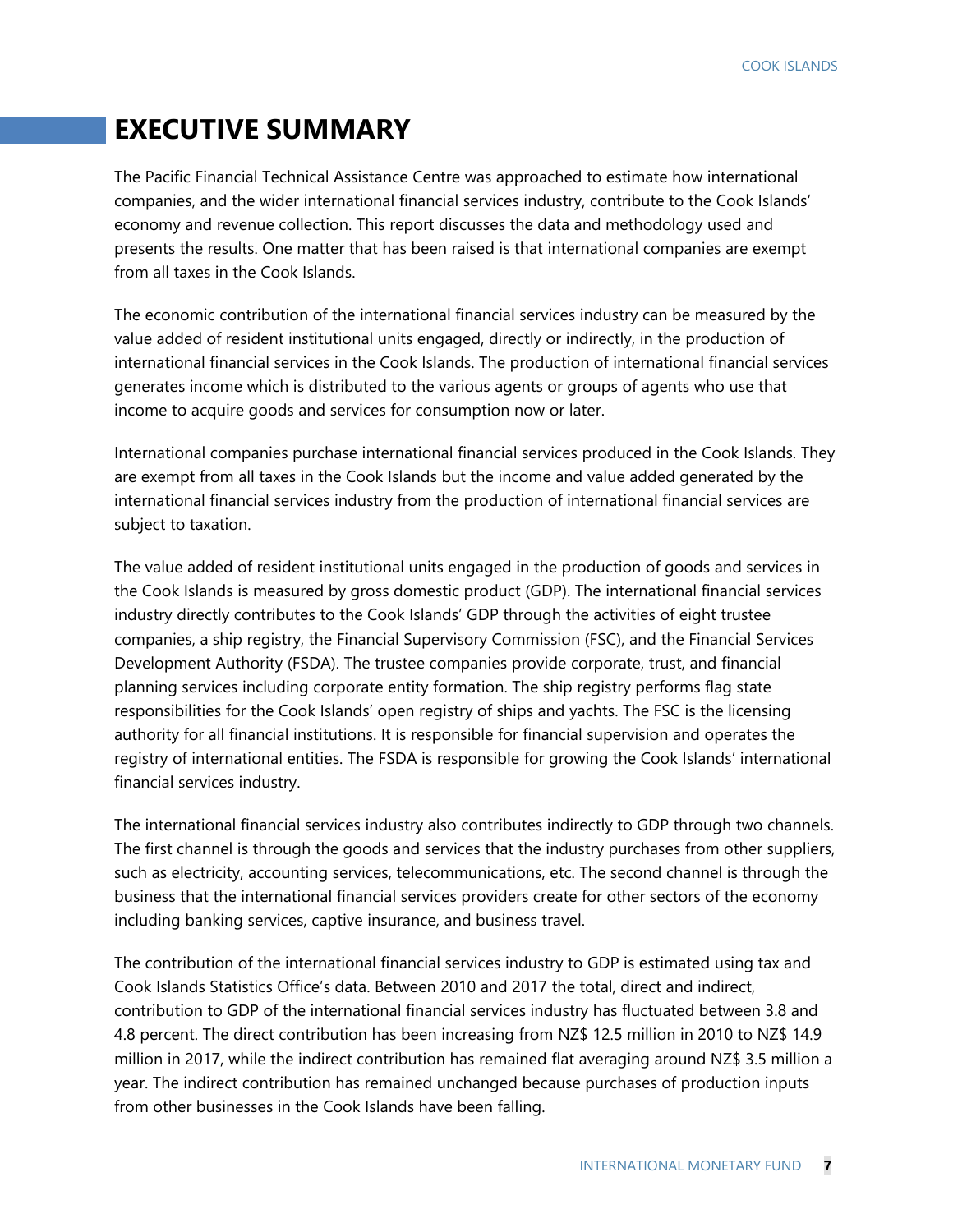### **EXECUTIVE SUMMARY**

The Pacific Financial Technical Assistance Centre was approached to estimate how international companies, and the wider international financial services industry, contribute to the Cook Islands' economy and revenue collection. This report discusses the data and methodology used and presents the results. One matter that has been raised is that international companies are exempt from all taxes in the Cook Islands.

The economic contribution of the international financial services industry can be measured by the value added of resident institutional units engaged, directly or indirectly, in the production of international financial services in the Cook Islands. The production of international financial services generates income which is distributed to the various agents or groups of agents who use that income to acquire goods and services for consumption now or later.

International companies purchase international financial services produced in the Cook Islands. They are exempt from all taxes in the Cook Islands but the income and value added generated by the international financial services industry from the production of international financial services are subject to taxation.

The value added of resident institutional units engaged in the production of goods and services in the Cook Islands is measured by gross domestic product (GDP). The international financial services industry directly contributes to the Cook Islands' GDP through the activities of eight trustee companies, a ship registry, the Financial Supervisory Commission (FSC), and the Financial Services Development Authority (FSDA). The trustee companies provide corporate, trust, and financial planning services including corporate entity formation. The ship registry performs flag state responsibilities for the Cook Islands' open registry of ships and yachts. The FSC is the licensing authority for all financial institutions. It is responsible for financial supervision and operates the registry of international entities. The FSDA is responsible for growing the Cook Islands' international financial services industry.

The international financial services industry also contributes indirectly to GDP through two channels. The first channel is through the goods and services that the industry purchases from other suppliers, such as electricity, accounting services, telecommunications, etc. The second channel is through the business that the international financial services providers create for other sectors of the economy including banking services, captive insurance, and business travel.

The contribution of the international financial services industry to GDP is estimated using tax and Cook Islands Statistics Office's data. Between 2010 and 2017 the total, direct and indirect, contribution to GDP of the international financial services industry has fluctuated between 3.8 and 4.8 percent. The direct contribution has been increasing from NZ\$ 12.5 million in 2010 to NZ\$ 14.9 million in 2017, while the indirect contribution has remained flat averaging around NZ\$ 3.5 million a year. The indirect contribution has remained unchanged because purchases of production inputs from other businesses in the Cook Islands have been falling.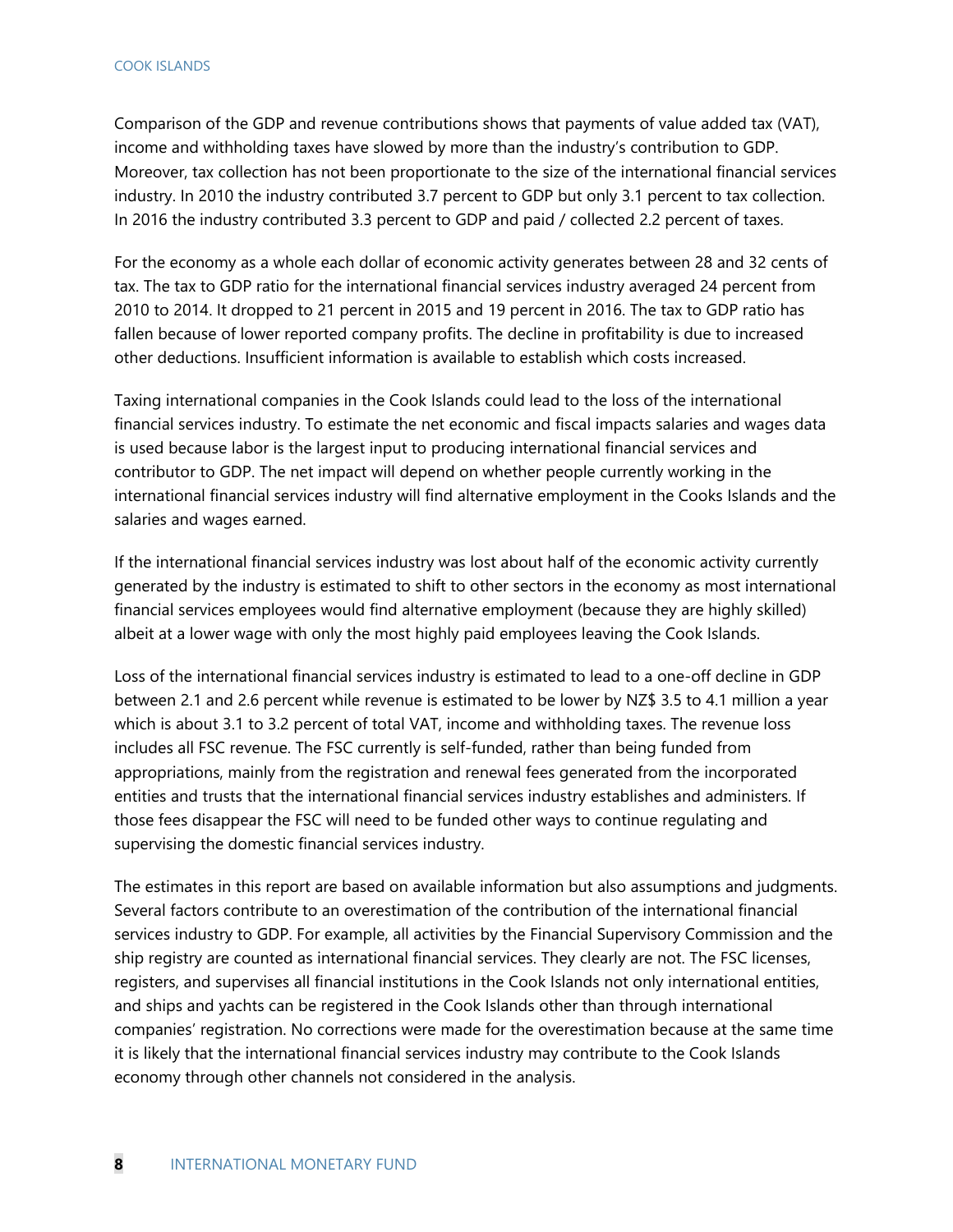Comparison of the GDP and revenue contributions shows that payments of value added tax (VAT), income and withholding taxes have slowed by more than the industry's contribution to GDP. Moreover, tax collection has not been proportionate to the size of the international financial services industry. In 2010 the industry contributed 3.7 percent to GDP but only 3.1 percent to tax collection. In 2016 the industry contributed 3.3 percent to GDP and paid / collected 2.2 percent of taxes.

For the economy as a whole each dollar of economic activity generates between 28 and 32 cents of tax. The tax to GDP ratio for the international financial services industry averaged 24 percent from 2010 to 2014. It dropped to 21 percent in 2015 and 19 percent in 2016. The tax to GDP ratio has fallen because of lower reported company profits. The decline in profitability is due to increased other deductions. Insufficient information is available to establish which costs increased.

Taxing international companies in the Cook Islands could lead to the loss of the international financial services industry. To estimate the net economic and fiscal impacts salaries and wages data is used because labor is the largest input to producing international financial services and contributor to GDP. The net impact will depend on whether people currently working in the international financial services industry will find alternative employment in the Cooks Islands and the salaries and wages earned.

If the international financial services industry was lost about half of the economic activity currently generated by the industry is estimated to shift to other sectors in the economy as most international financial services employees would find alternative employment (because they are highly skilled) albeit at a lower wage with only the most highly paid employees leaving the Cook Islands.

Loss of the international financial services industry is estimated to lead to a one-off decline in GDP between 2.1 and 2.6 percent while revenue is estimated to be lower by NZ\$ 3.5 to 4.1 million a year which is about 3.1 to 3.2 percent of total VAT, income and withholding taxes. The revenue loss includes all FSC revenue. The FSC currently is self-funded, rather than being funded from appropriations, mainly from the registration and renewal fees generated from the incorporated entities and trusts that the international financial services industry establishes and administers. If those fees disappear the FSC will need to be funded other ways to continue regulating and supervising the domestic financial services industry.

The estimates in this report are based on available information but also assumptions and judgments. Several factors contribute to an overestimation of the contribution of the international financial services industry to GDP. For example, all activities by the Financial Supervisory Commission and the ship registry are counted as international financial services. They clearly are not. The FSC licenses, registers, and supervises all financial institutions in the Cook Islands not only international entities, and ships and yachts can be registered in the Cook Islands other than through international companies' registration. No corrections were made for the overestimation because at the same time it is likely that the international financial services industry may contribute to the Cook Islands economy through other channels not considered in the analysis.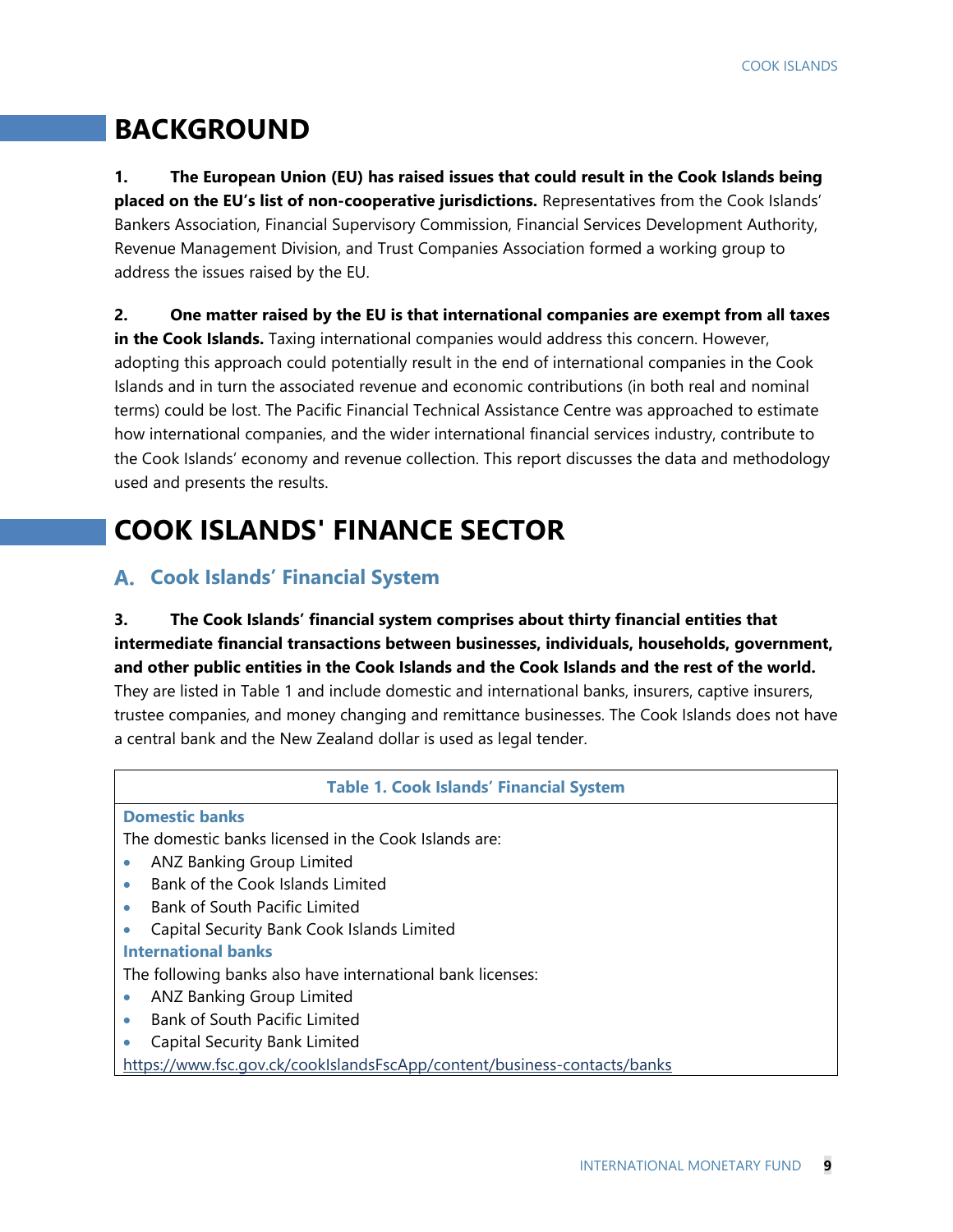### **BACKGROUND**

**1. The European Union (EU) has raised issues that could result in the Cook Islands being placed on the EU's list of non-cooperative jurisdictions.** Representatives from the Cook Islands' Bankers Association, Financial Supervisory Commission, Financial Services Development Authority, Revenue Management Division, and Trust Companies Association formed a working group to address the issues raised by the EU.

**2. One matter raised by the EU is that international companies are exempt from all taxes in the Cook Islands.** Taxing international companies would address this concern. However, adopting this approach could potentially result in the end of international companies in the Cook Islands and in turn the associated revenue and economic contributions (in both real and nominal terms) could be lost. The Pacific Financial Technical Assistance Centre was approached to estimate how international companies, and the wider international financial services industry, contribute to the Cook Islands' economy and revenue collection. This report discusses the data and methodology used and presents the results.

# **COOK ISLANDS' FINANCE SECTOR**

#### **Cook Islands' Financial System**

#### **3. The Cook Islands' financial system comprises about thirty financial entities that intermediate financial transactions between businesses, individuals, households, government, and other public entities in the Cook Islands and the Cook Islands and the rest of the world.**

They are listed in Table 1 and include domestic and international banks, insurers, captive insurers, trustee companies, and money changing and remittance businesses. The Cook Islands does not have a central bank and the New Zealand dollar is used as legal tender.

#### **Table 1. Cook Islands' Financial System**

#### **Domestic banks**

The domestic banks licensed in the Cook Islands are:

- **ANZ Banking Group Limited**
- Bank of the Cook Islands Limited
- Bank of South Pacific Limited
- Capital Security Bank Cook Islands Limited

#### **International banks**

The following banks also have international bank licenses:

- **ANZ Banking Group Limited**
- Bank of South Pacific Limited
- Capital Security Bank Limited

https://www.fsc.gov.ck/cookIslandsFscApp/content/business-contacts/banks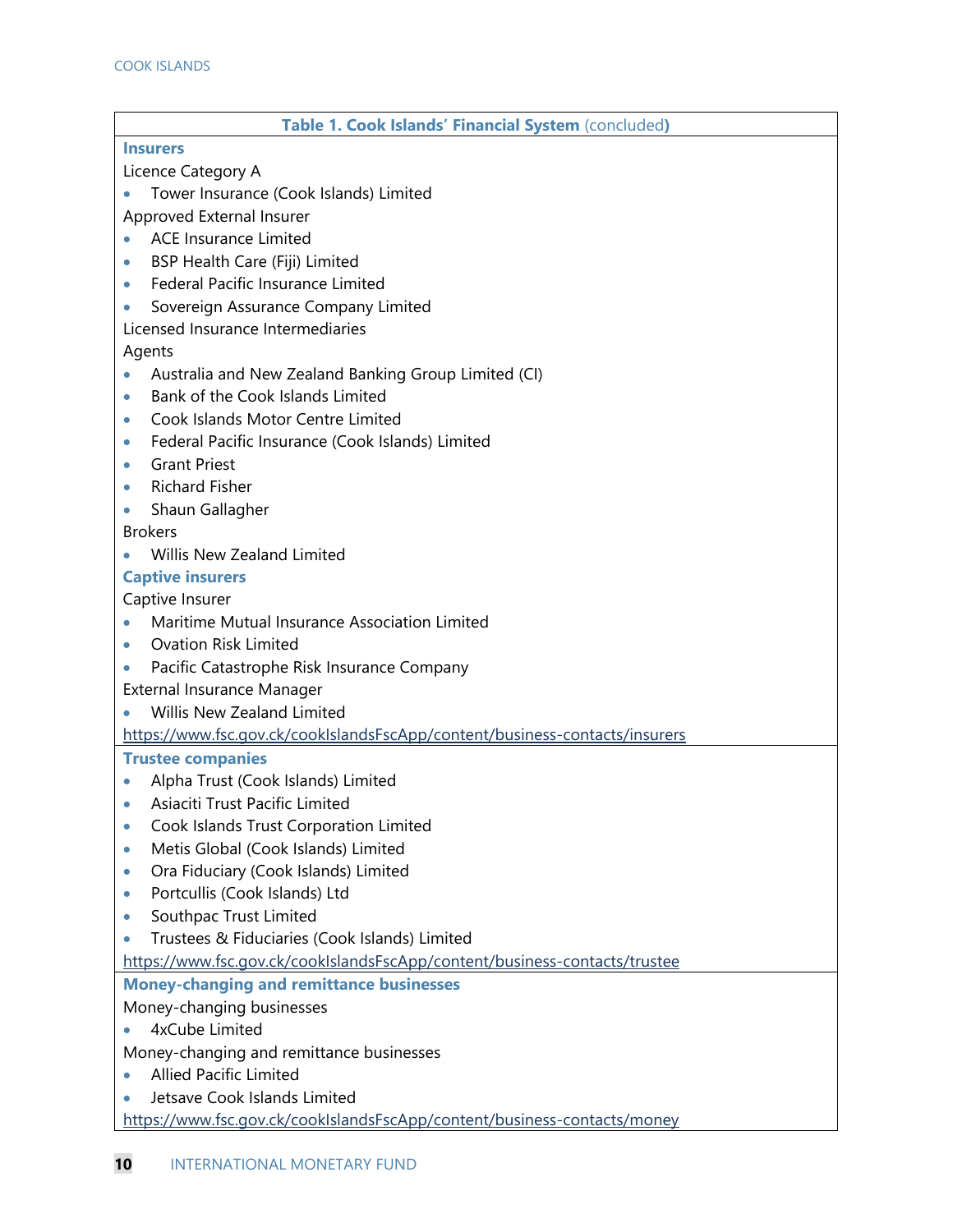| Table 1. Cook Islands' Financial System (concluded)                         |
|-----------------------------------------------------------------------------|
| <b>Insurers</b>                                                             |
| Licence Category A                                                          |
| Tower Insurance (Cook Islands) Limited                                      |
| Approved External Insurer                                                   |
| <b>ACE Insurance Limited</b><br>$\bullet$                                   |
| BSP Health Care (Fiji) Limited<br>$\bullet$                                 |
| Federal Pacific Insurance Limited<br>$\bullet$                              |
| Sovereign Assurance Company Limited                                         |
| Licensed Insurance Intermediaries                                           |
| Agents                                                                      |
| Australia and New Zealand Banking Group Limited (CI)                        |
| Bank of the Cook Islands Limited<br>$\bullet$                               |
| Cook Islands Motor Centre Limited<br>$\bullet$                              |
| Federal Pacific Insurance (Cook Islands) Limited<br>$\bullet$               |
| <b>Grant Priest</b><br>$\bullet$                                            |
| <b>Richard Fisher</b><br>$\bullet$                                          |
| Shaun Gallagher<br>$\bullet$                                                |
| <b>Brokers</b>                                                              |
| <b>Willis New Zealand Limited</b>                                           |
| <b>Captive insurers</b>                                                     |
| Captive Insurer                                                             |
| Maritime Mutual Insurance Association Limited                               |
| <b>Ovation Risk Limited</b><br>$\bullet$                                    |
| Pacific Catastrophe Risk Insurance Company                                  |
| External Insurance Manager                                                  |
| Willis New Zealand Limited                                                  |
| https://www.fsc.gov.ck/cookIslandsFscApp/content/business-contacts/insurers |
| <b>Trustee companies</b>                                                    |
| Alpha Trust (Cook Islands) Limited<br>$\bullet$                             |
| Asiaciti Trust Pacific Limited                                              |
| Cook Islands Trust Corporation Limited<br>$\bullet$                         |
| Metis Global (Cook Islands) Limited<br>$\bullet$                            |
| Ora Fiduciary (Cook Islands) Limited<br>$\bullet$                           |
| Portcullis (Cook Islands) Ltd<br>$\bullet$                                  |
| Southpac Trust Limited<br>$\bullet$                                         |
| Trustees & Fiduciaries (Cook Islands) Limited                               |
| https://www.fsc.gov.ck/cookIslandsFscApp/content/business-contacts/trustee  |
| <b>Money-changing and remittance businesses</b>                             |
| Money-changing businesses                                                   |
| 4xCube Limited                                                              |
| Money-changing and remittance businesses                                    |
| <b>Allied Pacific Limited</b>                                               |
| Jetsave Cook Islands Limited                                                |
| https://www.fsc.gov.ck/cookIslandsFscApp/content/business-contacts/money    |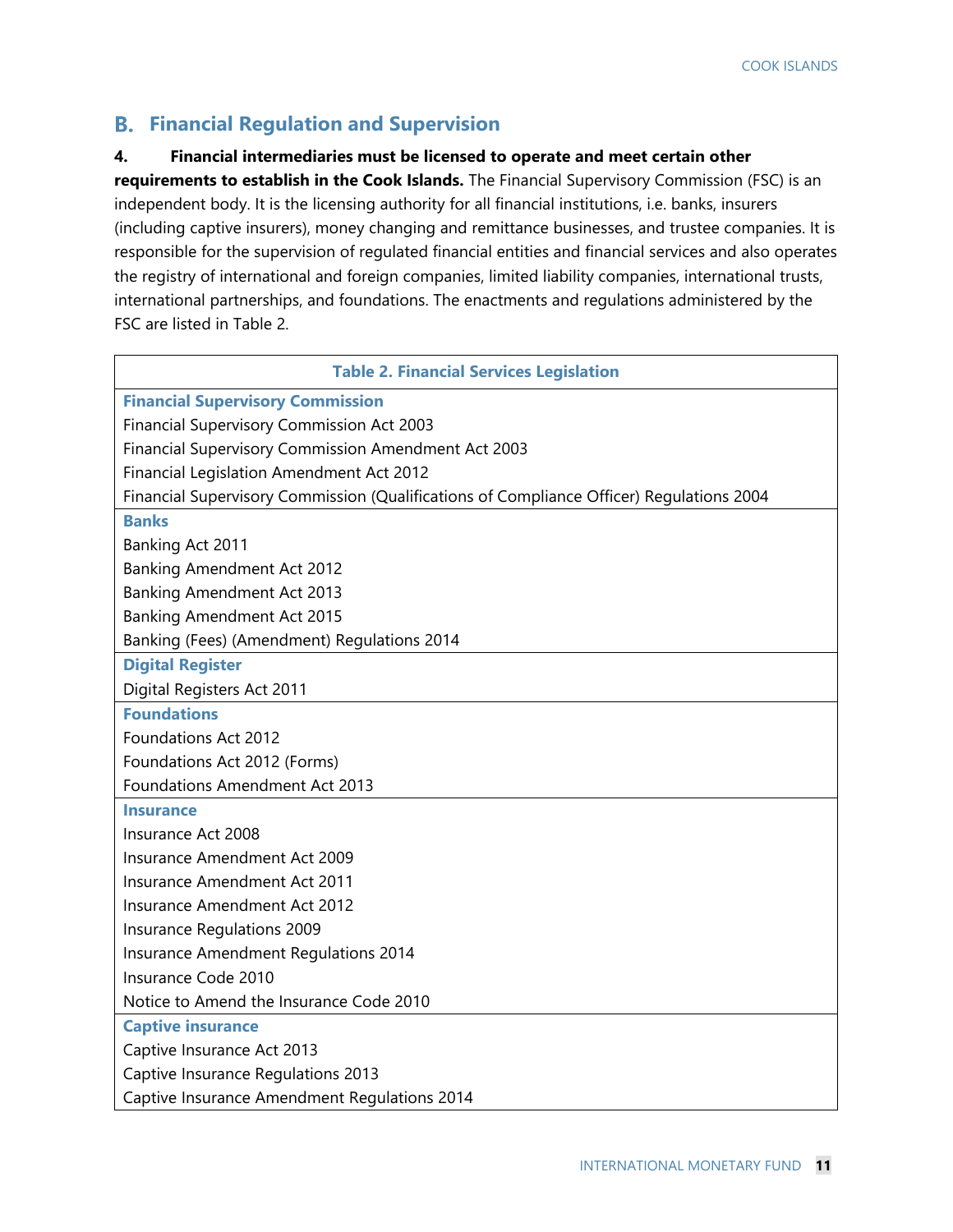#### **Financial Regulation and Supervision**

#### **4. Financial intermediaries must be licensed to operate and meet certain other**

**requirements to establish in the Cook Islands.** The Financial Supervisory Commission (FSC) is an independent body. It is the licensing authority for all financial institutions, i.e. banks, insurers (including captive insurers), money changing and remittance businesses, and trustee companies. It is responsible for the supervision of regulated financial entities and financial services and also operates the registry of international and foreign companies, limited liability companies, international trusts, international partnerships, and foundations. The enactments and regulations administered by the FSC are listed in Table 2.

| <b>Table 2. Financial Services Legislation</b>                                           |
|------------------------------------------------------------------------------------------|
| <b>Financial Supervisory Commission</b>                                                  |
| Financial Supervisory Commission Act 2003                                                |
| Financial Supervisory Commission Amendment Act 2003                                      |
| Financial Legislation Amendment Act 2012                                                 |
| Financial Supervisory Commission (Qualifications of Compliance Officer) Regulations 2004 |
| <b>Banks</b>                                                                             |
| Banking Act 2011                                                                         |
| Banking Amendment Act 2012                                                               |
| Banking Amendment Act 2013                                                               |
| Banking Amendment Act 2015                                                               |
| Banking (Fees) (Amendment) Regulations 2014                                              |
| <b>Digital Register</b>                                                                  |
| Digital Registers Act 2011                                                               |
| <b>Foundations</b>                                                                       |
| Foundations Act 2012                                                                     |
| Foundations Act 2012 (Forms)                                                             |
| <b>Foundations Amendment Act 2013</b>                                                    |
| <b>Insurance</b>                                                                         |
| Insurance Act 2008                                                                       |
| Insurance Amendment Act 2009                                                             |
| Insurance Amendment Act 2011                                                             |
| Insurance Amendment Act 2012                                                             |
| Insurance Regulations 2009                                                               |
| Insurance Amendment Regulations 2014                                                     |
| Insurance Code 2010                                                                      |
| Notice to Amend the Insurance Code 2010                                                  |
| <b>Captive insurance</b>                                                                 |
| Captive Insurance Act 2013                                                               |
| Captive Insurance Regulations 2013                                                       |
| Captive Insurance Amendment Regulations 2014                                             |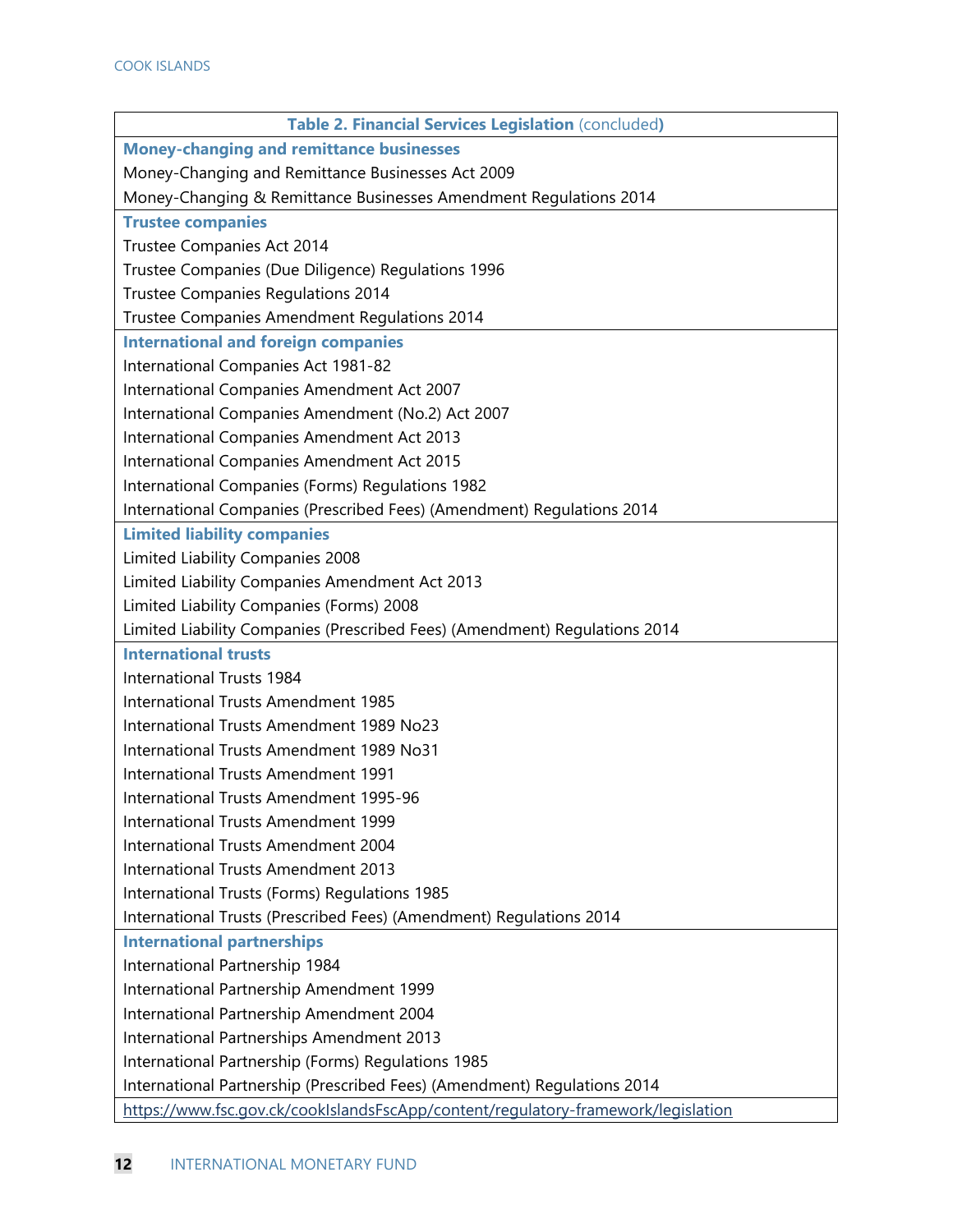| Table 2. Financial Services Legislation (concluded)                               |
|-----------------------------------------------------------------------------------|
| <b>Money-changing and remittance businesses</b>                                   |
| Money-Changing and Remittance Businesses Act 2009                                 |
| Money-Changing & Remittance Businesses Amendment Regulations 2014                 |
| <b>Trustee companies</b>                                                          |
| Trustee Companies Act 2014                                                        |
| Trustee Companies (Due Diligence) Regulations 1996                                |
| <b>Trustee Companies Regulations 2014</b>                                         |
| Trustee Companies Amendment Regulations 2014                                      |
| <b>International and foreign companies</b>                                        |
| International Companies Act 1981-82                                               |
| International Companies Amendment Act 2007                                        |
| International Companies Amendment (No.2) Act 2007                                 |
| International Companies Amendment Act 2013                                        |
| International Companies Amendment Act 2015                                        |
| International Companies (Forms) Regulations 1982                                  |
| International Companies (Prescribed Fees) (Amendment) Regulations 2014            |
| <b>Limited liability companies</b>                                                |
| Limited Liability Companies 2008                                                  |
| Limited Liability Companies Amendment Act 2013                                    |
| Limited Liability Companies (Forms) 2008                                          |
| Limited Liability Companies (Prescribed Fees) (Amendment) Regulations 2014        |
| <b>International trusts</b>                                                       |
| International Trusts 1984                                                         |
| International Trusts Amendment 1985                                               |
| International Trusts Amendment 1989 No23                                          |
| International Trusts Amendment 1989 No31                                          |
| International Trusts Amendment 1991                                               |
| International Trusts Amendment 1995-96                                            |
| International Trusts Amendment 1999                                               |
| International Trusts Amendment 2004                                               |
| International Trusts Amendment 2013                                               |
| International Trusts (Forms) Regulations 1985                                     |
| International Trusts (Prescribed Fees) (Amendment) Regulations 2014               |
| <b>International partnerships</b>                                                 |
| International Partnership 1984                                                    |
| International Partnership Amendment 1999                                          |
| International Partnership Amendment 2004                                          |
| International Partnerships Amendment 2013                                         |
| International Partnership (Forms) Regulations 1985                                |
| International Partnership (Prescribed Fees) (Amendment) Regulations 2014          |
| https://www.fsc.gov.ck/cookIslandsFscApp/content/regulatory-framework/legislation |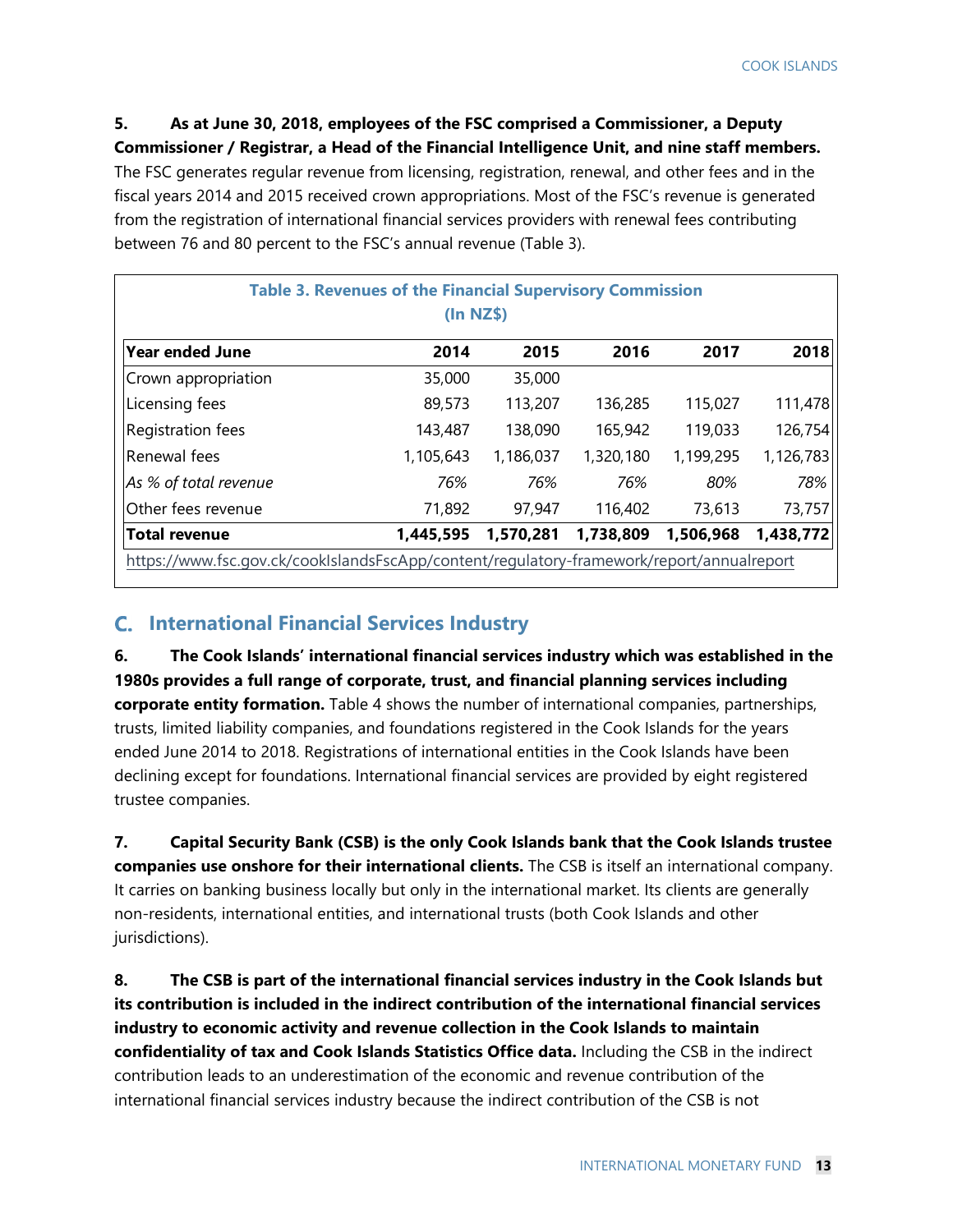**5. As at June 30, 2018, employees of the FSC comprised a Commissioner, a Deputy Commissioner / Registrar, a Head of the Financial Intelligence Unit, and nine staff members.** The FSC generates regular revenue from licensing, registration, renewal, and other fees and in the fiscal years 2014 and 2015 received crown appropriations. Most of the FSC's revenue is generated from the registration of international financial services providers with renewal fees contributing between 76 and 80 percent to the FSC's annual revenue (Table 3).

|                                                                                           | <b>Table 3. Revenues of the Financial Supervisory Commission</b><br>(In NZ\$) |           |           |           |           |
|-------------------------------------------------------------------------------------------|-------------------------------------------------------------------------------|-----------|-----------|-----------|-----------|
| <b>Year ended June</b>                                                                    | 2014                                                                          | 2015      | 2016      | 2017      | 2018      |
| Crown appropriation                                                                       | 35,000                                                                        | 35,000    |           |           |           |
| <b>Licensing fees</b>                                                                     | 89,573                                                                        | 113,207   | 136,285   | 115,027   | 111,478   |
| Registration fees                                                                         | 143,487                                                                       | 138,090   | 165,942   | 119,033   | 126,754   |
| lRenewal fees                                                                             | 1,105,643                                                                     | 1,186,037 | 1,320,180 | 1,199,295 | 1,126,783 |
| As % of total revenue                                                                     | 76%                                                                           | 76%       | 76%       | 80%       | 78%       |
| Other fees revenue                                                                        | 71,892                                                                        | 97,947    | 116,402   | 73,613    | 73,757    |
| <b>Total revenue</b>                                                                      | 1,445,595                                                                     | 1,570,281 | 1,738,809 | 1,506,968 | 1,438,772 |
| https://www.fsc.gov.ck/cookIslandsFscApp/content/regulatory-framework/report/annualreport |                                                                               |           |           |           |           |

#### **International Financial Services Industry**

**6. The Cook Islands' international financial services industry which was established in the 1980s provides a full range of corporate, trust, and financial planning services including corporate entity formation.** Table 4 shows the number of international companies, partnerships, trusts, limited liability companies, and foundations registered in the Cook Islands for the years ended June 2014 to 2018. Registrations of international entities in the Cook Islands have been declining except for foundations. International financial services are provided by eight registered trustee companies.

**7. Capital Security Bank (CSB) is the only Cook Islands bank that the Cook Islands trustee companies use onshore for their international clients.** The CSB is itself an international company. It carries on banking business locally but only in the international market. Its clients are generally non-residents, international entities, and international trusts (both Cook Islands and other jurisdictions).

**8. The CSB is part of the international financial services industry in the Cook Islands but its contribution is included in the indirect contribution of the international financial services industry to economic activity and revenue collection in the Cook Islands to maintain confidentiality of tax and Cook Islands Statistics Office data.** Including the CSB in the indirect contribution leads to an underestimation of the economic and revenue contribution of the international financial services industry because the indirect contribution of the CSB is not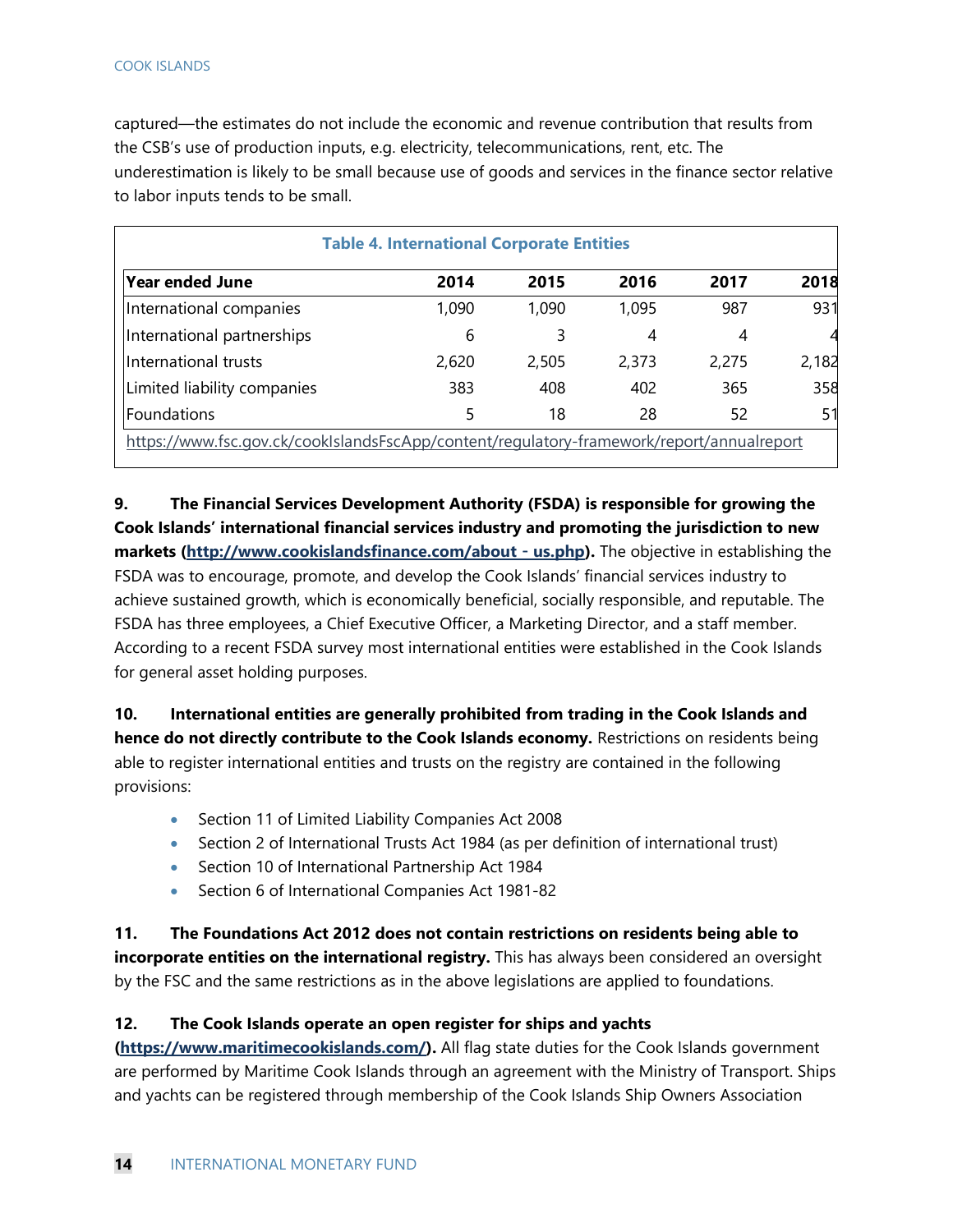captured—the estimates do not include the economic and revenue contribution that results from the CSB's use of production inputs, e.g. electricity, telecommunications, rent, etc. The underestimation is likely to be small because use of goods and services in the finance sector relative to labor inputs tends to be small.

|                                                                                           | <b>Table 4. International Corporate Entities</b> |       |       |       |       |
|-------------------------------------------------------------------------------------------|--------------------------------------------------|-------|-------|-------|-------|
| Year ended June                                                                           | 2014                                             | 2015  | 2016  | 2017  | 2018  |
| International companies                                                                   | 1,090                                            | 1,090 | 1,095 | 987   | 931   |
| International partnerships                                                                | 6                                                | 3     | 4     | 4     |       |
| IInternational trusts                                                                     | 2,620                                            | 2,505 | 2,373 | 2,275 | 2,182 |
| Limited liability companies                                                               | 383                                              | 408   | 402   | 365   | 358   |
| Foundations                                                                               | 5                                                | 18    | 28    | 52    | 51    |
| https://www.fsc.gov.ck/cookIslandsFscApp/content/regulatory-framework/report/annualreport |                                                  |       |       |       |       |

**9. The Financial Services Development Authority (FSDA) is responsible for growing the Cook Islands' international financial services industry and promoting the jurisdiction to new markets (http://www.cookislandsfinance.com/about - us.php).** The objective in establishing the FSDA was to encourage, promote, and develop the Cook Islands' financial services industry to achieve sustained growth, which is economically beneficial, socially responsible, and reputable. The FSDA has three employees, a Chief Executive Officer, a Marketing Director, and a staff member. According to a recent FSDA survey most international entities were established in the Cook Islands for general asset holding purposes.

**10. International entities are generally prohibited from trading in the Cook Islands and hence do not directly contribute to the Cook Islands economy.** Restrictions on residents being able to register international entities and trusts on the registry are contained in the following provisions:

- Section 11 of Limited Liability Companies Act 2008
- Section 2 of International Trusts Act 1984 (as per definition of international trust)
- Section 10 of International Partnership Act 1984
- Section 6 of International Companies Act 1981-82

**11. The Foundations Act 2012 does not contain restrictions on residents being able to incorporate entities on the international registry.** This has always been considered an oversight by the FSC and the same restrictions as in the above legislations are applied to foundations.

#### **12. The Cook Islands operate an open register for ships and yachts**

**(https://www.maritimecookislands.com/).** All flag state duties for the Cook Islands government are performed by Maritime Cook Islands through an agreement with the Ministry of Transport. Ships and yachts can be registered through membership of the Cook Islands Ship Owners Association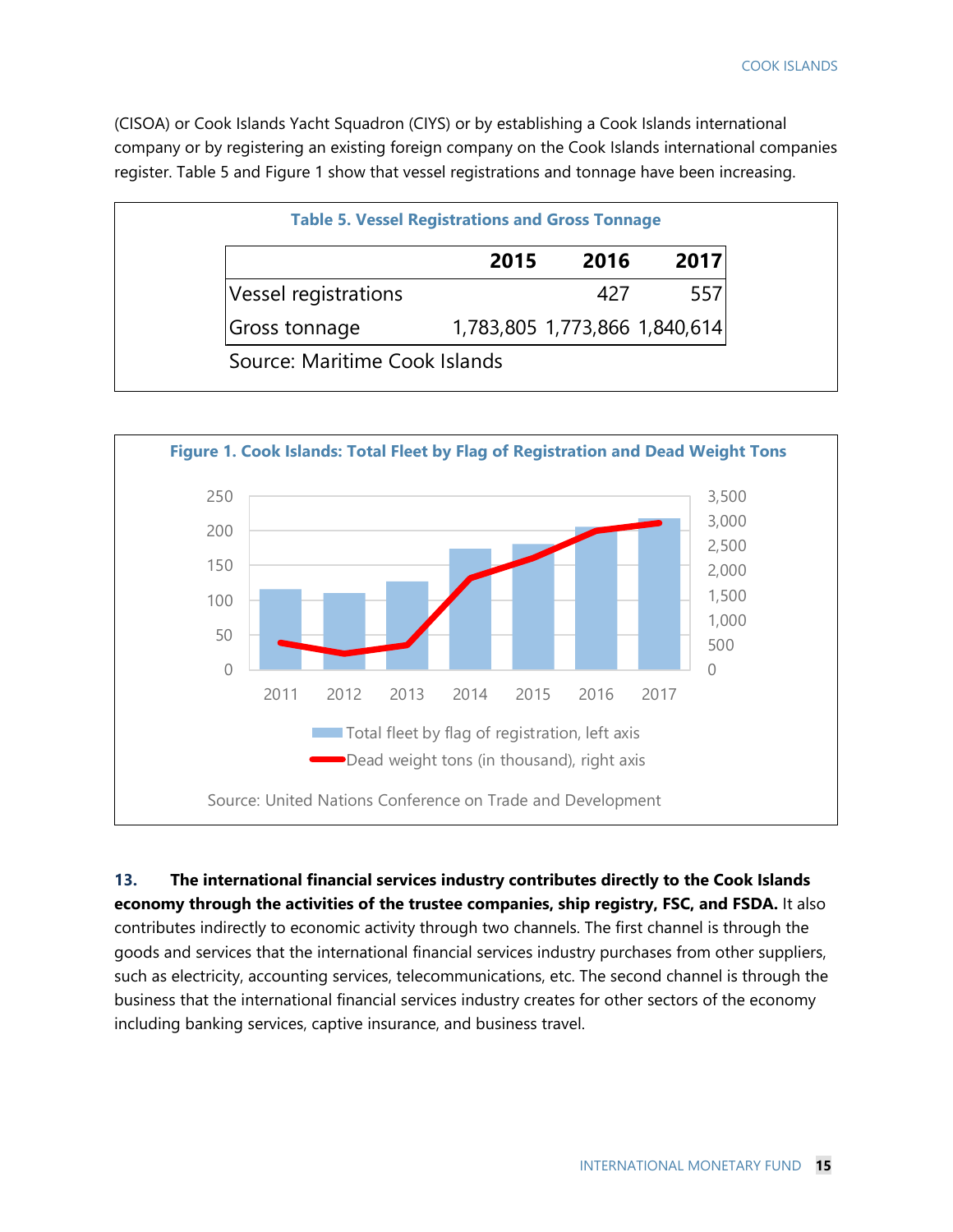(CISOA) or Cook Islands Yacht Squadron (CIYS) or by establishing a Cook Islands international company or by registering an existing foreign company on the Cook Islands international companies register. Table 5 and Figure 1 show that vessel registrations and tonnage have been increasing.

|                      | 2015                          | 2016 | 2017 |
|----------------------|-------------------------------|------|------|
| Vessel registrations |                               | 427  | 557  |
| Gross tonnage        | 1,783,805 1,773,866 1,840,614 |      |      |



**13. The international financial services industry contributes directly to the Cook Islands economy through the activities of the trustee companies, ship registry, FSC, and FSDA.** It also contributes indirectly to economic activity through two channels. The first channel is through the goods and services that the international financial services industry purchases from other suppliers, such as electricity, accounting services, telecommunications, etc. The second channel is through the business that the international financial services industry creates for other sectors of the economy including banking services, captive insurance, and business travel.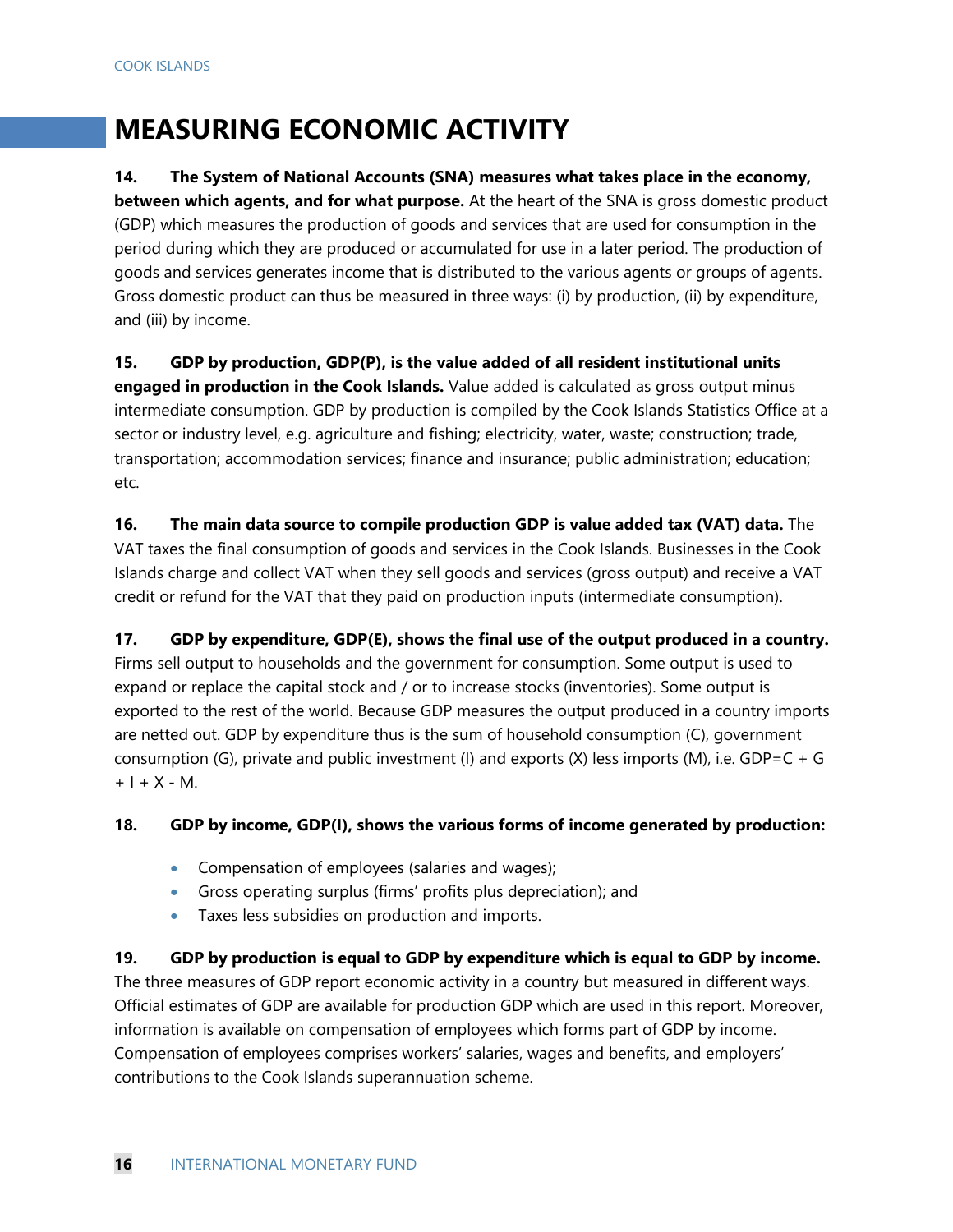## **MEASURING ECONOMIC ACTIVITY**

#### **14. The System of National Accounts (SNA) measures what takes place in the economy,**

**between which agents, and for what purpose.** At the heart of the SNA is gross domestic product (GDP) which measures the production of goods and services that are used for consumption in the period during which they are produced or accumulated for use in a later period. The production of goods and services generates income that is distributed to the various agents or groups of agents. Gross domestic product can thus be measured in three ways: (i) by production, (ii) by expenditure, and (iii) by income.

#### **15. GDP by production, GDP(P), is the value added of all resident institutional units**

**engaged in production in the Cook Islands.** Value added is calculated as gross output minus intermediate consumption. GDP by production is compiled by the Cook Islands Statistics Office at a sector or industry level, e.g. agriculture and fishing; electricity, water, waste; construction; trade, transportation; accommodation services; finance and insurance; public administration; education; etc.

#### **16. The main data source to compile production GDP is value added tax (VAT) data.** The VAT taxes the final consumption of goods and services in the Cook Islands. Businesses in the Cook Islands charge and collect VAT when they sell goods and services (gross output) and receive a VAT credit or refund for the VAT that they paid on production inputs (intermediate consumption).

**17. GDP by expenditure, GDP(E), shows the final use of the output produced in a country.**  Firms sell output to households and the government for consumption. Some output is used to expand or replace the capital stock and / or to increase stocks (inventories). Some output is exported to the rest of the world. Because GDP measures the output produced in a country imports are netted out. GDP by expenditure thus is the sum of household consumption (C), government consumption (G), private and public investment (I) and exports (X) less imports (M), i.e.  $GDP=C+G$  $+ 1 + X - M$ .

#### **18. GDP by income, GDP(I), shows the various forms of income generated by production:**

- Compensation of employees (salaries and wages);
- Gross operating surplus (firms' profits plus depreciation); and
- Taxes less subsidies on production and imports.

#### **19. GDP by production is equal to GDP by expenditure which is equal to GDP by income.**

The three measures of GDP report economic activity in a country but measured in different ways. Official estimates of GDP are available for production GDP which are used in this report. Moreover, information is available on compensation of employees which forms part of GDP by income. Compensation of employees comprises workers' salaries, wages and benefits, and employers' contributions to the Cook Islands superannuation scheme.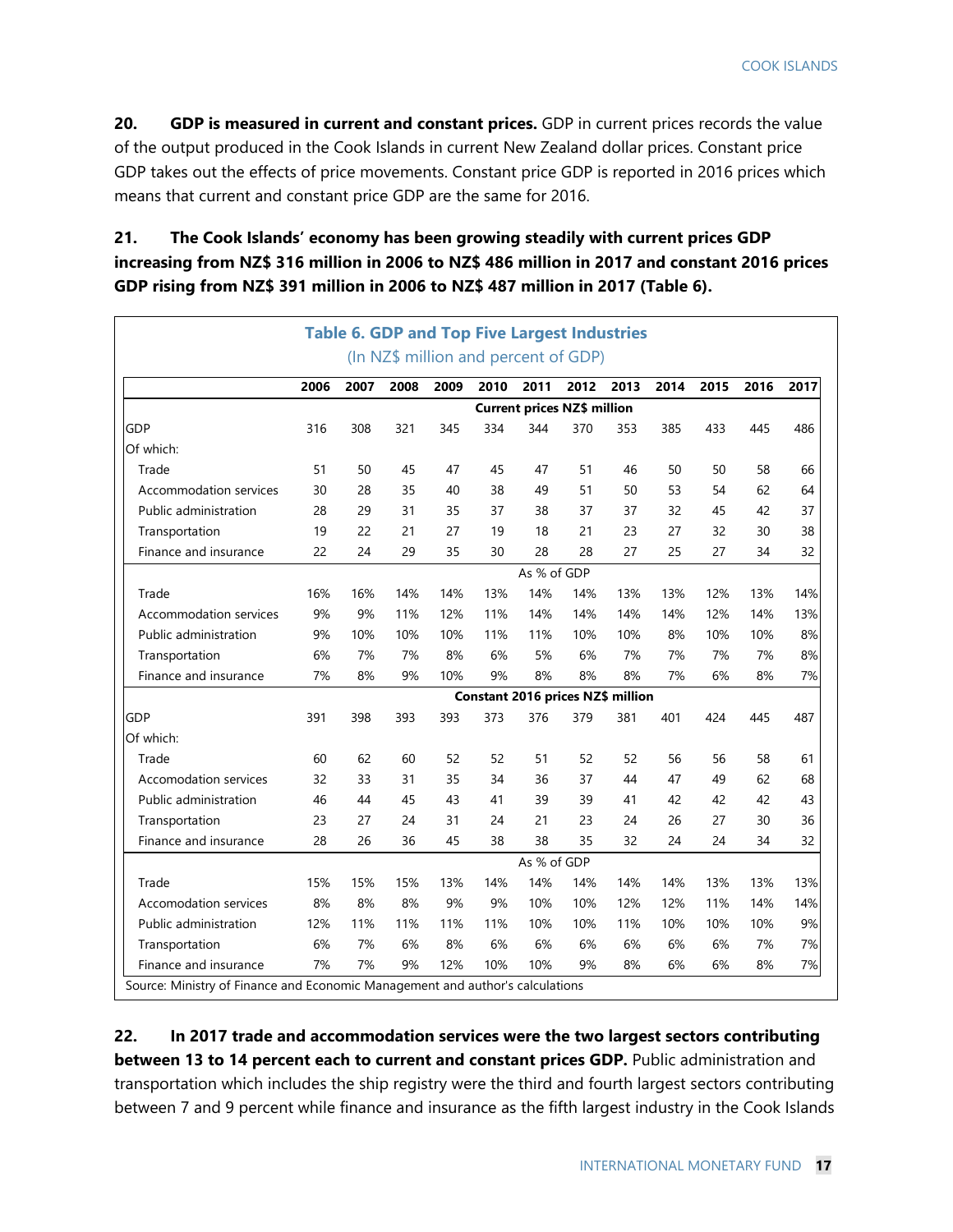**20. GDP is measured in current and constant prices.** GDP in current prices records the value of the output produced in the Cook Islands in current New Zealand dollar prices. Constant price GDP takes out the effects of price movements. Constant price GDP is reported in 2016 prices which means that current and constant price GDP are the same for 2016.

#### **21. The Cook Islands' economy has been growing steadily with current prices GDP increasing from NZ\$ 316 million in 2006 to NZ\$ 486 million in 2017 and constant 2016 prices GDP rising from NZ\$ 391 million in 2006 to NZ\$ 487 million in 2017 (Table 6).**

|                              |      |             |      |      |      |             | <b>Table 6. GDP and Top Five Largest Industries</b> |      |      |      |      |      |
|------------------------------|------|-------------|------|------|------|-------------|-----------------------------------------------------|------|------|------|------|------|
|                              |      |             |      |      |      |             | (In NZ\$ million and percent of GDP)                |      |      |      |      |      |
|                              | 2006 | 2007        | 2008 | 2009 | 2010 | 2011        | 2012                                                | 2013 | 2014 | 2015 | 2016 | 2017 |
|                              |      |             |      |      |      |             | <b>Current prices NZ\$ million</b>                  |      |      |      |      |      |
| <b>GDP</b>                   | 316  | 308         | 321  | 345  | 334  | 344         | 370                                                 | 353  | 385  | 433  | 445  | 486  |
| Of which:                    |      |             |      |      |      |             |                                                     |      |      |      |      |      |
| Trade                        | 51   | 50          | 45   | 47   | 45   | 47          | 51                                                  | 46   | 50   | 50   | 58   | 66   |
| Accommodation services       | 30   | 28          | 35   | 40   | 38   | 49          | 51                                                  | 50   | 53   | 54   | 62   | 64   |
| Public administration        | 28   | 29          | 31   | 35   | 37   | 38          | 37                                                  | 37   | 32   | 45   | 42   | 37   |
| Transportation               | 19   | 22          | 21   | 27   | 19   | 18          | 21                                                  | 23   | 27   | 32   | 30   | 38   |
| Finance and insurance        | 22   | 24          | 29   | 35   | 30   | 28          | 28                                                  | 27   | 25   | 27   | 34   | 32   |
|                              |      | As % of GDP |      |      |      |             |                                                     |      |      |      |      |      |
| Trade                        | 16%  | 16%         | 14%  | 14%  | 13%  | 14%         | 14%                                                 | 13%  | 13%  | 12%  | 13%  | 14%  |
| Accommodation services       | 9%   | 9%          | 11%  | 12%  | 11%  | 14%         | 14%                                                 | 14%  | 14%  | 12%  | 14%  | 13%  |
| Public administration        | 9%   | 10%         | 10%  | 10%  | 11%  | 11%         | 10%                                                 | 10%  | 8%   | 10%  | 10%  | 8%   |
| Transportation               | 6%   | 7%          | 7%   | 8%   | 6%   | 5%          | 6%                                                  | 7%   | 7%   | 7%   | 7%   | 8%   |
| Finance and insurance        | 7%   | 8%          | 9%   | 10%  | 9%   | 8%          | 8%                                                  | 8%   | 7%   | 6%   | 8%   | 7%   |
|                              |      |             |      |      |      |             | Constant 2016 prices NZ\$ million                   |      |      |      |      |      |
| <b>GDP</b>                   | 391  | 398         | 393  | 393  | 373  | 376         | 379                                                 | 381  | 401  | 424  | 445  | 487  |
| Of which:                    |      |             |      |      |      |             |                                                     |      |      |      |      |      |
| Trade                        | 60   | 62          | 60   | 52   | 52   | 51          | 52                                                  | 52   | 56   | 56   | 58   | 61   |
| <b>Accomodation services</b> | 32   | 33          | 31   | 35   | 34   | 36          | 37                                                  | 44   | 47   | 49   | 62   | 68   |
| Public administration        | 46   | 44          | 45   | 43   | 41   | 39          | 39                                                  | 41   | 42   | 42   | 42   | 43   |
| Transportation               | 23   | 27          | 24   | 31   | 24   | 21          | 23                                                  | 24   | 26   | 27   | 30   | 36   |
| Finance and insurance        | 28   | 26          | 36   | 45   | 38   | 38          | 35                                                  | 32   | 24   | 24   | 34   | 32   |
|                              |      |             |      |      |      | As % of GDP |                                                     |      |      |      |      |      |
| Trade                        | 15%  | 15%         | 15%  | 13%  | 14%  | 14%         | 14%                                                 | 14%  | 14%  | 13%  | 13%  | 13%  |
| Accomodation services        | 8%   | 8%          | 8%   | 9%   | 9%   | 10%         | 10%                                                 | 12%  | 12%  | 11%  | 14%  | 14%  |
| Public administration        | 12%  | 11%         | 11%  | 11%  | 11%  | 10%         | 10%                                                 | 11%  | 10%  | 10%  | 10%  | 9%   |
| Transportation               | 6%   | 7%          | 6%   | 8%   | 6%   | 6%          | 6%                                                  | 6%   | 6%   | 6%   | 7%   | 7%   |
| Finance and insurance        | 7%   | 7%          | 9%   | 12%  | 10%  | 10%         | 9%                                                  | 8%   | 6%   | 6%   | 8%   | 7%   |

**22. In 2017 trade and accommodation services were the two largest sectors contributing between 13 to 14 percent each to current and constant prices GDP.** Public administration and transportation which includes the ship registry were the third and fourth largest sectors contributing between 7 and 9 percent while finance and insurance as the fifth largest industry in the Cook Islands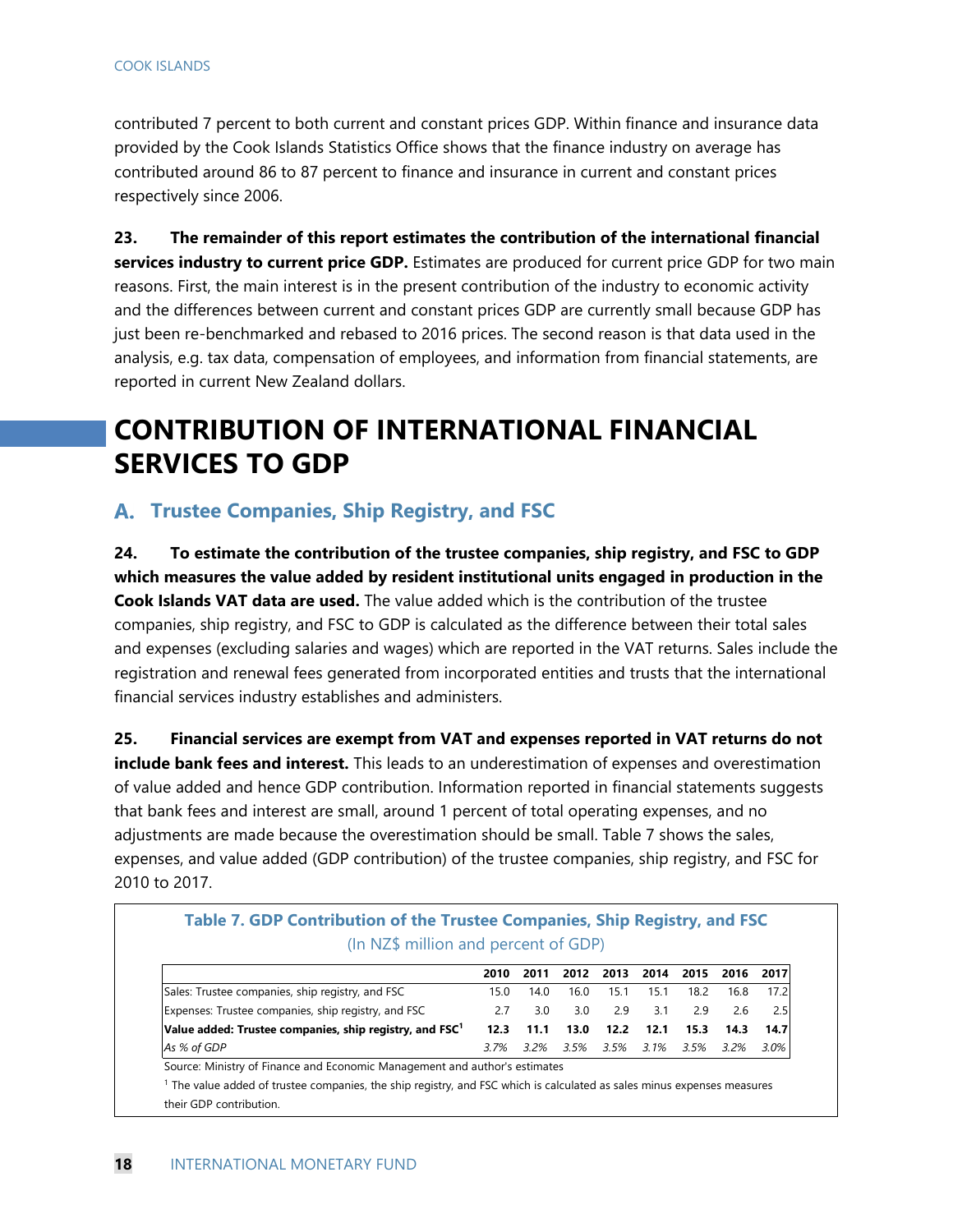contributed 7 percent to both current and constant prices GDP. Within finance and insurance data provided by the Cook Islands Statistics Office shows that the finance industry on average has contributed around 86 to 87 percent to finance and insurance in current and constant prices respectively since 2006.

**23. The remainder of this report estimates the contribution of the international financial services industry to current price GDP.** Estimates are produced for current price GDP for two main reasons. First, the main interest is in the present contribution of the industry to economic activity and the differences between current and constant prices GDP are currently small because GDP has just been re-benchmarked and rebased to 2016 prices. The second reason is that data used in the analysis, e.g. tax data, compensation of employees, and information from financial statements, are reported in current New Zealand dollars.

# **CONTRIBUTION OF INTERNATIONAL FINANCIAL SERVICES TO GDP**

#### **Trustee Companies, Ship Registry, and FSC**

**24. To estimate the contribution of the trustee companies, ship registry, and FSC to GDP which measures the value added by resident institutional units engaged in production in the Cook Islands VAT data are used.** The value added which is the contribution of the trustee companies, ship registry, and FSC to GDP is calculated as the difference between their total sales and expenses (excluding salaries and wages) which are reported in the VAT returns. Sales include the registration and renewal fees generated from incorporated entities and trusts that the international financial services industry establishes and administers.

**25. Financial services are exempt from VAT and expenses reported in VAT returns do not include bank fees and interest.** This leads to an underestimation of expenses and overestimation of value added and hence GDP contribution. Information reported in financial statements suggests that bank fees and interest are small, around 1 percent of total operating expenses, and no adjustments are made because the overestimation should be small. Table 7 shows the sales, expenses, and value added (GDP contribution) of the trustee companies, ship registry, and FSC for 2010 to 2017.

|                                                                     | 2010 | 2011    | 2012 | 2013 | 2014 | 2015 | 2016    | 2017 |
|---------------------------------------------------------------------|------|---------|------|------|------|------|---------|------|
| Sales: Trustee companies, ship registry, and FSC                    | 15.0 | 14.0    | 16.0 | 15.1 | 15.1 | 18.2 | 16.8    | 17.2 |
| Expenses: Trustee companies, ship registry, and FSC                 | 2.7  | 3.0     | 3.0  | 2.9  | 3.1  | 29   | 2.6     | 2.5  |
| Value added: Trustee companies, ship registry, and $\mathsf{FSC}^1$ | 12.3 | 11.1    | 13.0 | 12.2 | 12.1 | 15.3 | 14.3    | 14.7 |
| As % of GDP                                                         | 3.7% | $3.2\%$ | 3.5% | 3.5% | 3.1% | 3.5% | $3.2\%$ | 3.0% |

# **Table 7. GDP Contribution of the Trustee Companies, Ship Registry, and FSC**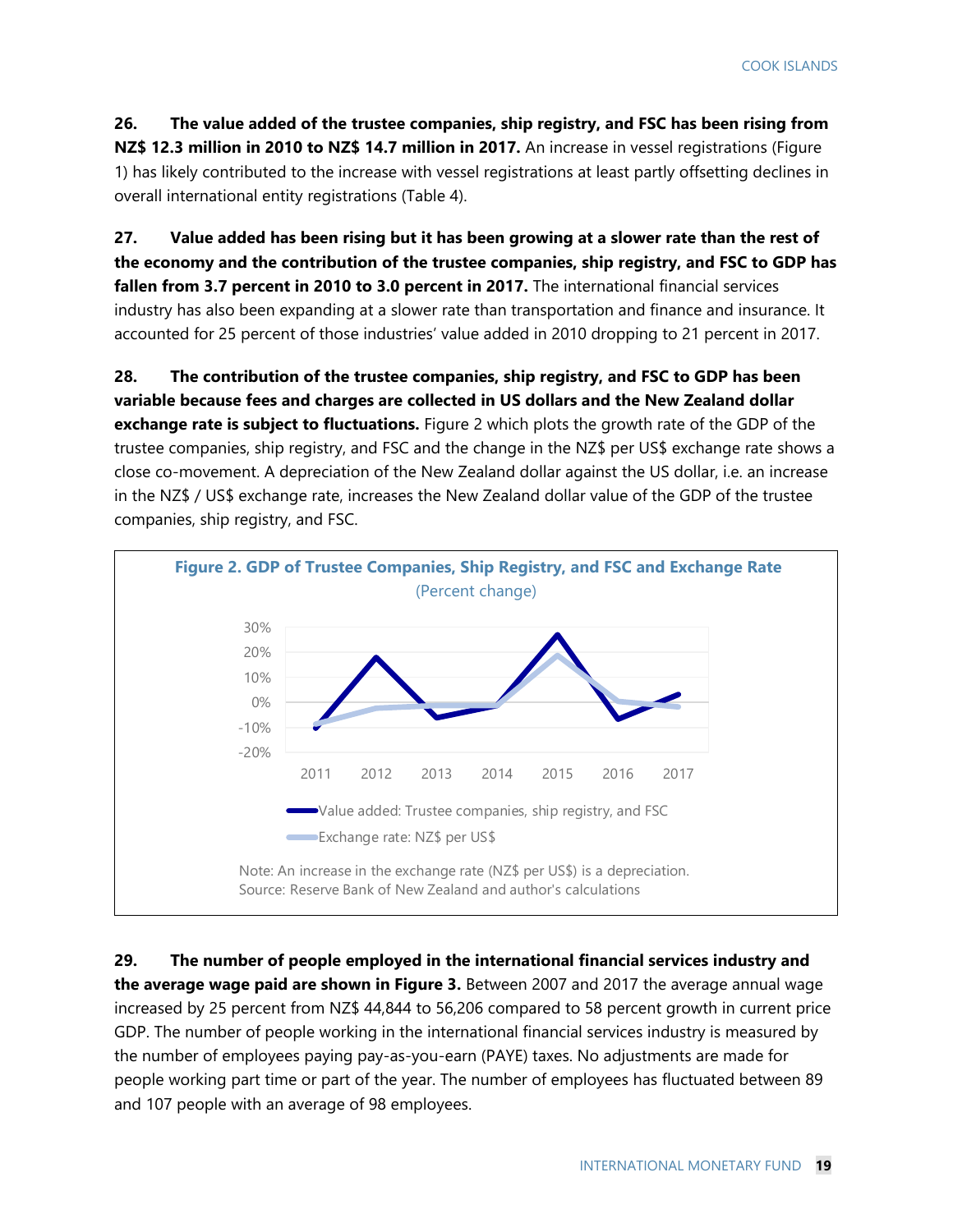**26. The value added of the trustee companies, ship registry, and FSC has been rising from NZ\$ 12.3 million in 2010 to NZ\$ 14.7 million in 2017.** An increase in vessel registrations (Figure 1) has likely contributed to the increase with vessel registrations at least partly offsetting declines in overall international entity registrations (Table 4).

**27. Value added has been rising but it has been growing at a slower rate than the rest of the economy and the contribution of the trustee companies, ship registry, and FSC to GDP has fallen from 3.7 percent in 2010 to 3.0 percent in 2017.** The international financial services industry has also been expanding at a slower rate than transportation and finance and insurance. It accounted for 25 percent of those industries' value added in 2010 dropping to 21 percent in 2017.

**28. The contribution of the trustee companies, ship registry, and FSC to GDP has been variable because fees and charges are collected in US dollars and the New Zealand dollar exchange rate is subject to fluctuations.** Figure 2 which plots the growth rate of the GDP of the trustee companies, ship registry, and FSC and the change in the NZ\$ per US\$ exchange rate shows a close co-movement. A depreciation of the New Zealand dollar against the US dollar, i.e. an increase in the NZ\$ / US\$ exchange rate, increases the New Zealand dollar value of the GDP of the trustee companies, ship registry, and FSC.



**29. The number of people employed in the international financial services industry and the average wage paid are shown in Figure 3.** Between 2007 and 2017 the average annual wage increased by 25 percent from NZ\$ 44,844 to 56,206 compared to 58 percent growth in current price GDP. The number of people working in the international financial services industry is measured by the number of employees paying pay-as-you-earn (PAYE) taxes. No adjustments are made for people working part time or part of the year. The number of employees has fluctuated between 89 and 107 people with an average of 98 employees.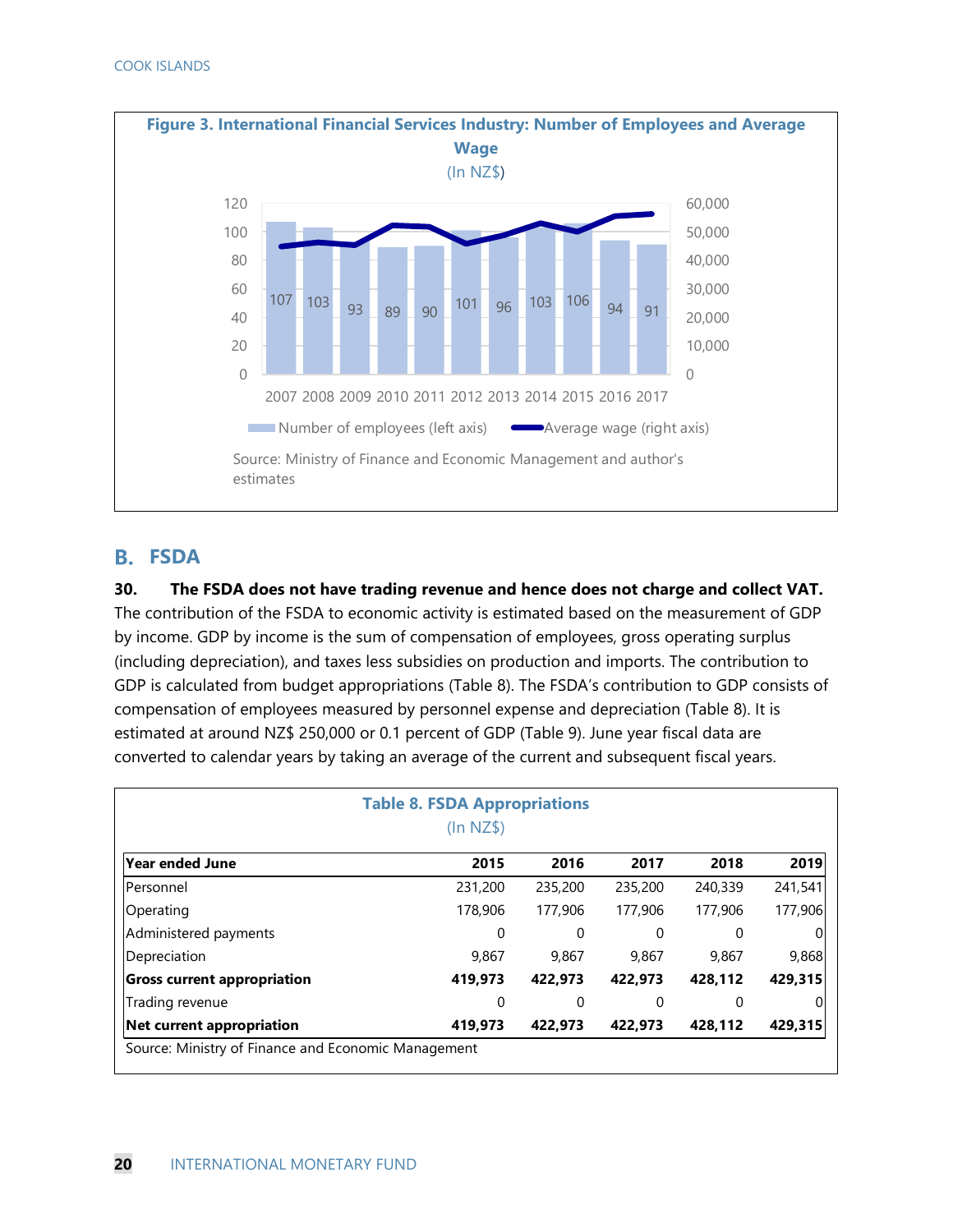

#### **FSDA**

**30. The FSDA does not have trading revenue and hence does not charge and collect VAT.**  The contribution of the FSDA to economic activity is estimated based on the measurement of GDP by income. GDP by income is the sum of compensation of employees, gross operating surplus (including depreciation), and taxes less subsidies on production and imports. The contribution to GDP is calculated from budget appropriations (Table 8). The FSDA's contribution to GDP consists of compensation of employees measured by personnel expense and depreciation (Table 8). It is estimated at around NZ\$ 250,000 or 0.1 percent of GDP (Table 9). June year fiscal data are converted to calendar years by taking an average of the current and subsequent fiscal years.

| <b>Table 8. FSDA Appropriations</b><br>$(ln NZ$ \$) |         |         |         |         |         |  |  |  |  |  |  |
|-----------------------------------------------------|---------|---------|---------|---------|---------|--|--|--|--|--|--|
| lYear ended June                                    | 2015    | 2016    | 2017    | 2018    | 2019    |  |  |  |  |  |  |
| lPersonnel                                          | 231,200 | 235,200 | 235,200 | 240,339 | 241,541 |  |  |  |  |  |  |
| Operating                                           | 178,906 | 177,906 | 177,906 | 177,906 | 177,906 |  |  |  |  |  |  |
| Administered payments                               | 0       | 0       | 0       | 0       |         |  |  |  |  |  |  |
| Depreciation                                        | 9,867   | 9,867   | 9,867   | 9,867   | 9,868   |  |  |  |  |  |  |
| <b>Gross current appropriation</b>                  | 419,973 | 422,973 | 422,973 | 428,112 | 429,315 |  |  |  |  |  |  |
| Trading revenue                                     | 0       | 0       | 0       | 0       |         |  |  |  |  |  |  |
| Net current appropriation                           | 419,973 | 422,973 | 422,973 | 428,112 | 429,315 |  |  |  |  |  |  |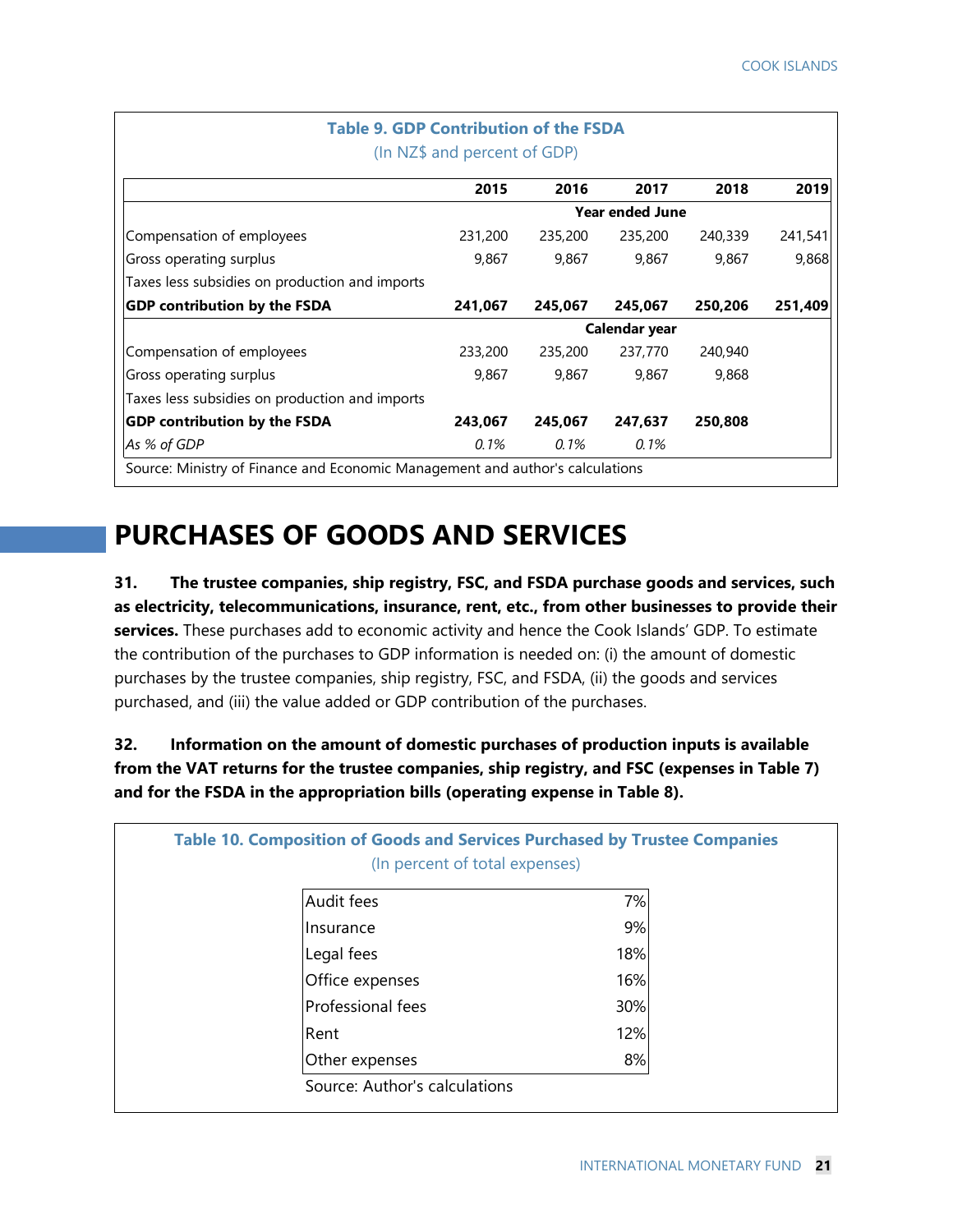| <b>Table 9. GDP Contribution of the FSDA</b><br>(In NZ\$ and percent of GDP)  |         |         |                        |         |         |  |  |  |  |  |  |
|-------------------------------------------------------------------------------|---------|---------|------------------------|---------|---------|--|--|--|--|--|--|
|                                                                               | 2015    | 2016    | 2017                   | 2018    | 2019    |  |  |  |  |  |  |
|                                                                               |         |         | <b>Year ended June</b> |         |         |  |  |  |  |  |  |
| Compensation of employees                                                     | 231,200 | 235,200 | 235,200                | 240,339 | 241,541 |  |  |  |  |  |  |
| Gross operating surplus                                                       | 9,867   | 9,867   | 9,867                  | 9,867   | 9,868   |  |  |  |  |  |  |
| Taxes less subsidies on production and imports                                |         |         |                        |         |         |  |  |  |  |  |  |
| <b>GDP contribution by the FSDA</b>                                           | 241,067 | 245,067 | 245,067                | 250,206 | 251,409 |  |  |  |  |  |  |
|                                                                               |         |         | Calendar year          |         |         |  |  |  |  |  |  |
| Compensation of employees                                                     | 233,200 | 235,200 | 237,770                | 240,940 |         |  |  |  |  |  |  |
| Gross operating surplus                                                       | 9,867   | 9,867   | 9,867                  | 9,868   |         |  |  |  |  |  |  |
| Taxes less subsidies on production and imports                                |         |         |                        |         |         |  |  |  |  |  |  |
| <b>GDP contribution by the FSDA</b>                                           | 243,067 | 245,067 | 247,637                | 250,808 |         |  |  |  |  |  |  |
| As % of GDP                                                                   | $0.1\%$ | $0.1\%$ | 0.1%                   |         |         |  |  |  |  |  |  |
| Source: Ministry of Finance and Economic Management and author's calculations |         |         |                        |         |         |  |  |  |  |  |  |

# **PURCHASES OF GOODS AND SERVICES**

**31. The trustee companies, ship registry, FSC, and FSDA purchase goods and services, such as electricity, telecommunications, insurance, rent, etc., from other businesses to provide their services.** These purchases add to economic activity and hence the Cook Islands' GDP. To estimate the contribution of the purchases to GDP information is needed on: (i) the amount of domestic purchases by the trustee companies, ship registry, FSC, and FSDA, (ii) the goods and services purchased, and (iii) the value added or GDP contribution of the purchases.

**32. Information on the amount of domestic purchases of production inputs is available from the VAT returns for the trustee companies, ship registry, and FSC (expenses in Table 7) and for the FSDA in the appropriation bills (operating expense in Table 8).** 

|                   | (In percent of total expenses) |
|-------------------|--------------------------------|
| Audit fees        | 7%                             |
| <b>Insurance</b>  | 9%                             |
| Legal fees        | 18%                            |
| Office expenses   | 16%                            |
| Professional fees | 30%                            |
| Rent              | 12%                            |
| Other expenses    | 8%                             |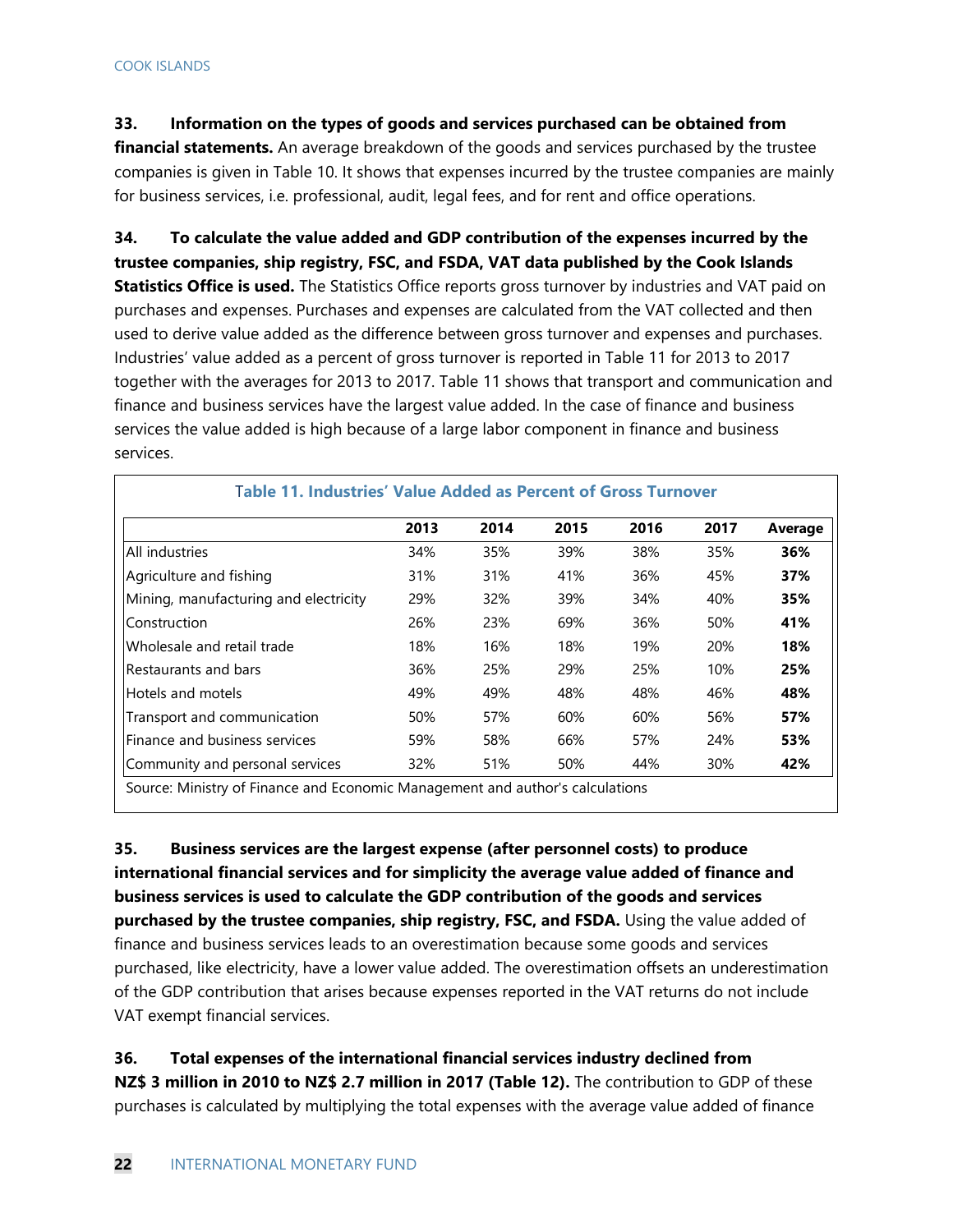#### **33. Information on the types of goods and services purchased can be obtained from**

**financial statements.** An average breakdown of the goods and services purchased by the trustee companies is given in Table 10. It shows that expenses incurred by the trustee companies are mainly for business services, i.e. professional, audit, legal fees, and for rent and office operations.

**34. To calculate the value added and GDP contribution of the expenses incurred by the trustee companies, ship registry, FSC, and FSDA, VAT data published by the Cook Islands Statistics Office is used.** The Statistics Office reports gross turnover by industries and VAT paid on purchases and expenses. Purchases and expenses are calculated from the VAT collected and then used to derive value added as the difference between gross turnover and expenses and purchases. Industries' value added as a percent of gross turnover is reported in Table 11 for 2013 to 2017 together with the averages for 2013 to 2017. Table 11 shows that transport and communication and finance and business services have the largest value added. In the case of finance and business services the value added is high because of a large labor component in finance and business services.

|                                       | 2013 | 2014 | 2015 | 2016 | 2017       | Average |
|---------------------------------------|------|------|------|------|------------|---------|
| All industries                        | 34%  | 35%  | 39%  | 38%  | 35%        | 36%     |
| Agriculture and fishing               | 31%  | 31%  | 41%  | 36%  | 45%        | 37%     |
| Mining, manufacturing and electricity | 29%  | 32%  | 39%  | 34%  | 40%        | 35%     |
| Construction                          | 26%  | 23%  | 69%  | 36%  | 50%        | 41%     |
| Wholesale and retail trade            | 18%  | 16%  | 18%  | 19%  | <b>20%</b> | 18%     |
| Restaurants and bars                  | 36%  | 25%  | 29%  | 25%  | 10%        | 25%     |
| Hotels and motels                     | 49%  | 49%  | 48%  | 48%  | 46%        | 48%     |
| Transport and communication           | 50%  | 57%  | 60%  | 60%  | 56%        | 57%     |
| lFinance and business services        | 59%  | 58%  | 66%  | 57%  | 24%        | 53%     |
| Community and personal services       | 32%  | 51%  | 50%  | 44%  | 30%        | 42%     |

**35. Business services are the largest expense (after personnel costs) to produce international financial services and for simplicity the average value added of finance and business services is used to calculate the GDP contribution of the goods and services purchased by the trustee companies, ship registry, FSC, and FSDA.** Using the value added of finance and business services leads to an overestimation because some goods and services purchased, like electricity, have a lower value added. The overestimation offsets an underestimation of the GDP contribution that arises because expenses reported in the VAT returns do not include VAT exempt financial services.

**36. Total expenses of the international financial services industry declined from NZ\$ 3 million in 2010 to NZ\$ 2.7 million in 2017 (Table 12).** The contribution to GDP of these purchases is calculated by multiplying the total expenses with the average value added of finance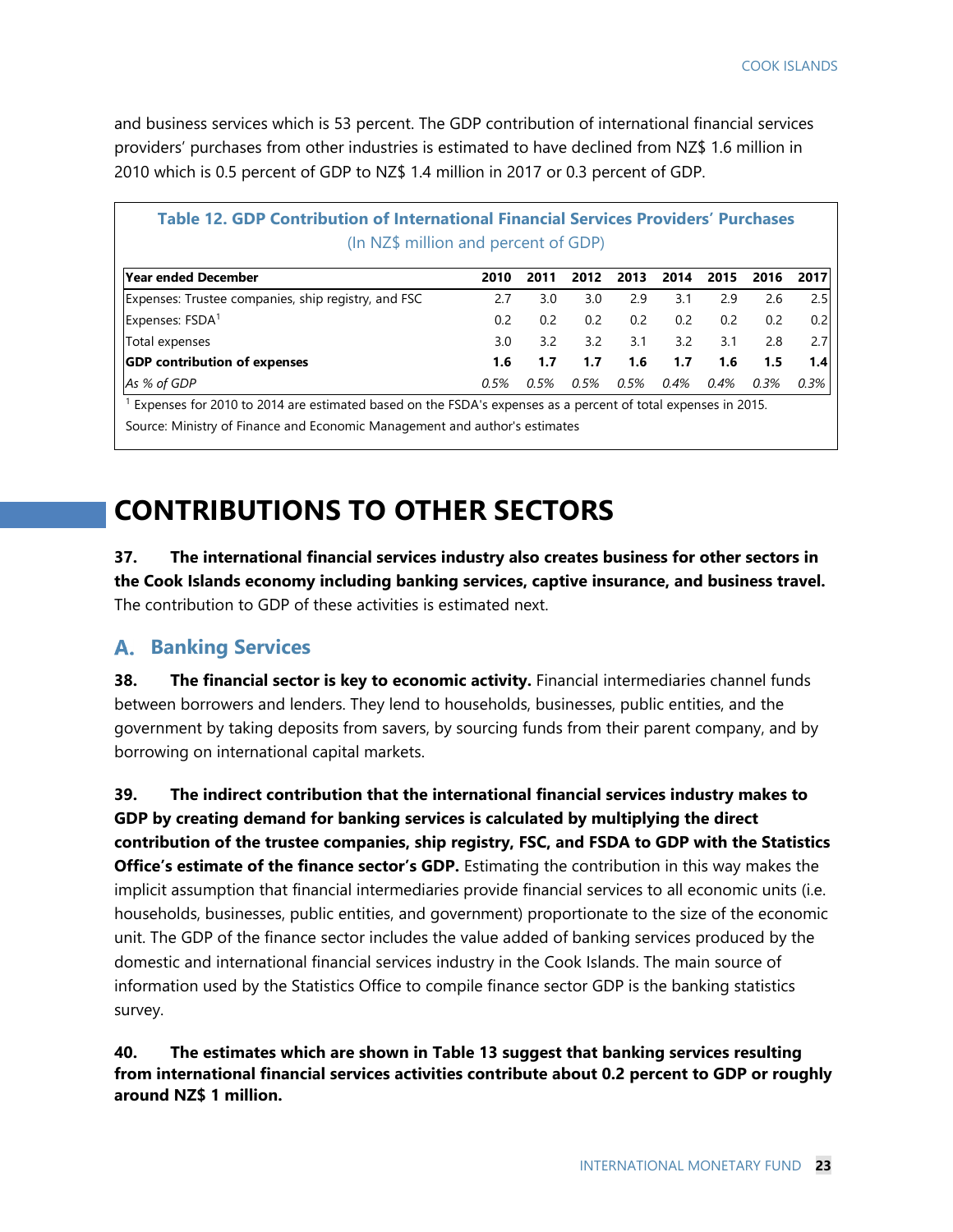and business services which is 53 percent. The GDP contribution of international financial services providers' purchases from other industries is estimated to have declined from NZ\$ 1.6 million in 2010 which is 0.5 percent of GDP to NZ\$ 1.4 million in 2017 or 0.3 percent of GDP.

| Table 12. GDP Contribution of International Financial Services Providers' Purchases<br>(In NZ\$ million and percent of GDP)                                                                |               |      |      |      |      |      |         |      |  |  |
|--------------------------------------------------------------------------------------------------------------------------------------------------------------------------------------------|---------------|------|------|------|------|------|---------|------|--|--|
| Year ended December                                                                                                                                                                        | 2010          | 2011 | 2012 | 2013 | 2014 | 2015 | 2016    | 2017 |  |  |
| Expenses: Trustee companies, ship registry, and FSC                                                                                                                                        | 2.7           | 3.0  | 3.0  | 2.9  | 3.1  | 2.9  | 2.6     | 2.5  |  |  |
| Expenses: FSDA <sup>1</sup>                                                                                                                                                                | 0.2           | 0.2  | 0.2  | 0.2  | 0.2  | 0.2  | 0.2     | 0.2  |  |  |
| Total expenses                                                                                                                                                                             | $3.0^{\circ}$ | 32   | 3.2  | 3.1  | 3.2  | 3.1  | 2.8     | 2.7  |  |  |
| <b>GDP</b> contribution of expenses                                                                                                                                                        | 1.6           | 1.7  | 1.7  | 1.6  | 1.7  | 1.6  | 1.5     | 1.4  |  |  |
| As % of GDP                                                                                                                                                                                | 0.5%          | 0.5% | 0.5% | 0.5% | 0.4% | 0.4% | $0.3\%$ | 0.3% |  |  |
| Expenses for 2010 to 2014 are estimated based on the FSDA's expenses as a percent of total expenses in 2015.<br>Source: Ministry of Finance and Economic Management and author's estimates |               |      |      |      |      |      |         |      |  |  |

**CONTRIBUTIONS TO OTHER SECTORS** 

**37. The international financial services industry also creates business for other sectors in the Cook Islands economy including banking services, captive insurance, and business travel.**  The contribution to GDP of these activities is estimated next.

#### **Banking Services**  А.

**38. The financial sector is key to economic activity.** Financial intermediaries channel funds between borrowers and lenders. They lend to households, businesses, public entities, and the government by taking deposits from savers, by sourcing funds from their parent company, and by borrowing on international capital markets.

**39. The indirect contribution that the international financial services industry makes to GDP by creating demand for banking services is calculated by multiplying the direct contribution of the trustee companies, ship registry, FSC, and FSDA to GDP with the Statistics Office's estimate of the finance sector's GDP.** Estimating the contribution in this way makes the implicit assumption that financial intermediaries provide financial services to all economic units (i.e. households, businesses, public entities, and government) proportionate to the size of the economic unit. The GDP of the finance sector includes the value added of banking services produced by the domestic and international financial services industry in the Cook Islands. The main source of information used by the Statistics Office to compile finance sector GDP is the banking statistics survey.

**40. The estimates which are shown in Table 13 suggest that banking services resulting from international financial services activities contribute about 0.2 percent to GDP or roughly around NZ\$ 1 million.**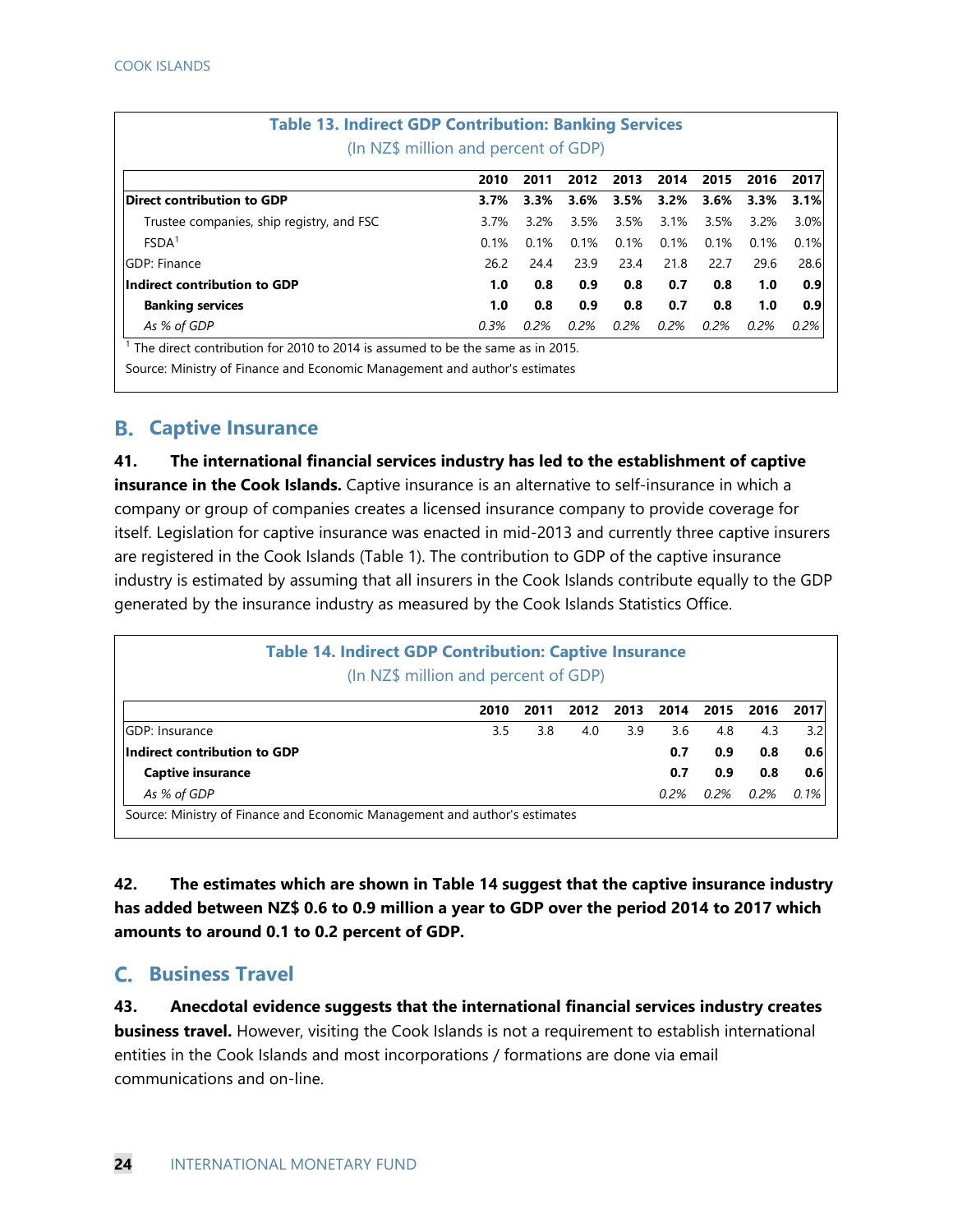| <b>Table 13. Indirect GDP Contribution: Banking Services</b> | (In NZ\$ million and percent of GDP) |         |         |         |      |      |      |      |
|--------------------------------------------------------------|--------------------------------------|---------|---------|---------|------|------|------|------|
|                                                              | 2010                                 | 2011    | 2012    | 2013    | 2014 | 2015 | 2016 | 2017 |
| Direct contribution to GDP                                   | 3.7%                                 | 3.3%    | 3.6%    | 3.5%    | 3.2% | 3.6% | 3.3% | 3.1% |
| Trustee companies, ship registry, and FSC                    | 3.7%                                 | 3.2%    | 3.5%    | 3.5%    | 3.1% | 3.5% | 3.2% | 3.0% |
| FSDA <sup>1</sup>                                            | 0.1%                                 | 0.1%    | 0.1%    | 0.1%    | 0.1% | 0.1% | 0.1% | 0.1% |
| <b>IGDP: Finance</b>                                         | 26.2                                 | 24.4    | 23.9    | 23.4    | 21.8 | 22.7 | 29.6 | 28.6 |
| Indirect contribution to GDP                                 | 1.0 <sub>1</sub>                     | 0.8     | 0.9     | 0.8     | 0.7  | 0.8  | 1.0  | 0.9  |
| <b>Banking services</b>                                      | 1.0                                  | 0.8     | 0.9     | 0.8     | 0.7  | 0.8  | 1.0  | 0.9  |
| As % of GDP                                                  | $0.3\%$                              | $0.2\%$ | $0.2\%$ | $0.2\%$ | 0.2% | 0.2% | 0.2% | 0.2% |

Source: Ministry of Finance and Economic Management and author's estimates

#### **Captive Insurance**

**41. The international financial services industry has led to the establishment of captive insurance in the Cook Islands.** Captive insurance is an alternative to self-insurance in which a company or group of companies creates a licensed insurance company to provide coverage for itself. Legislation for captive insurance was enacted in mid-2013 and currently three captive insurers are registered in the Cook Islands (Table 1). The contribution to GDP of the captive insurance industry is estimated by assuming that all insurers in the Cook Islands contribute equally to the GDP generated by the insurance industry as measured by the Cook Islands Statistics Office.

| <b>Table 14. Indirect GDP Contribution: Captive Insurance</b><br>(In NZ\$ million and percent of GDP) |      |      |      |      |           |      |      |      |  |  |
|-------------------------------------------------------------------------------------------------------|------|------|------|------|-----------|------|------|------|--|--|
|                                                                                                       | 2010 | 2011 | 2012 | 2013 | 2014 2015 |      | 2016 | 2017 |  |  |
| <b>IGDP: Insurance</b>                                                                                | 3.5  | 3.8  | 4.0  | 3.9  | 3.6       | 4.8  | 4.3  | 3.2  |  |  |
| Indirect contribution to GDP                                                                          |      |      |      |      | 0.7       | 0.9  | 0.8  | 0.6  |  |  |
| <b>Captive insurance</b>                                                                              |      |      |      |      | 0.7       | 0.9  | 0.8  | 0.6  |  |  |
| As % of GDP                                                                                           |      |      |      |      | 0.2%      | 0.2% | 0.2% | 0.1% |  |  |
| Source: Ministry of Finance and Economic Management and author's estimates                            |      |      |      |      |           |      |      |      |  |  |

**42. The estimates which are shown in Table 14 suggest that the captive insurance industry has added between NZ\$ 0.6 to 0.9 million a year to GDP over the period 2014 to 2017 which amounts to around 0.1 to 0.2 percent of GDP.** 

#### **Business Travel**

**43. Anecdotal evidence suggests that the international financial services industry creates business travel.** However, visiting the Cook Islands is not a requirement to establish international entities in the Cook Islands and most incorporations / formations are done via email communications and on-line.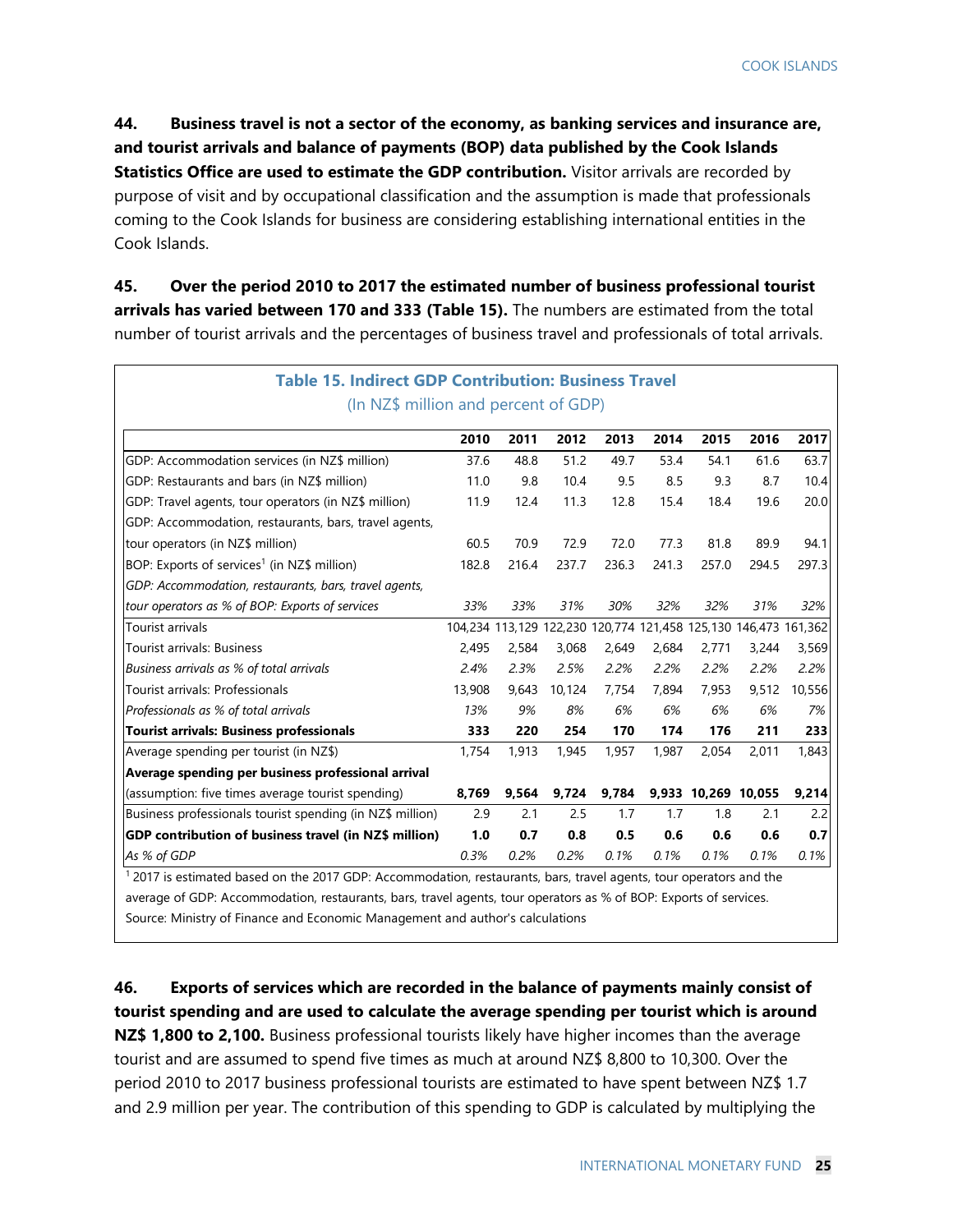**44. Business travel is not a sector of the economy, as banking services and insurance are, and tourist arrivals and balance of payments (BOP) data published by the Cook Islands Statistics Office are used to estimate the GDP contribution.** Visitor arrivals are recorded by purpose of visit and by occupational classification and the assumption is made that professionals coming to the Cook Islands for business are considering establishing international entities in the Cook Islands.

**45. Over the period 2010 to 2017 the estimated number of business professional tourist arrivals has varied between 170 and 333 (Table 15).** The numbers are estimated from the total number of tourist arrivals and the percentages of business travel and professionals of total arrivals.

|                                                           | 2010   | 2011                                                            | 2012   | 2013  | 2014  | 2015  | 2016                | 2017   |
|-----------------------------------------------------------|--------|-----------------------------------------------------------------|--------|-------|-------|-------|---------------------|--------|
| GDP: Accommodation services (in NZ\$ million)             | 37.6   | 48.8                                                            | 51.2   | 49.7  | 53.4  | 54.1  | 61.6                | 63.7   |
| GDP: Restaurants and bars (in NZ\$ million)               | 11.0   | 9.8                                                             | 10.4   | 9.5   | 8.5   | 9.3   | 8.7                 | 10.4   |
| GDP: Travel agents, tour operators (in NZ\$ million)      | 11.9   | 12.4                                                            | 11.3   | 12.8  | 15.4  | 18.4  | 19.6                | 20.0   |
| GDP: Accommodation, restaurants, bars, travel agents,     |        |                                                                 |        |       |       |       |                     |        |
| tour operators (in NZ\$ million)                          | 60.5   | 70.9                                                            | 72.9   | 72.0  | 77.3  | 81.8  | 89.9                | 94.1   |
| BOP: Exports of services <sup>1</sup> (in NZ\$ million)   | 182.8  | 216.4                                                           | 237.7  | 236.3 | 241.3 | 257.0 | 294.5               | 297.3  |
| GDP: Accommodation, restaurants, bars, travel agents,     |        |                                                                 |        |       |       |       |                     |        |
| tour operators as % of BOP: Exports of services           | 33%    | 33%                                                             | 31%    | 30%   | 32%   | 32%   | 31%                 | 32%    |
| Tourist arrivals                                          |        | 104,234 113,129 122,230 120,774 121,458 125,130 146,473 161,362 |        |       |       |       |                     |        |
| Tourist arrivals: Business                                | 2.495  | 2.584                                                           | 3.068  | 2,649 | 2.684 | 2.771 | 3.244               | 3,569  |
| Business arrivals as % of total arrivals                  | 2.4%   | 2.3%                                                            | 2.5%   | 2.2%  | 2.2%  | 2.2%  | 2.2%                | 2.2%   |
| Tourist arrivals: Professionals                           | 13,908 | 9,643                                                           | 10,124 | 7,754 | 7,894 | 7,953 | 9,512               | 10,556 |
| Professionals as % of total arrivals                      | 13%    | 9%                                                              | 8%     | 6%    | 6%    | 6%    | 6%                  | 7%     |
| Tourist arrivals: Business professionals                  | 333    | 220                                                             | 254    | 170   | 174   | 176   | 211                 | 233    |
| Average spending per tourist (in NZ\$)                    | 1,754  | 1,913                                                           | 1,945  | 1,957 | 1,987 | 2,054 | 2,011               | 1,843  |
| Average spending per business professional arrival        |        |                                                                 |        |       |       |       |                     |        |
| (assumption: five times average tourist spending)         | 8,769  | 9,564                                                           | 9,724  | 9,784 |       |       | 9,933 10,269 10,055 | 9,214  |
| Business professionals tourist spending (in NZ\$ million) | 2.9    | 2.1                                                             | 2.5    | 1.7   | 1.7   | 1.8   | 2.1                 | 2.2    |
| GDP contribution of business travel (in NZ\$ million)     | 1.0    | 0.7                                                             | 0.8    | 0.5   | 0.6   | 0.6   | 0.6                 | 0.7    |
| As % of GDP                                               | 0.3%   | 0.2%                                                            | 0.2%   | 0.1%  | 0.1%  | 0.1%  | 0.1%                | 0.1%   |

Source: Ministry of Finance and Economic Management and author's calculations

**46. Exports of services which are recorded in the balance of payments mainly consist of tourist spending and are used to calculate the average spending per tourist which is around NZ\$ 1,800 to 2,100.** Business professional tourists likely have higher incomes than the average tourist and are assumed to spend five times as much at around NZ\$ 8,800 to 10,300. Over the period 2010 to 2017 business professional tourists are estimated to have spent between NZ\$ 1.7 and 2.9 million per year. The contribution of this spending to GDP is calculated by multiplying the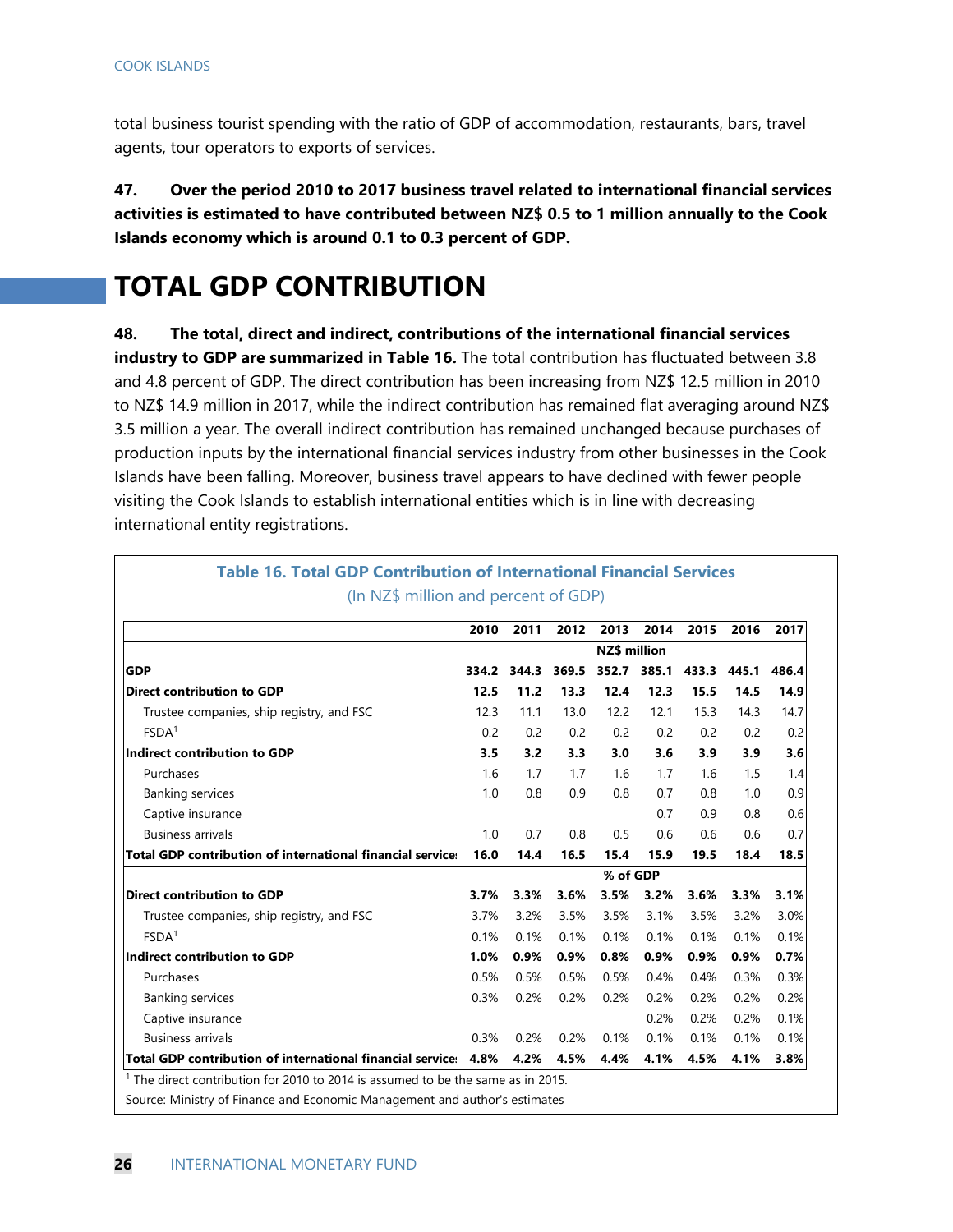total business tourist spending with the ratio of GDP of accommodation, restaurants, bars, travel agents, tour operators to exports of services.

**47. Over the period 2010 to 2017 business travel related to international financial services activities is estimated to have contributed between NZ\$ 0.5 to 1 million annually to the Cook Islands economy which is around 0.1 to 0.3 percent of GDP.** 

# **TOTAL GDP CONTRIBUTION**

**48. The total, direct and indirect, contributions of the international financial services industry to GDP are summarized in Table 16.** The total contribution has fluctuated between 3.8 and 4.8 percent of GDP. The direct contribution has been increasing from NZ\$ 12.5 million in 2010 to NZ\$ 14.9 million in 2017, while the indirect contribution has remained flat averaging around NZ\$ 3.5 million a year. The overall indirect contribution has remained unchanged because purchases of production inputs by the international financial services industry from other businesses in the Cook Islands have been falling. Moreover, business travel appears to have declined with fewer people visiting the Cook Islands to establish international entities which is in line with decreasing international entity registrations.

|                                                                   | 2010  | 2011  | 2012  | 2013                | 2014        | 2015  | 2016  | 2017  |
|-------------------------------------------------------------------|-------|-------|-------|---------------------|-------------|-------|-------|-------|
|                                                                   |       |       |       | <b>NZ\$</b> million |             |       |       |       |
| <b>GDP</b>                                                        | 334.2 | 344.3 | 369.5 |                     | 352.7 385.1 | 433.3 | 445.1 | 486.4 |
| <b>Direct contribution to GDP</b>                                 | 12.5  | 11.2  | 13.3  | 12.4                | 12.3        | 15.5  | 14.5  | 14.9  |
| Trustee companies, ship registry, and FSC                         | 12.3  | 11.1  | 13.0  | 12.2                | 12.1        | 15.3  | 14.3  | 14.7  |
| FSDA <sup>1</sup>                                                 | 0.2   | 0.2   | 0.2   | 0.2                 | 0.2         | 0.2   | 0.2   | 0.2   |
| Indirect contribution to GDP                                      | 3.5   | 3.2   | 3.3   | 3.0                 | 3.6         | 3.9   | 3.9   | 3.6   |
| Purchases                                                         | 1.6   | 1.7   | 1.7   | 1.6                 | 1.7         | 1.6   | 1.5   | 1.4   |
| <b>Banking services</b>                                           | 1.0   | 0.8   | 0.9   | 0.8                 | 0.7         | 0.8   | 1.0   | 0.9   |
| Captive insurance                                                 |       |       |       |                     | 0.7         | 0.9   | 0.8   | 0.6   |
| <b>Business arrivals</b>                                          | 1.0   | 0.7   | 0.8   | 0.5                 | 0.6         | 0.6   | 0.6   | 0.7   |
| <b>Total GDP contribution of international financial service:</b> | 16.0  | 14.4  | 16.5  | 15.4                | 15.9        | 19.5  | 18.4  | 18.5  |
|                                                                   |       |       |       | % of GDP            |             |       |       |       |
| <b>Direct contribution to GDP</b>                                 | 3.7%  | 3.3%  | 3.6%  | 3.5%                | 3.2%        | 3.6%  | 3.3%  | 3.1%  |
| Trustee companies, ship registry, and FSC                         | 3.7%  | 3.2%  | 3.5%  | 3.5%                | 3.1%        | 3.5%  | 3.2%  | 3.0%  |
| FSDA <sup>1</sup>                                                 | 0.1%  | 0.1%  | 0.1%  | 0.1%                | 0.1%        | 0.1%  | 0.1%  | 0.1%  |
| Indirect contribution to GDP                                      | 1.0%  | 0.9%  | 0.9%  | 0.8%                | 0.9%        | 0.9%  | 0.9%  | 0.7%  |
| Purchases                                                         | 0.5%  | 0.5%  | 0.5%  | 0.5%                | 0.4%        | 0.4%  | 0.3%  | 0.3%  |
| <b>Banking services</b>                                           | 0.3%  | 0.2%  | 0.2%  | 0.2%                | 0.2%        | 0.2%  | 0.2%  | 0.2%  |
| Captive insurance                                                 |       |       |       |                     | 0.2%        | 0.2%  | 0.2%  | 0.1%  |
| <b>Business arrivals</b>                                          | 0.3%  | 0.2%  | 0.2%  | 0.1%                | 0.1%        | 0.1%  | 0.1%  | 0.1%  |
| Total GDP contribution of international financial service: 4.8%   |       | 4.2%  | 4.5%  | 4.4%                | 4.1%        | 4.5%  | 4.1%  | 3.8%  |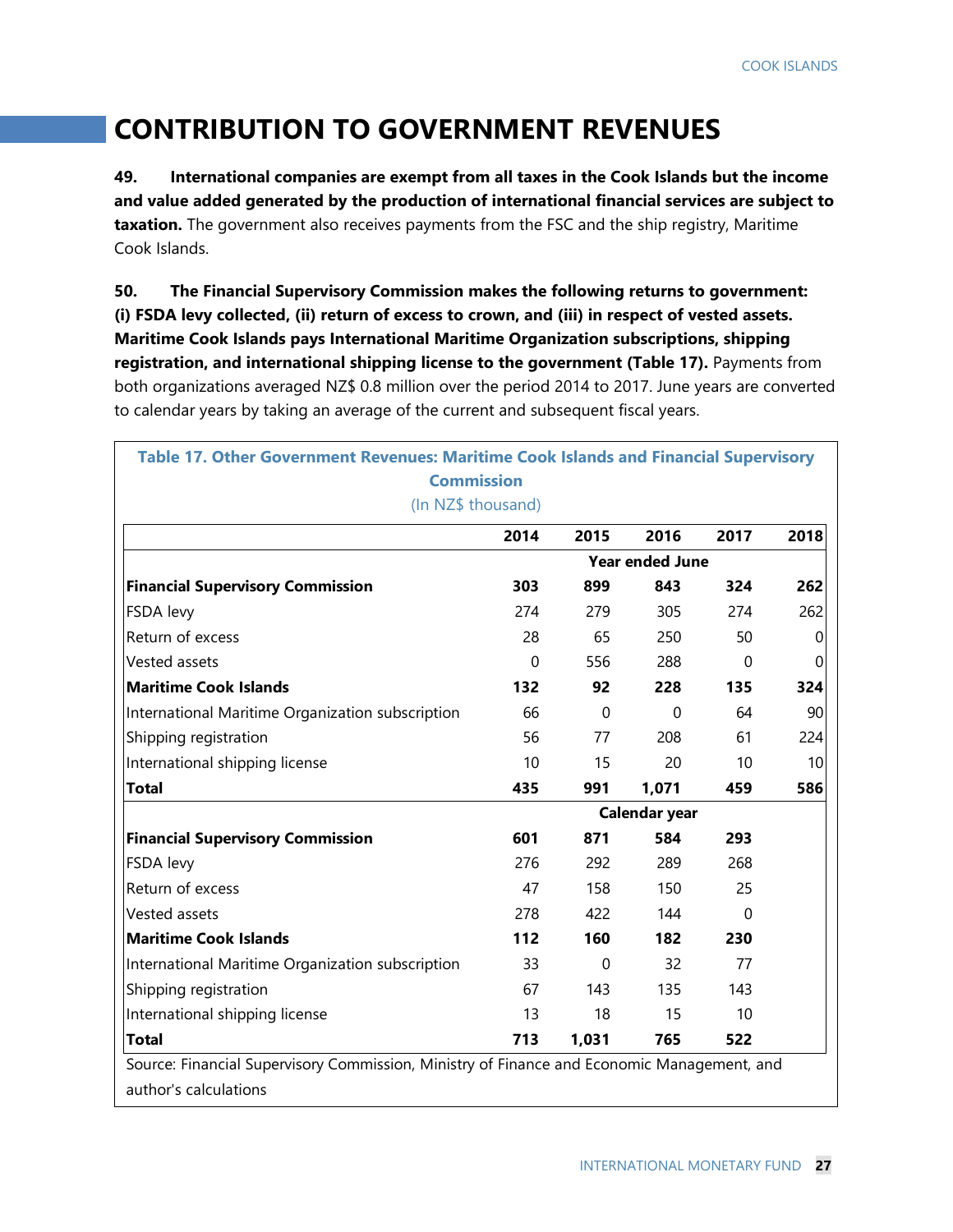# **CONTRIBUTION TO GOVERNMENT REVENUES**

**49. International companies are exempt from all taxes in the Cook Islands but the income and value added generated by the production of international financial services are subject to taxation.** The government also receives payments from the FSC and the ship registry, Maritime Cook Islands.

**50. The Financial Supervisory Commission makes the following returns to government: (i) FSDA levy collected, (ii) return of excess to crown, and (iii) in respect of vested assets. Maritime Cook Islands pays International Maritime Organization subscriptions, shipping registration, and international shipping license to the government (Table 17).** Payments from both organizations averaged NZ\$ 0.8 million over the period 2014 to 2017. June years are converted to calendar years by taking an average of the current and subsequent fiscal years.

| Table 17. Other Government Revenues: Maritime Cook Islands and Financial Supervisory<br><b>Commission</b>           |               |             |                        |              |      |  |  |  |
|---------------------------------------------------------------------------------------------------------------------|---------------|-------------|------------------------|--------------|------|--|--|--|
| (In NZ\$ thousand)                                                                                                  |               |             |                        |              |      |  |  |  |
|                                                                                                                     | 2014          | 2015        | 2016                   | 2017         | 2018 |  |  |  |
|                                                                                                                     |               |             | <b>Year ended June</b> |              |      |  |  |  |
| <b>Financial Supervisory Commission</b>                                                                             | 303           | 899         | 843                    | 324          | 262  |  |  |  |
| FSDA levy                                                                                                           | 274           | 279         | 305                    | 274          | 262  |  |  |  |
| Return of excess                                                                                                    | 28            | 65          | 250                    | 50           | 0    |  |  |  |
| Vested assets                                                                                                       | 0             | 556         | 288                    | $\mathbf{0}$ | 0    |  |  |  |
| <b>Maritime Cook Islands</b>                                                                                        | 132           | 92          | 228                    | 135          | 324  |  |  |  |
| International Maritime Organization subscription                                                                    | 66            | $\mathbf 0$ | $\mathbf 0$            | 64           | 90   |  |  |  |
| Shipping registration                                                                                               | 56            | 77          | 208                    | 61           | 224  |  |  |  |
| International shipping license                                                                                      | 10            | 15          | 20                     | 10           | 10   |  |  |  |
| <b>Total</b>                                                                                                        | 435           | 991         | 1,071                  | 459          | 586  |  |  |  |
|                                                                                                                     | Calendar year |             |                        |              |      |  |  |  |
| <b>Financial Supervisory Commission</b>                                                                             | 601           | 871         | 584                    | 293          |      |  |  |  |
| FSDA levy                                                                                                           | 276           | 292         | 289                    | 268          |      |  |  |  |
| Return of excess                                                                                                    | 47            | 158         | 150                    | 25           |      |  |  |  |
| Vested assets                                                                                                       | 278           | 422         | 144                    | $\Omega$     |      |  |  |  |
| <b>Maritime Cook Islands</b>                                                                                        | 112           | 160         | 182                    | 230          |      |  |  |  |
| International Maritime Organization subscription                                                                    | 33            | 0           | 32                     | 77           |      |  |  |  |
| Shipping registration                                                                                               | 67            | 143         | 135                    | 143          |      |  |  |  |
| International shipping license                                                                                      | 13            | 18          | 15                     | 10           |      |  |  |  |
| <b>Total</b>                                                                                                        | 713           | 1,031       | 765                    | 522          |      |  |  |  |
| Source: Financial Supervisory Commission, Ministry of Finance and Economic Management, and<br>author's calculations |               |             |                        |              |      |  |  |  |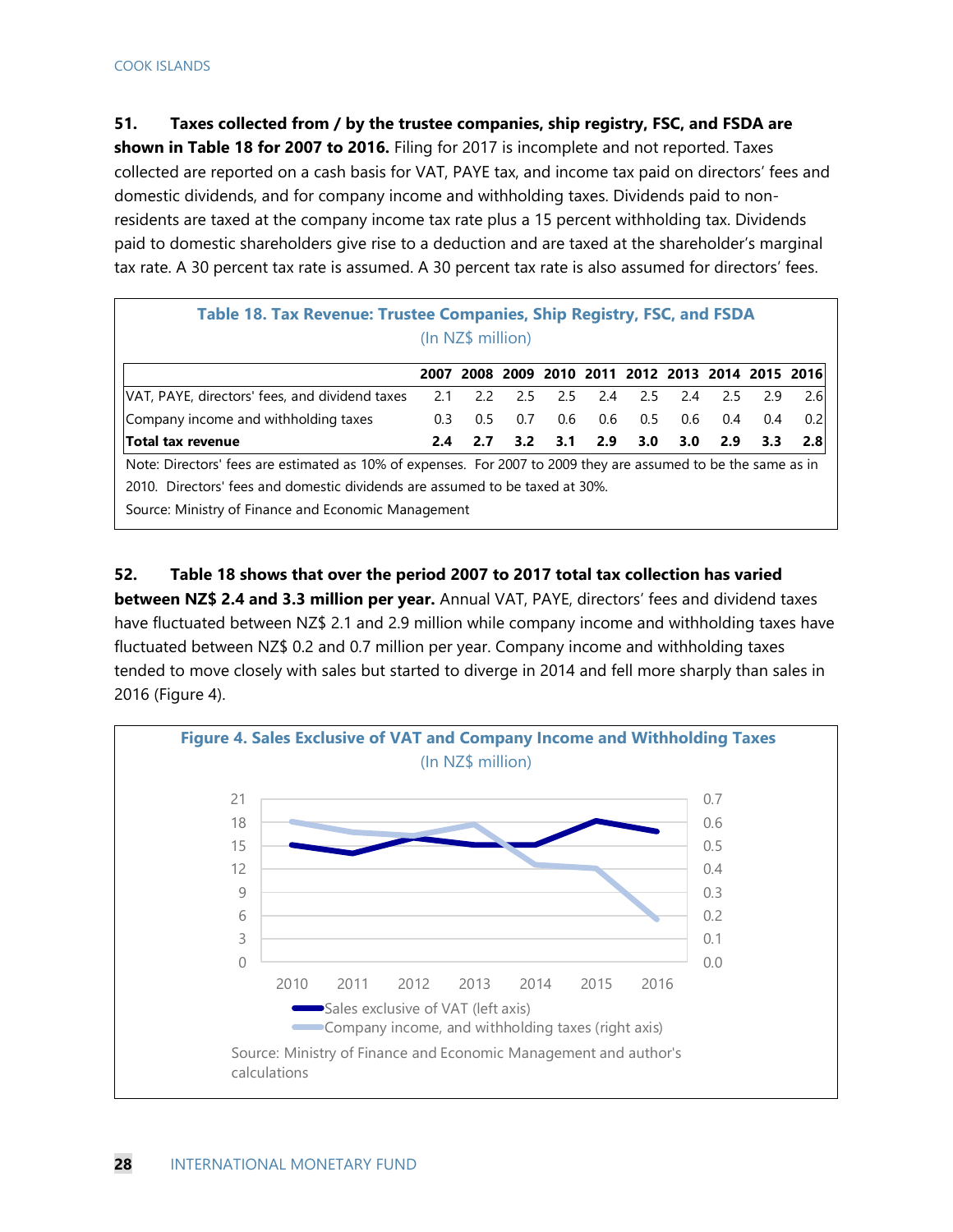**51. Taxes collected from / by the trustee companies, ship registry, FSC, and FSDA are** 

**shown in Table 18 for 2007 to 2016.** Filing for 2017 is incomplete and not reported. Taxes collected are reported on a cash basis for VAT, PAYE tax, and income tax paid on directors' fees and domestic dividends, and for company income and withholding taxes. Dividends paid to nonresidents are taxed at the company income tax rate plus a 15 percent withholding tax. Dividends paid to domestic shareholders give rise to a deduction and are taxed at the shareholder's marginal tax rate. A 30 percent tax rate is assumed. A 30 percent tax rate is also assumed for directors' fees.

| Table 18. Tax Revenue: Trustee Companies, Ship Registry, FSC, and FSDA<br>(In NZ\$ million)                    |     |     |                         |                   |           |     |     |     |                                                   |     |  |
|----------------------------------------------------------------------------------------------------------------|-----|-----|-------------------------|-------------------|-----------|-----|-----|-----|---------------------------------------------------|-----|--|
|                                                                                                                |     |     |                         |                   |           |     |     |     | 2007 2008 2009 2010 2011 2012 2013 2014 2015 2016 |     |  |
| VAT, PAYE, directors' fees, and dividend taxes                                                                 | 2.1 |     | 2.2 2.5 2.5 2.4 2.5 2.4 |                   |           |     |     | 2.5 | 2.9                                               | 2.6 |  |
| Company income and withholding taxes                                                                           | 0.3 |     | $0.5$ 0.7               |                   | $0.6$ 0.6 | 0.5 | 0.6 | 0.4 | 0.4                                               | 0.2 |  |
| Total tax revenue                                                                                              | 2.4 | 2.7 |                         | $3.2$ $3.1$ $2.9$ |           | 3.0 | 3.0 | 2.9 | 3.3                                               | 2.8 |  |
| Note: Directors' fees are estimated as 10% of expenses. For 2007 to 2009 they are assumed to be the same as in |     |     |                         |                   |           |     |     |     |                                                   |     |  |
| 2010. Directors' fees and domestic dividends are assumed to be taxed at 30%.                                   |     |     |                         |                   |           |     |     |     |                                                   |     |  |
| Carrosar Minister La Finanza, and Faangesia Management                                                         |     |     |                         |                   |           |     |     |     |                                                   |     |  |

Source: Ministry of Finance and Economic Management

**52. Table 18 shows that over the period 2007 to 2017 total tax collection has varied between NZ\$ 2.4 and 3.3 million per year.** Annual VAT, PAYE, directors' fees and dividend taxes have fluctuated between NZ\$ 2.1 and 2.9 million while company income and withholding taxes have fluctuated between NZ\$ 0.2 and 0.7 million per year. Company income and withholding taxes tended to move closely with sales but started to diverge in 2014 and fell more sharply than sales in 2016 (Figure 4).

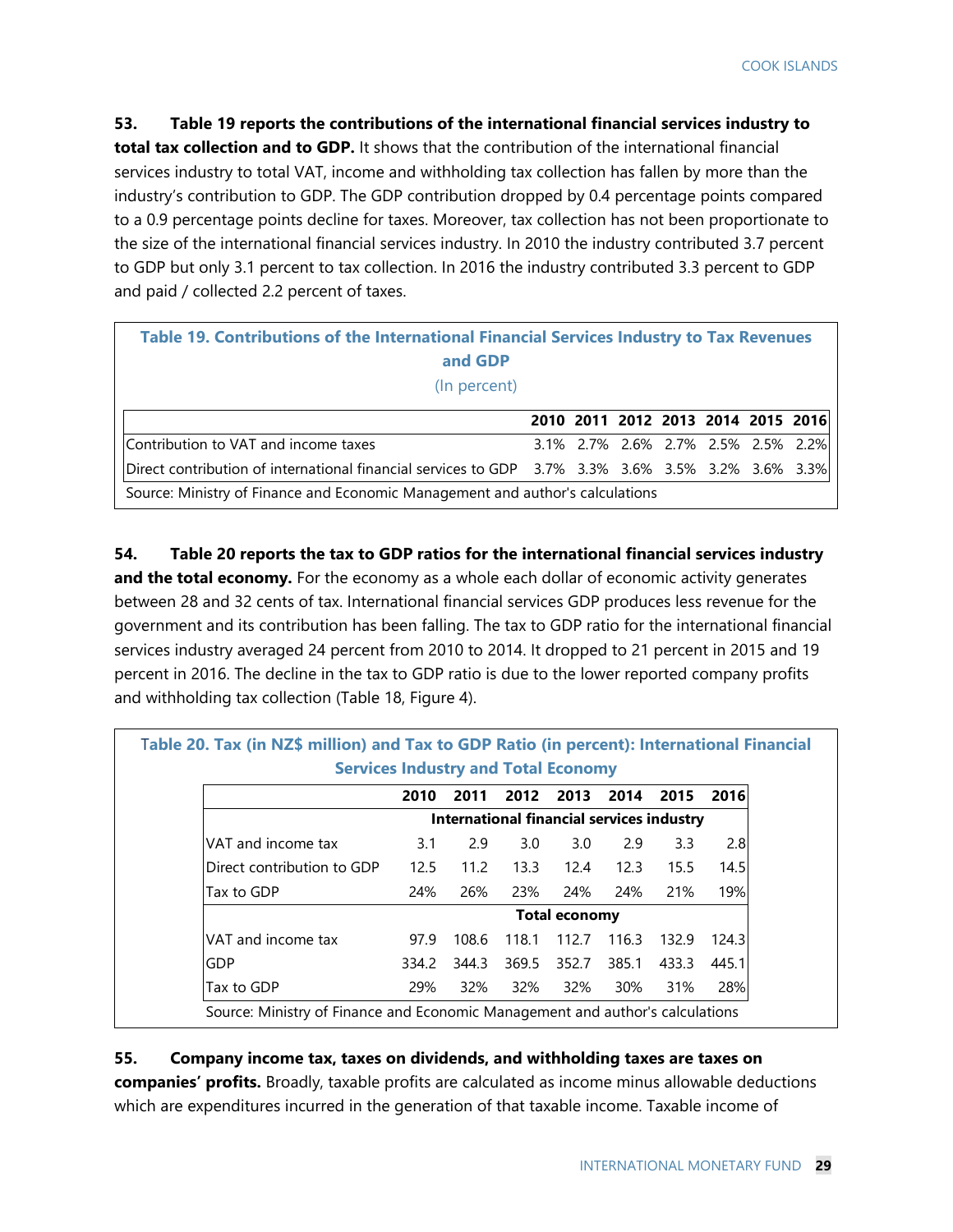#### **53. Table 19 reports the contributions of the international financial services industry to**

**total tax collection and to GDP.** It shows that the contribution of the international financial services industry to total VAT, income and withholding tax collection has fallen by more than the industry's contribution to GDP. The GDP contribution dropped by 0.4 percentage points compared to a 0.9 percentage points decline for taxes. Moreover, tax collection has not been proportionate to the size of the international financial services industry. In 2010 the industry contributed 3.7 percent to GDP but only 3.1 percent to tax collection. In 2016 the industry contributed 3.3 percent to GDP and paid / collected 2.2 percent of taxes.

| Table 19. Contributions of the International Financial Services Industry to Tax Revenues<br>and GDP |  |  |  |  |  |                                    |                                    |  |  |  |
|-----------------------------------------------------------------------------------------------------|--|--|--|--|--|------------------------------------|------------------------------------|--|--|--|
|                                                                                                     |  |  |  |  |  |                                    |                                    |  |  |  |
| (In percent)                                                                                        |  |  |  |  |  |                                    |                                    |  |  |  |
|                                                                                                     |  |  |  |  |  |                                    |                                    |  |  |  |
|                                                                                                     |  |  |  |  |  |                                    | 2010 2011 2012 2013 2014 2015 2016 |  |  |  |
| Contribution to VAT and income taxes                                                                |  |  |  |  |  | 3.1% 2.7% 2.6% 2.7% 2.5% 2.5% 2.2% |                                    |  |  |  |
| Direct contribution of international financial services to GDP 3.7% 3.3% 3.6% 3.5% 3.2% 3.6% 3.3%   |  |  |  |  |  |                                    |                                    |  |  |  |
| Source: Ministry of Finance and Economic Management and author's calculations                       |  |  |  |  |  |                                    |                                    |  |  |  |

**54. Table 20 reports the tax to GDP ratios for the international financial services industry and the total economy.** For the economy as a whole each dollar of economic activity generates between 28 and 32 cents of tax. International financial services GDP produces less revenue for the government and its contribution has been falling. The tax to GDP ratio for the international financial services industry averaged 24 percent from 2010 to 2014. It dropped to 21 percent in 2015 and 19 percent in 2016. The decline in the tax to GDP ratio is due to the lower reported company profits and withholding tax collection (Table 18, Figure 4).

|                            | 2010  | 2011  | 2012  | 2013                                      | 2014  | 2015  | 2016  |
|----------------------------|-------|-------|-------|-------------------------------------------|-------|-------|-------|
|                            |       |       |       | International financial services industry |       |       |       |
| VAT and income tax         | 3.1   | 2.9   | 3.0   | 3.0                                       | 2.9   | 3.3   | 2.8   |
| Direct contribution to GDP | 12.5  | 11.2  | 13.3  | 12.4                                      | 12.3  | 15.5  | 14.5  |
| Tax to GDP                 | 24%   | 26%   | 23%   | 24%                                       | 24%   | 21%   | 19%   |
|                            |       |       |       | <b>Total economy</b>                      |       |       |       |
| VAT and income tax         | 97.9  | 108.6 | 118.1 | 112.7                                     | 116.3 | 132.9 | 124.3 |
| GDP                        | 334.2 | 344.3 | 369.5 | 352.7                                     | 385.1 | 433.3 | 445.1 |
| Tax to GDP                 | 29%   | 32%   | 32%   | 32%                                       | 30%   | 31%   | 28%   |

#### **55. Company income tax, taxes on dividends, and withholding taxes are taxes on**

**companies' profits.** Broadly, taxable profits are calculated as income minus allowable deductions which are expenditures incurred in the generation of that taxable income. Taxable income of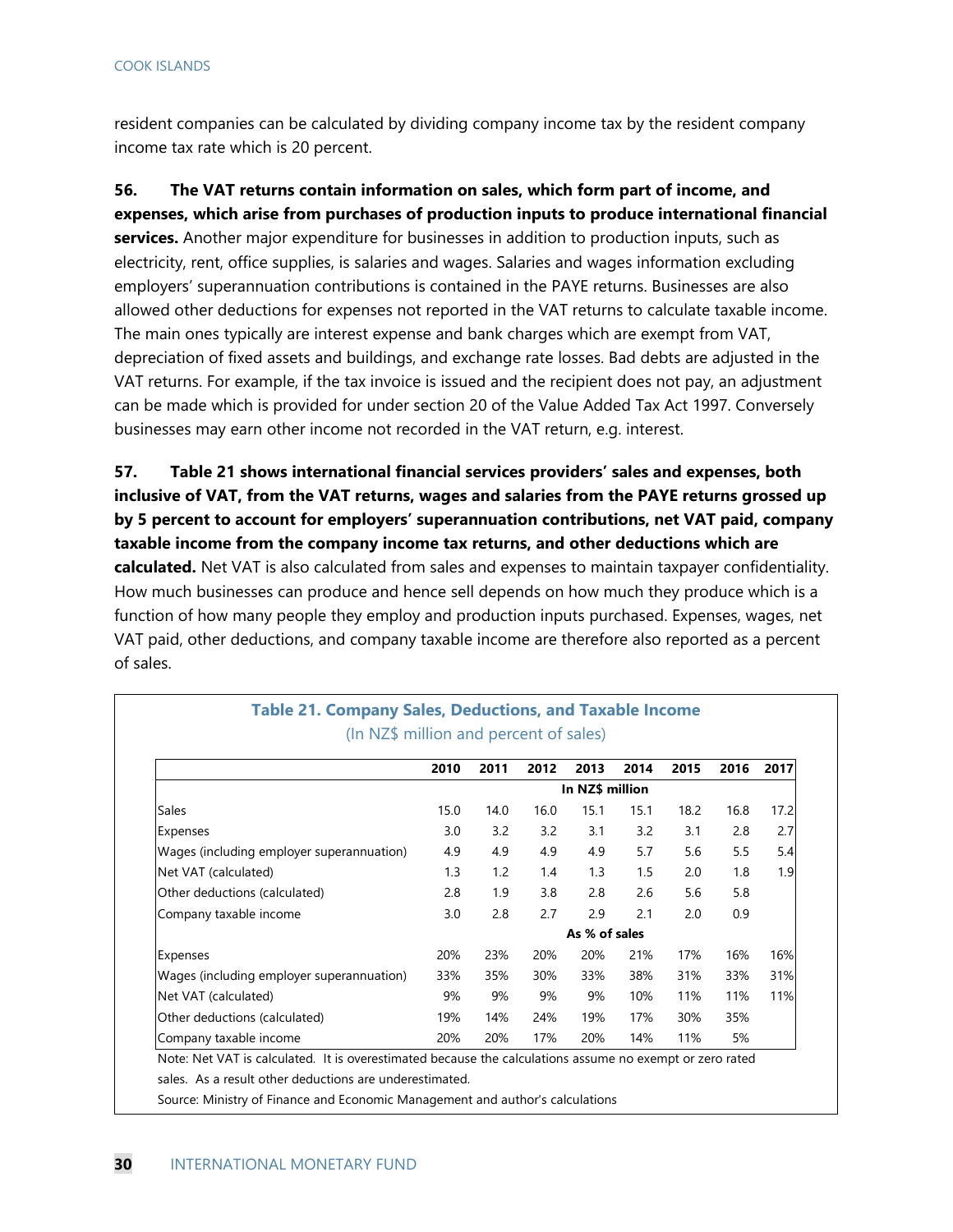resident companies can be calculated by dividing company income tax by the resident company income tax rate which is 20 percent.

**56. The VAT returns contain information on sales, which form part of income, and expenses, which arise from purchases of production inputs to produce international financial services.** Another major expenditure for businesses in addition to production inputs, such as electricity, rent, office supplies, is salaries and wages. Salaries and wages information excluding employers' superannuation contributions is contained in the PAYE returns. Businesses are also allowed other deductions for expenses not reported in the VAT returns to calculate taxable income. The main ones typically are interest expense and bank charges which are exempt from VAT, depreciation of fixed assets and buildings, and exchange rate losses. Bad debts are adjusted in the VAT returns. For example, if the tax invoice is issued and the recipient does not pay, an adjustment can be made which is provided for under section 20 of the Value Added Tax Act 1997. Conversely businesses may earn other income not recorded in the VAT return, e.g. interest.

**57. Table 21 shows international financial services providers' sales and expenses, both inclusive of VAT, from the VAT returns, wages and salaries from the PAYE returns grossed up by 5 percent to account for employers' superannuation contributions, net VAT paid, company taxable income from the company income tax returns, and other deductions which are calculated.** Net VAT is also calculated from sales and expenses to maintain taxpayer confidentiality. How much businesses can produce and hence sell depends on how much they produce which is a function of how many people they employ and production inputs purchased. Expenses, wages, net VAT paid, other deductions, and company taxable income are therefore also reported as a percent of sales.

|                                           | 2010            | 2011 | 2012 | 2013 | 2014 | 2015 | 2016 | 2017 |  |
|-------------------------------------------|-----------------|------|------|------|------|------|------|------|--|
|                                           | In NZ\$ million |      |      |      |      |      |      |      |  |
| <b>Sales</b>                              | 15.0            | 14.0 | 16.0 | 15.1 | 15.1 | 18.2 | 16.8 | 17.2 |  |
| Expenses                                  | 3.0             | 3.2  | 3.2  | 3.1  | 3.2  | 3.1  | 2.8  | 2.7  |  |
| Wages (including employer superannuation) | 4.9             | 4.9  | 4.9  | 4.9  | 5.7  | 5.6  | 5.5  | 5.4  |  |
| Net VAT (calculated)                      | 1.3             | 1.2  | 1.4  | 1.3  | 1.5  | 2.0  | 1.8  | 1.9  |  |
| Other deductions (calculated)             | 2.8             | 1.9  | 3.8  | 2.8  | 2.6  | 5.6  | 5.8  |      |  |
| Company taxable income                    | 3.0             | 2.8  | 2.7  | 2.9  | 2.1  | 2.0  | 0.9  |      |  |
|                                           | As % of sales   |      |      |      |      |      |      |      |  |
| Expenses                                  | 20%             | 23%  | 20%  | 20%  | 21%  | 17%  | 16%  | 16%  |  |
| Wages (including employer superannuation) | 33%             | 35%  | 30%  | 33%  | 38%  | 31%  | 33%  | 31%  |  |
| Net VAT (calculated)                      | 9%              | 9%   | 9%   | 9%   | 10%  | 11%  | 11%  | 11%  |  |
| Other deductions (calculated)             | 19%             | 14%  | 24%  | 19%  | 17%  | 30%  | 35%  |      |  |
| Company taxable income                    | 20%             | 20%  | 17%  | 20%  | 14%  | 11%  | 5%   |      |  |

#### **Table 21. Company Sales, Deductions, and Taxable Income**  (In NZ\$ million and percent of sales)

s. As a result other deductions are underestimated.

Source: Ministry of Finance and Economic Management and author's calculations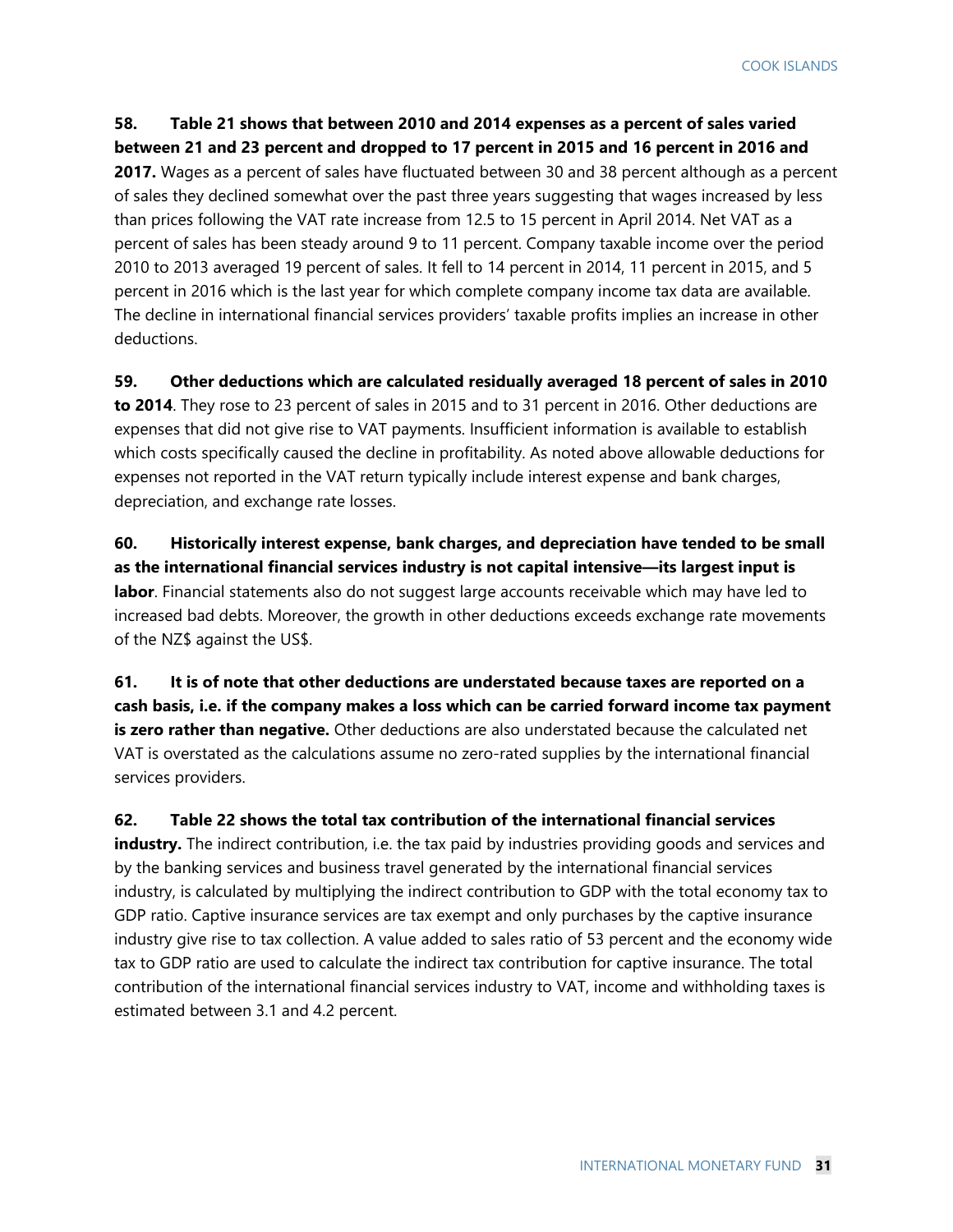**58. Table 21 shows that between 2010 and 2014 expenses as a percent of sales varied between 21 and 23 percent and dropped to 17 percent in 2015 and 16 percent in 2016 and 2017.** Wages as a percent of sales have fluctuated between 30 and 38 percent although as a percent of sales they declined somewhat over the past three years suggesting that wages increased by less than prices following the VAT rate increase from 12.5 to 15 percent in April 2014. Net VAT as a percent of sales has been steady around 9 to 11 percent. Company taxable income over the period 2010 to 2013 averaged 19 percent of sales. It fell to 14 percent in 2014, 11 percent in 2015, and 5 percent in 2016 which is the last year for which complete company income tax data are available. The decline in international financial services providers' taxable profits implies an increase in other deductions.

**59. Other deductions which are calculated residually averaged 18 percent of sales in 2010 to 2014**. They rose to 23 percent of sales in 2015 and to 31 percent in 2016. Other deductions are expenses that did not give rise to VAT payments. Insufficient information is available to establish which costs specifically caused the decline in profitability. As noted above allowable deductions for expenses not reported in the VAT return typically include interest expense and bank charges, depreciation, and exchange rate losses.

**60. Historically interest expense, bank charges, and depreciation have tended to be small as the international financial services industry is not capital intensive—its largest input is labor**. Financial statements also do not suggest large accounts receivable which may have led to increased bad debts. Moreover, the growth in other deductions exceeds exchange rate movements of the NZ\$ against the US\$.

**61. It is of note that other deductions are understated because taxes are reported on a cash basis, i.e. if the company makes a loss which can be carried forward income tax payment is zero rather than negative.** Other deductions are also understated because the calculated net VAT is overstated as the calculations assume no zero-rated supplies by the international financial services providers.

**62. Table 22 shows the total tax contribution of the international financial services industry.** The indirect contribution, i.e. the tax paid by industries providing goods and services and by the banking services and business travel generated by the international financial services industry, is calculated by multiplying the indirect contribution to GDP with the total economy tax to GDP ratio. Captive insurance services are tax exempt and only purchases by the captive insurance industry give rise to tax collection. A value added to sales ratio of 53 percent and the economy wide tax to GDP ratio are used to calculate the indirect tax contribution for captive insurance. The total contribution of the international financial services industry to VAT, income and withholding taxes is estimated between 3.1 and 4.2 percent.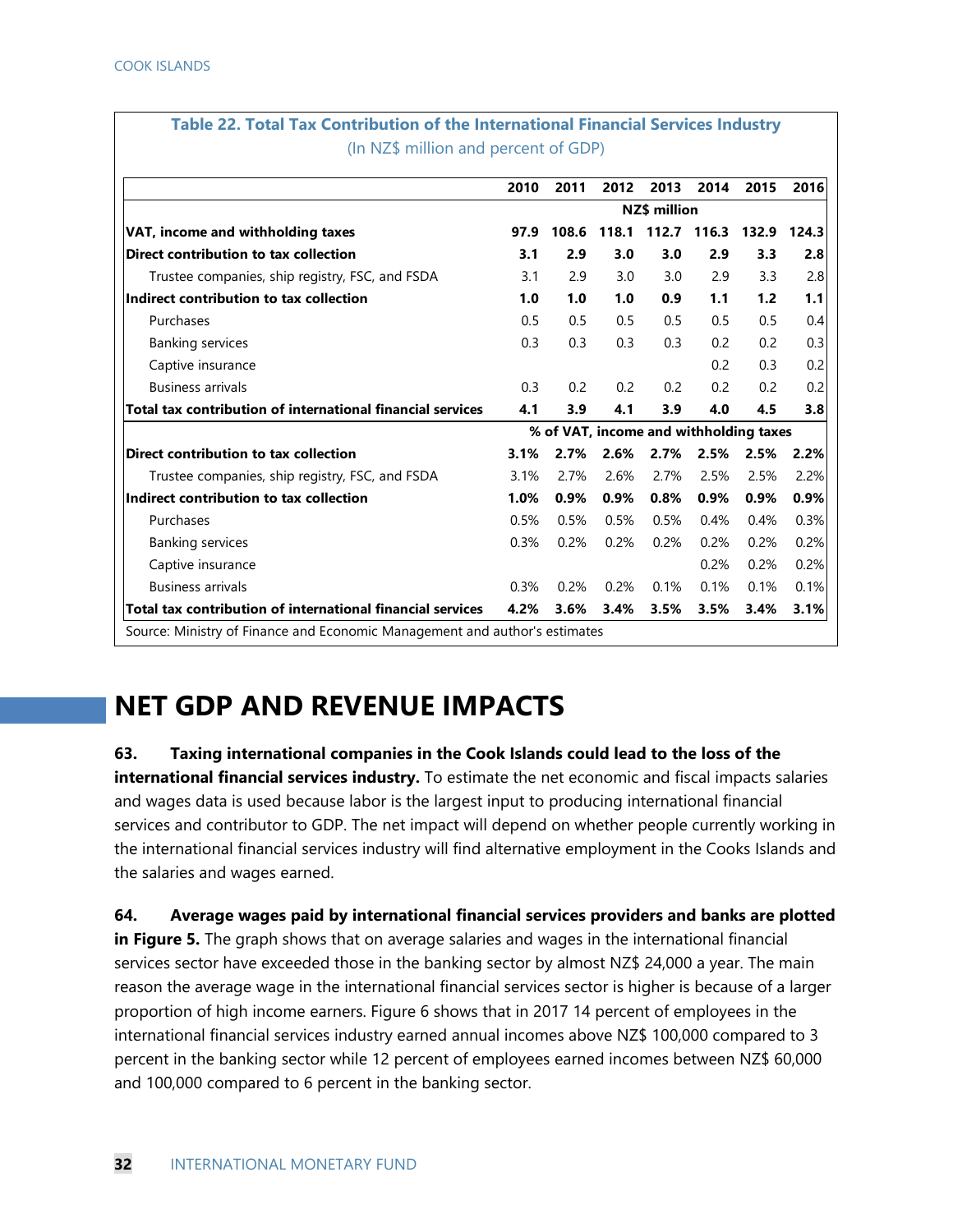|                                                            | 2010                | 2011  | 2012  | 2013  | 2014                                   | 2015  | 2016  |  |
|------------------------------------------------------------|---------------------|-------|-------|-------|----------------------------------------|-------|-------|--|
|                                                            | <b>NZ\$</b> million |       |       |       |                                        |       |       |  |
| VAT, income and withholding taxes                          | 97.9                | 108.6 | 118.1 | 112.7 | 116.3                                  | 132.9 | 124.3 |  |
| Direct contribution to tax collection                      | 3.1                 | 2.9   | 3.0   | 3.0   | 2.9                                    | 3.3   | 2.8   |  |
| Trustee companies, ship registry, FSC, and FSDA            | 3.1                 | 2.9   | 3.0   | 3.0   | 2.9                                    | 3.3   | 2.8   |  |
| Indirect contribution to tax collection                    | 1.0                 | 1.0   | 1.0   | 0.9   | 1.1                                    | 1.2   | 1.1   |  |
| Purchases                                                  | 0.5                 | 0.5   | 0.5   | 0.5   | 0.5                                    | 0.5   | 0.4   |  |
| <b>Banking services</b>                                    | 0.3                 | 0.3   | 0.3   | 0.3   | 0.2                                    | 0.2   | 0.3   |  |
| Captive insurance                                          |                     |       |       |       | 0.2                                    | 0.3   | 0.2   |  |
| <b>Business arrivals</b>                                   | 0.3                 | 0.2   | 0.2   | 0.2   | 0.2                                    | 0.2   | 0.2   |  |
| Total tax contribution of international financial services | 4.1                 | 3.9   | 4.1   | 3.9   | 4.0                                    | 4.5   | 3.8   |  |
|                                                            |                     |       |       |       | % of VAT, income and withholding taxes |       |       |  |
| Direct contribution to tax collection                      | 3.1%                | 2.7%  | 2.6%  | 2.7%  | 2.5%                                   | 2.5%  | 2.2%  |  |
| Trustee companies, ship registry, FSC, and FSDA            | 3.1%                | 2.7%  | 2.6%  | 2.7%  | 2.5%                                   | 2.5%  | 2.2%  |  |
| Indirect contribution to tax collection                    | 1.0%                | 0.9%  | 0.9%  | 0.8%  | 0.9%                                   | 0.9%  | 0.9%  |  |
| Purchases                                                  | 0.5%                | 0.5%  | 0.5%  | 0.5%  | 0.4%                                   | 0.4%  | 0.3%  |  |
| <b>Banking services</b>                                    | 0.3%                | 0.2%  | 0.2%  | 0.2%  | 0.2%                                   | 0.2%  | 0.2%  |  |
| Captive insurance                                          |                     |       |       |       | 0.2%                                   | 0.2%  | 0.2%  |  |
| <b>Business arrivals</b>                                   | 0.3%                | 0.2%  | 0.2%  | 0.1%  | 0.1%                                   | 0.1%  | 0.1%  |  |
| Total tax contribution of international financial services | 4.2%                | 3.6%  | 3.4%  | 3.5%  | 3.5%                                   | 3.4%  | 3.1%  |  |

# **Table 22. Total Tax Contribution of the International Financial Services Industry**

### **NET GDP AND REVENUE IMPACTS**

**63. Taxing international companies in the Cook Islands could lead to the loss of the** 

**international financial services industry.** To estimate the net economic and fiscal impacts salaries and wages data is used because labor is the largest input to producing international financial services and contributor to GDP. The net impact will depend on whether people currently working in the international financial services industry will find alternative employment in the Cooks Islands and the salaries and wages earned.

**64. Average wages paid by international financial services providers and banks are plotted in Figure 5.** The graph shows that on average salaries and wages in the international financial services sector have exceeded those in the banking sector by almost NZ\$ 24,000 a year. The main reason the average wage in the international financial services sector is higher is because of a larger proportion of high income earners. Figure 6 shows that in 2017 14 percent of employees in the international financial services industry earned annual incomes above NZ\$ 100,000 compared to 3 percent in the banking sector while 12 percent of employees earned incomes between NZ\$ 60,000 and 100,000 compared to 6 percent in the banking sector.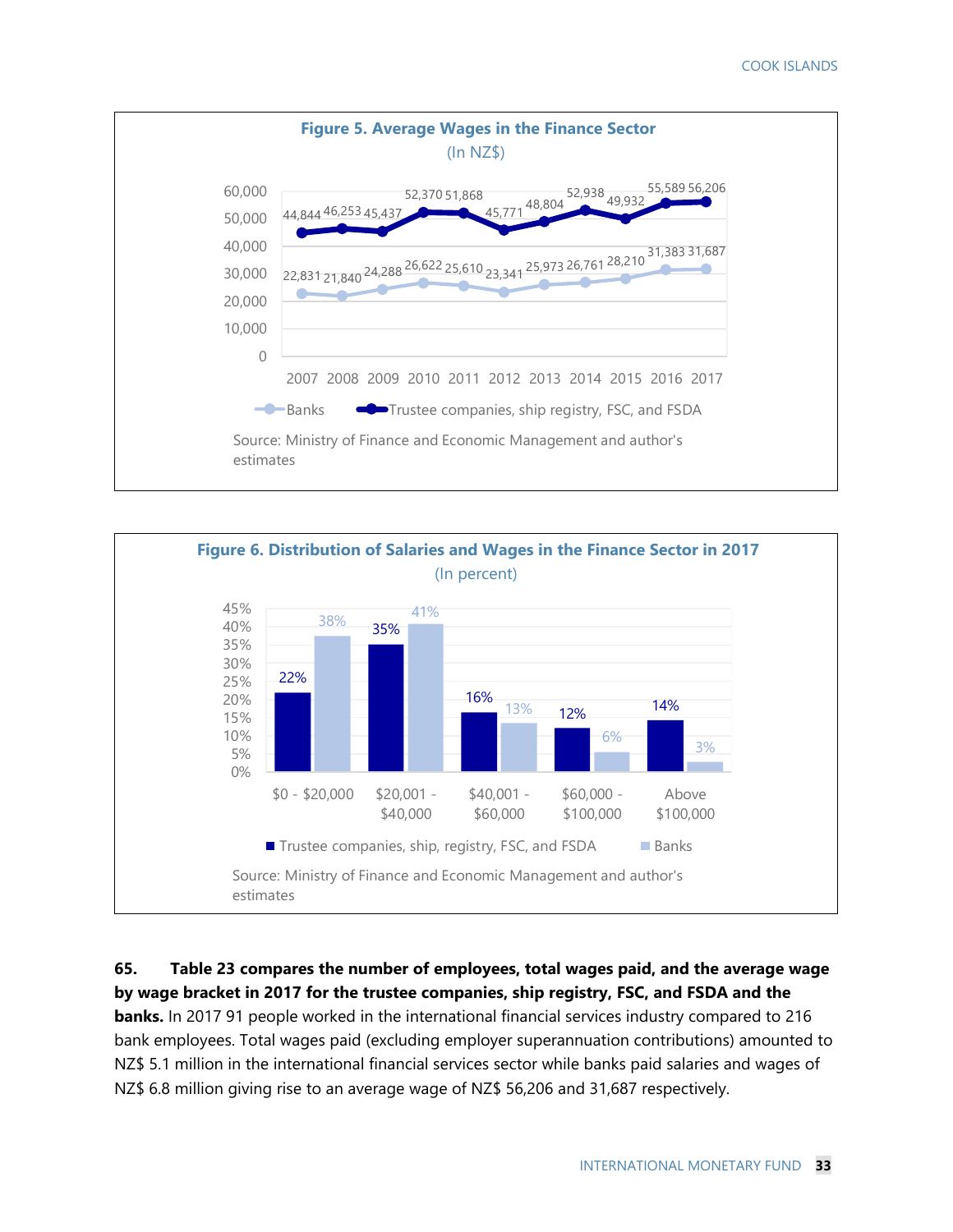



#### **65. Table 23 compares the number of employees, total wages paid, and the average wage by wage bracket in 2017 for the trustee companies, ship registry, FSC, and FSDA and the**

**banks.** In 2017 91 people worked in the international financial services industry compared to 216 bank employees. Total wages paid (excluding employer superannuation contributions) amounted to NZ\$ 5.1 million in the international financial services sector while banks paid salaries and wages of NZ\$ 6.8 million giving rise to an average wage of NZ\$ 56,206 and 31,687 respectively.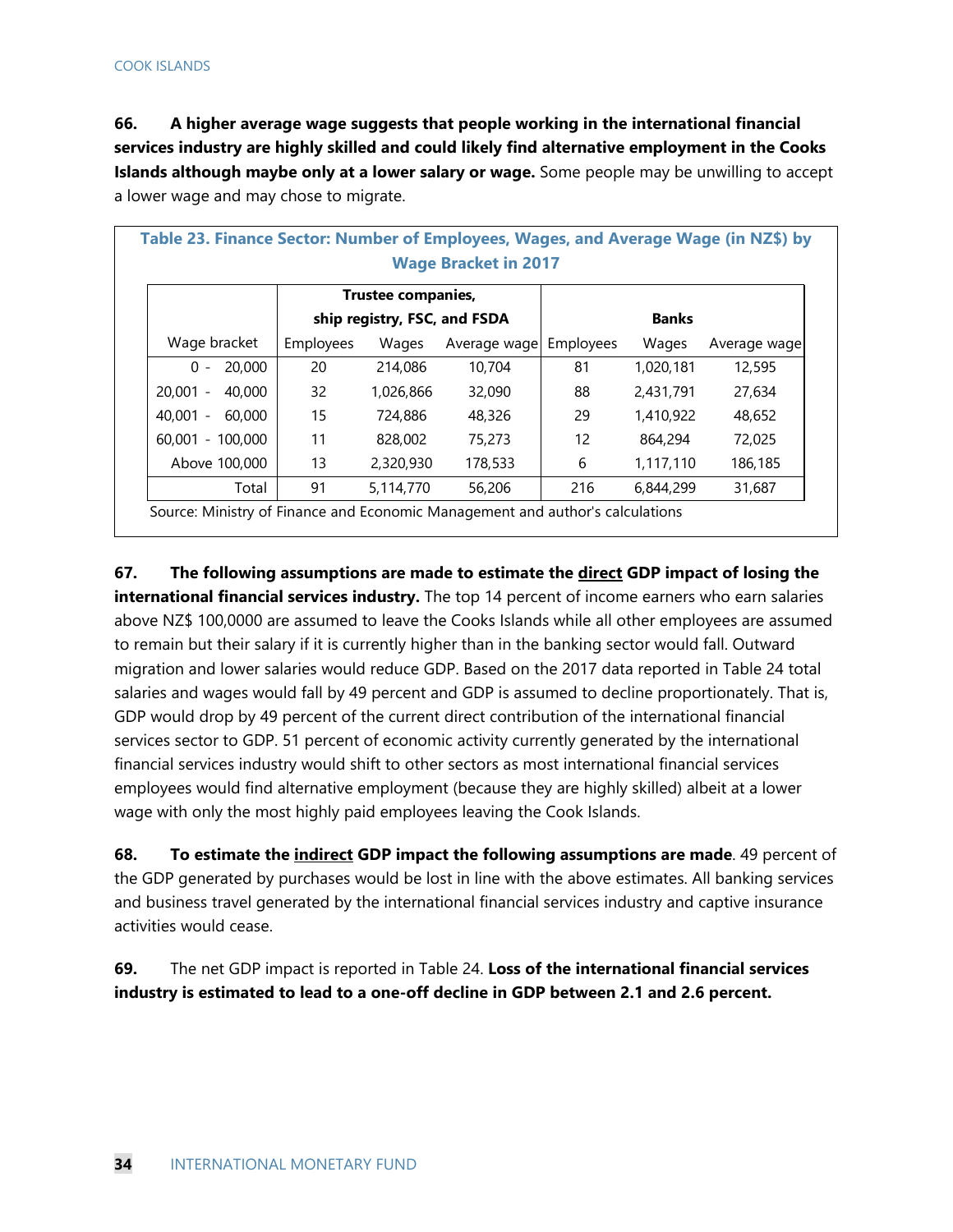**66. A higher average wage suggests that people working in the international financial services industry are highly skilled and could likely find alternative employment in the Cooks Islands although maybe only at a lower salary or wage.** Some people may be unwilling to accept a lower wage and may chose to migrate.

| Table 23. Finance Sector: Number of Employees, Wages, and Average Wage (in NZ\$) by<br><b>Wage Bracket in 2017</b> |              |                    |              |                   |           |              |  |  |  |
|--------------------------------------------------------------------------------------------------------------------|--------------|--------------------|--------------|-------------------|-----------|--------------|--|--|--|
|                                                                                                                    |              | Trustee companies, |              |                   |           |              |  |  |  |
|                                                                                                                    | <b>Banks</b> |                    |              |                   |           |              |  |  |  |
| Wage bracket                                                                                                       | Employees    | Wages              | Average wage | Employees         | Wages     | Average wage |  |  |  |
| 20,000<br>$0 -$                                                                                                    | 20           | 214,086            | 10,704       | 81                | 1,020,181 | 12,595       |  |  |  |
| $20.001 -$<br>40,000                                                                                               | 32           | 1,026,866          | 32,090       | 88                | 2,431,791 | 27,634       |  |  |  |
| $40.001 -$<br>60,000                                                                                               | 15           | 724,886            | 48,326       | 29                | 1,410,922 | 48,652       |  |  |  |
| 60.001 - 100.000                                                                                                   | 11           | 828,002            | 75,273       | $12 \overline{ }$ | 864,294   | 72,025       |  |  |  |
| Above 100,000                                                                                                      | 13           | 2,320,930          | 178,533      | 6                 | 1,117,110 | 186,185      |  |  |  |
| Total                                                                                                              | 91           | 5,114,770          | 56,206       | 216               | 6,844,299 | 31,687       |  |  |  |

**67. The following assumptions are made to estimate the direct GDP impact of losing the international financial services industry.** The top 14 percent of income earners who earn salaries above NZ\$ 100,0000 are assumed to leave the Cooks Islands while all other employees are assumed to remain but their salary if it is currently higher than in the banking sector would fall. Outward migration and lower salaries would reduce GDP. Based on the 2017 data reported in Table 24 total salaries and wages would fall by 49 percent and GDP is assumed to decline proportionately. That is, GDP would drop by 49 percent of the current direct contribution of the international financial services sector to GDP. 51 percent of economic activity currently generated by the international financial services industry would shift to other sectors as most international financial services employees would find alternative employment (because they are highly skilled) albeit at a lower wage with only the most highly paid employees leaving the Cook Islands.

**68. To estimate the indirect GDP impact the following assumptions are made**. 49 percent of the GDP generated by purchases would be lost in line with the above estimates. All banking services and business travel generated by the international financial services industry and captive insurance activities would cease.

**69.** The net GDP impact is reported in Table 24. **Loss of the international financial services industry is estimated to lead to a one-off decline in GDP between 2.1 and 2.6 percent.**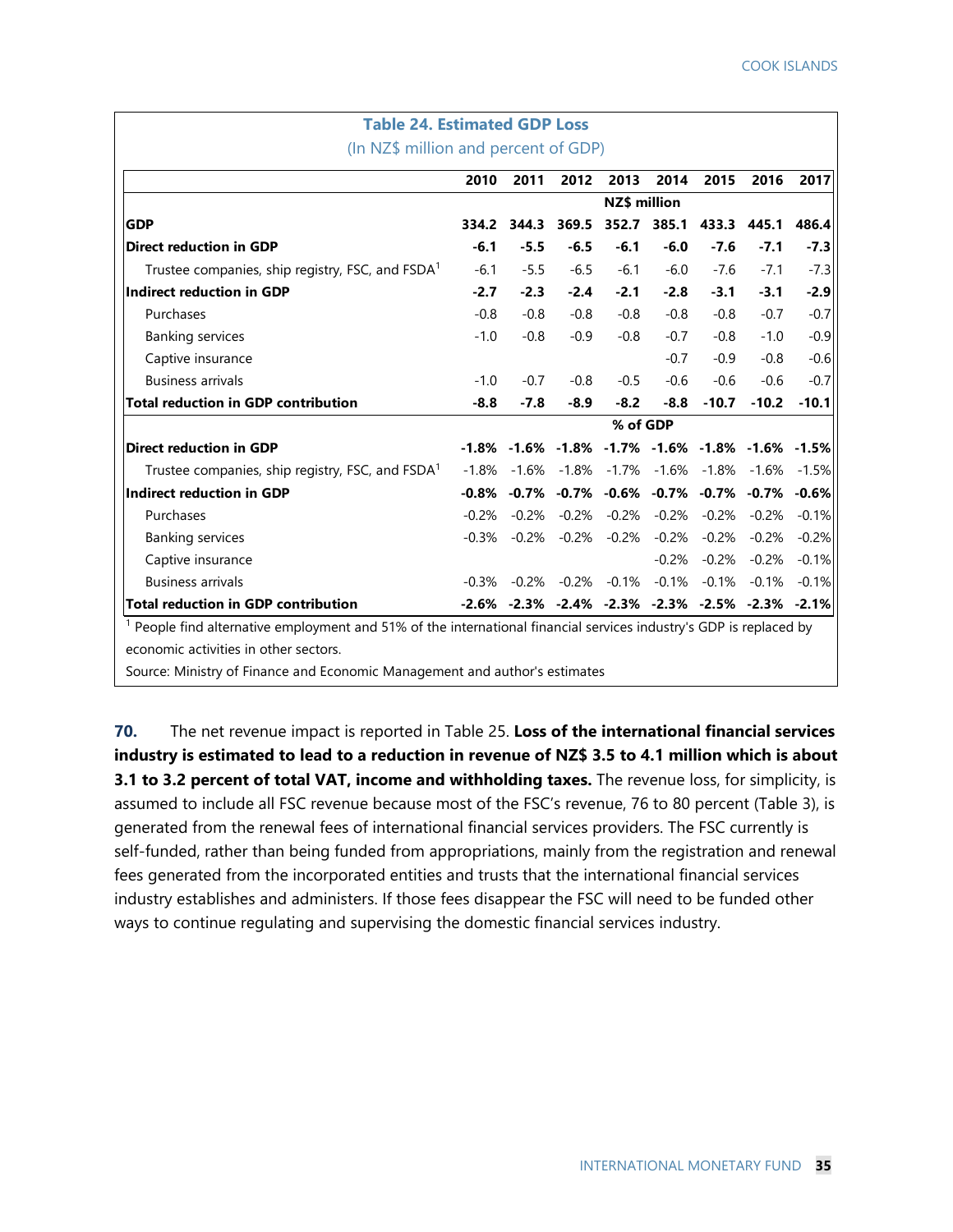| <b>Table 24. Estimated GDP Loss</b>                                                                                  |              |         |                   |                 |                                                                         |                        |                 |         |
|----------------------------------------------------------------------------------------------------------------------|--------------|---------|-------------------|-----------------|-------------------------------------------------------------------------|------------------------|-----------------|---------|
| (In NZ\$ million and percent of GDP)                                                                                 |              |         |                   |                 |                                                                         |                        |                 |         |
|                                                                                                                      | 2010         | 2011    | 2012              | 2013            | 2014                                                                    | 2015                   | 2016            | 2017    |
|                                                                                                                      | NZ\$ million |         |                   |                 |                                                                         |                        |                 |         |
| <b>GDP</b>                                                                                                           | 334.2        | 344.3   | 369.5             |                 | 352.7 385.1                                                             | 433.3                  | 445.1           | 486.4   |
| <b>Direct reduction in GDP</b>                                                                                       | $-6.1$       | $-5.5$  | $-6.5$            | $-6.1$          | $-6.0$                                                                  | $-7.6$                 | $-7.1$          | $-7.3$  |
| Trustee companies, ship registry, FSC, and FSDA <sup>1</sup>                                                         | $-6.1$       | $-5.5$  | $-6.5$            | $-6.1$          | $-6.0$                                                                  | $-7.6$                 | $-7.1$          | $-7.3$  |
| Indirect reduction in GDP                                                                                            | $-2.7$       | $-2.3$  | $-2.4$            | $-2.1$          | $-2.8$                                                                  | $-3.1$                 | $-3.1$          | $-2.9$  |
| Purchases                                                                                                            | $-0.8$       | $-0.8$  | $-0.8$            | $-0.8$          | $-0.8$                                                                  | $-0.8$                 | $-0.7$          | $-0.7$  |
| <b>Banking services</b>                                                                                              | $-1.0$       | $-0.8$  | $-0.9$            | $-0.8$          | $-0.7$                                                                  | $-0.8$                 | $-1.0$          | $-0.9$  |
| Captive insurance                                                                                                    |              |         |                   |                 | $-0.7$                                                                  | $-0.9$                 | $-0.8$          | $-0.6$  |
| <b>Business arrivals</b>                                                                                             | $-1.0$       | $-0.7$  | $-0.8$            | $-0.5$          | $-0.6$                                                                  | $-0.6$                 | $-0.6$          | $-0.7$  |
| <b>Total reduction in GDP contribution</b>                                                                           | $-8.8$       | $-7.8$  | $-8.9$            | $-8.2$          | $-8.8$                                                                  | $-10.7$                | $-10.2$         | $-10.1$ |
|                                                                                                                      |              |         | % of GDP          |                 |                                                                         |                        |                 |         |
| <b>Direct reduction in GDP</b>                                                                                       |              |         |                   |                 | $-1.8\%$ $-1.6\%$ $-1.8\%$ $-1.7\%$ $-1.6\%$ $-1.8\%$ $-1.6\%$ $-1.5\%$ |                        |                 |         |
| Trustee companies, ship registry, FSC, and $FSDAT$                                                                   | $-1.8\%$     |         |                   |                 | $-1.6\%$ $-1.8\%$ $-1.7\%$ $-1.6\%$ $-1.8\%$ $-1.6\%$                   |                        |                 | $-1.5%$ |
| Indirect reduction in GDP                                                                                            |              |         |                   |                 | $-0.8\%$ $-0.7\%$ $-0.7\%$ $-0.6\%$ $-0.7\%$ $-0.7\%$ $-0.7\%$          |                        |                 | $-0.6%$ |
| Purchases                                                                                                            | $-0.2%$      | $-0.2%$ |                   | -0.2% -0.2%     |                                                                         | $-0.2\% -0.2\% -0.2\%$ |                 | $-0.1%$ |
| <b>Banking services</b>                                                                                              | $-0.3%$      | $-0.2%$ |                   | $-0.2\% -0.2\%$ |                                                                         | $-0.2\% -0.2\%$        | $-0.2%$         | $-0.2%$ |
| Captive insurance                                                                                                    |              |         |                   |                 | $-0.2%$                                                                 |                        | $-0.2\% -0.2\%$ | $-0.1%$ |
| <b>Business arrivals</b>                                                                                             | $-0.3\%$     |         | -0.2% -0.2% -0.1% |                 |                                                                         | $-0.1\% -0.1\% -0.1\%$ |                 | $-0.1%$ |
| Total reduction in GDP contribution                                                                                  |              |         |                   |                 | $-2.6\%$ $-2.3\%$ $-2.4\%$ $-2.3\%$ $-2.3\%$ $-2.5\%$ $-2.3\%$ $-2.1\%$ |                        |                 |         |
| $1$ People find alternative employment and 51% of the international financial services industry's GDP is replaced by |              |         |                   |                 |                                                                         |                        |                 |         |

economic activities in other sectors.

Source: Ministry of Finance and Economic Management and author's estimates

**70.** The net revenue impact is reported in Table 25. **Loss of the international financial services industry is estimated to lead to a reduction in revenue of NZ\$ 3.5 to 4.1 million which is about 3.1 to 3.2 percent of total VAT, income and withholding taxes.** The revenue loss, for simplicity, is assumed to include all FSC revenue because most of the FSC's revenue, 76 to 80 percent (Table 3), is generated from the renewal fees of international financial services providers. The FSC currently is self-funded, rather than being funded from appropriations, mainly from the registration and renewal fees generated from the incorporated entities and trusts that the international financial services industry establishes and administers. If those fees disappear the FSC will need to be funded other ways to continue regulating and supervising the domestic financial services industry.